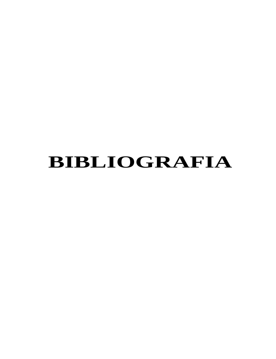# **BIBLIOGRAFIA**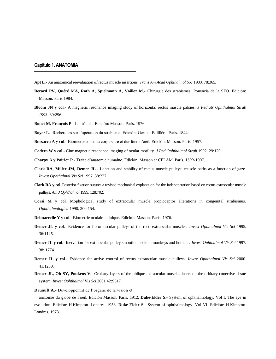# **Capítulo 1. ANATOMIA**

- **Apt L**.- An anatomical reevaluation of rectus muscle insertions. *Trans Am Acad Ophthalmol Soc* 1980. 78:365.
- **Berard PV, Quéré MA, Roth A, Spielmann A, Voillez M.** Chirurgie des strabismes. Ponencia de la SFO. Edición: Masson. París 1984.
- **Bloom JN y col**.- A magnetic resonance imaging study of horizontal rectus muscle palsies. *J Pediatr Ophthalmol Strab 1993*. 30:296.
- **Bonet M, François P**.- La mácula. Edición: Masson. París. 1976.
- **Boyer L**.- Recherches sur l'opération du strabisme. Edición: Germer Baillière. París. 1844.
- **Bussacca A y col**.- Biomicroscopie du corps vitré et dur fond d'oeil. Edición: Masson. París. 1957.

**Cadera W y col**.- Cine magnetic resonance imaging of ocular motility. *J Ped Ophthalmol Strab* 1992. 29:120.

**Charpy A y Poirier P**.- Traite d'anatomie humaine. Edición: Masson et CELAM. París. 1899-1907.

- **Clark RA, Miller JM, Demer JL**.- Location and stability of rectus muscle pulleys: muscle paths as a function of gaze. *Invest Ophthalmol Vis Sci* 1997. 38:227.
- **Clark RA y col**. Posterior fixation sutures a revised mechanical explanation for the fadenoperation based on rectus extraocular muscle pulleys. *Am J Ophthalmol* 1999. 128:702.
- **Corsi M y col**. Mophological study of extraocular muscle propioceptor alterations in congenital strabismus. *Ophthalmologica* 1990. 200:154.
- **Delmarcelle Y y col**.- Biometrie oculaire clinique. Edición: Masson. París. 1976.
- **Demer JL y col**.- Evidence for fibromuscular pulleys of the recti extraocular muscles. *Invest Ophthalmol Vis Sci* 1995. 36:1125.
- **Demer JL y col**.- Inervation for extraocular pulley smooth muscle in monkeys and humans. *Invest Ophthalmol Vis Sci* 1997. 38: 1774.
- **Demer JL y col**.- Evidence for active control of rectus extraocular muscle pulleys. *Invest Ophthalmol Vis Sci* 2000. 41:1280.
- **Demer JL, Oh SY, Poukens V.** Orbitary layers of the oblique extraocular muscles insert on the orbitary conective tissue system. *Invest Ophthalmol Vis Sci* 2001.42:S517.

**Druault A**.- Développemnt de l'organe de la vision et

anatomie du globe de l´oeil. Edición Masson. París. 1912. **Duke-Elder S**.- System of ophthalmology. Vol I. The eye in evolution. Edición: H.Kimpton. Londres. 1958. **Duke-Elder S**.- System of ophthalmology. Vol VI. Edición: H.Kimpton. Londres. 1973.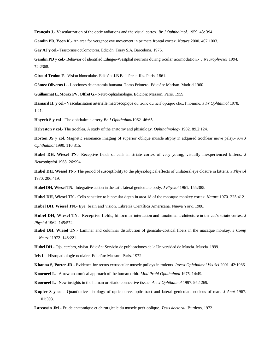**François J**.- Vascularization of the optic radiations and the visual cortex. *Br J Ophthalmol*. 1959. 43: 394.

**Gamlin PD, Yoon K**.- An area for vergence eye movement in primate frontal cortex. *Nature* 2000. 407:1003.

**Gay AJ y col**.- Trastornos oculomotores. Edición: Toray S.A. Barcelona. 1976.

**Gamlin PD y col**.- Behavior of identified Edinger-Westphal neurons during ocular acomodation.- *J Neurophysiol* 1994. 72:2368.

**Giraud-Teulon F**.- Vision binoculaire. Edición: J.B Baillière et fils. París. 1861.

**Gómez Oliveros L**.- Lecciones de anatomía humana. Tomo Primero. Edición: Marban. Madrid 1960.

**Guillaumat L, Morax PV, Offret G**.- Neuro-ophtalmologie. Edición: Masson. París. 1959.

**Hamard H. y col**.- Vascularisation arterielle macroscopique du tronc du nerf optique chez l'homme. *J Fr Ophtalmol* 1978. 1:21.

**Hayreh S y col**.- The ophthalmic artery *Br J Ophthalmol*1962. 46:65.

**Helveston y col**.- The trochlea. A study of the anatomy and phisiology. *Ophthalmology* 1982. 89,2:124.

**Horton JS y col**. Magnetic resonance imaging of superior oblique muscle atrphy in adquired trochlear nerve palsy.- *Am J Ophthalmol* 1990. 110:315.

**Hubel DH, Wiesel TN**.- Receptive fields of cells in striate cortex of very young, visually inexperienced kittens. *J Neurophysiol* 1963. 26:994.

**Hubel DH, Wiesel TN**.- The period of susceptibility to the physiological effects of unilateral eye closure in kittens. *J Physiol*  1970. 206:419.

**Hubel DH, Wiesel TN**.- Integrative action in the cat´s lateral geniculate body. *J Physiol* 1961. 155:385.

**Hubel DH, Wiesel TN**.- Cells sensitive to binocular depth in area 18 of the macaque monkey cortex. *Nature* 1970. 225:412.

**Hubel DH, Wiesel TN**.- Eye, brain and vision. Librería Científica Americana. Nueva York. 1988.

**Hubel DH, Wiesel TN**.- Receptive fields, binocular interaction and functional architecture in the cat's striate cortex. *J Physiol* 1962. 145:572.

- **Hubel DH, Wiesel TN**.- Laminar and columnar distribution of geniculo-cortical fibers in the macaque monkey. *J Comp Neurol* 1972. 146:221.
- **Hubel DH**.- Ojo, cerebro, visión. Edición: Servicio de publicaciones de la Universidad de Murcia. Murcia. 1999.

**Iris L**.- Histopathologie oculaire. Edición: Masson. París. 1972.

**Khanna S, Porter JD**.- Evidence for rectus extraocular muscle pulleys in rodents. *Invest Ophthalmol Vis Sci* 2001. 42:1986.

**Koorneef L**.- A new anatomical approach of the human orbit. *Mod Probl Ophthalmol* 1975. 14:49.

**Koorneef L**.- New insights in the human orbitario connective tissue. *Am J Ophthalmol* 1997. 95:1269.

**Kupfer S y col**.- Quantitative histology of optic nerve, optic tract and lateral geniculate nucleus of man. *J Anat* 1967. 101:393.

**Larcassin JM**.- Etude anatomique et chirurgicale du muscle petit oblique. *Tesis doctoral*. Burdeos, 1972.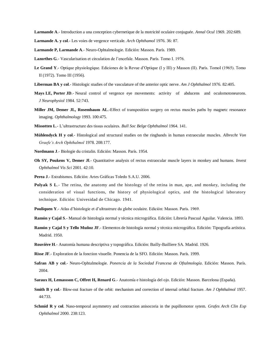**Larmande A**.- Introduction a una conception cybernetique de la motricité oculaire conjuguée. *Annal Ocul* 1969. 202:689.

**Larmande A. y col**.- Les voies de vergence verticale. *Arch Ophthamol* 1976. 36: 87.

**Larmande P, Larmande A**.- Neuro-Ophtalmologie. Edición: Masson. París. 1989.

- **Lazorthes G**.- Vascularisation et circulation de l'encefale. Masson. París. Tomo I. 1976.
- Le Grand Y.- Optique physiologique. Ediciones de la Revue d'Optique (I y III) y Masson (II). París. TomoI (1965). Tomo II (1972). Tomo III (1956).
- **Liberman BA y col**.- Histologic studies of the vasculature of the anterior optic nerve. *Am J Ophthalmol* 1976. 82:405.
- **Mays LE, Porter JD**.- Neural control of vergence eye movements: activity of abducens and oculomotoneurons. *J Neurophysiol* 1984. 52:743.
- **Miller JM, Demer JL, Rosembaum AL**.-Effect of transposition surgery on rectus muscles paths by magnetc resonance imaging. *Ophthalmology* 1993. 100:475.
- **Missotten L**.- L'ultrastructure des tissus oculaires. *Bull Soc Belge Ophthalmol* 1964. 141.
- **Mühlendyck H y col**.- Histological and structural studies on the ringbands in human extraocular muscles. *Albrecht Von Graefe's Arch Ophthalmol* 1978. 208:177.
- **Nordmann J**.- Biologie du cristalin. Edición: Masson. París. 1954.
- **Oh SY, Poukens V, Demer Jl.** Quantitative analysis of rectus extraocular muscle layers in monkey and humans. *Invest Ophthalmol Vis Sci* 2001. 42:10.
- **Perea J**.- Estrabismos. Edición: Artes Gráficas Toledo S.A.U. 2006.
- **Polyak S L.** The retina, the anatomy and the histology of the retina in man, ape, and monkey, including the consideration of visual functions, the history of physiological optics, and the histological laboratory technique. Edición: Univesidad de Chicago. 1941.
- **Pouliquen Y**.- Atlas d'histologie et d'ultrastrure du globe oculaire. Edición: Masson. París. 1969.
- **Ramón y Cajal S**.- Manual de histología normal y técnica micrográfica. Edición: Librería Pascual Aguilar. Valencia. 1893.
- **Ramón y Cajal S y Tello Muñoz JF**.- Elementos de histología normal y técnica micrográfica. Edición: Tipografía artística. Madrid. 1950.
- **Rouvière H**.- Anatomía humana descriptiva y topográfica. Edición: Bailly-Bailliere SA. Madrid. 1926.
- **Risse JF**.- Exploration de la fonction visuelle. Ponencia de la SFO. Edición: Masson. París. 1999.
- **Safran AB y col**.- Neuro-Ophtalmologie. *Ponencia de la Sociedad Francesa de Oftalmología*. Edición: Masson. París. 2004.
- **Saraux H, Lemassson C, Offret H, Renard G**.- Anatomía e histología del ojo. Edición: Masson. Barcelona (España).
- **Smith B y col**.- Blow-out fracture of the orbit: mechanism and correction of internal orbital fracture. *Am J Ophthalmol* 1957. 44:733.
- **Schmid R y col**. Naso-temporal asymmetry and contraction anisocoria in the pupillomotor sytem. *Grafes Arch Clin Exp Ophthalmol* 2000. 238:123.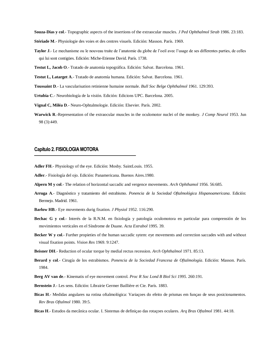**Souza-Dias y col**.- Topographic aspects of the insertions of the extraocular muscles. *J Ped Ophthalmol Strab* 1986. 23:183.

- **Stériade M**.- Physiologie des voies et des centres visuels. Edición: Masson. París. 1969.
- **Taylor J**.- Le mechanisme ou le nouveau traite de l'anatomie du globe de l'oeil avec l'usage de ses differentes parties, de celles qui lui sont contigües. Edición: Miche-Etienne David. París. 1738.
- **Testut L, Jacob O**.- Tratado de anatomía topográfica. Edición: Salvat. Barcelona. 1961.
- **Testut L, Latarget A**.- Tratado de anatomía humana. Edición: Salvat. Barcelona. 1961.
- **Toussaint D**.- La vascularisation retinienne humaine normale. *Bull Soc Belge Ophthalmol* 1961. 129:393.
- **Urtubia C**.- Neurobiología de la visión. Edición: Edicions UPC. Barcelona. 2005.
- **Vignal C, Miléa D**.- Neuro-Ophtalmologie. Edición: Elsevier. París. 2002.
- **Warwick R**.-Representation of the extraocular muscles in the oculomotor nuclei of the monkey. *J Comp Neurol* 1953. Jun 98 (3):449.

### **Capítulo 2. FISIOLOGIA MOTORA**

- **Adler FH**.- Physiology of the eye. Edición: Mosby. SaintLouis. 1955.
- **Adler**.- Fisiología del ojo. Edición: Panamericana. Buenos Aires.1980.
- **Alpern M y col**.- The relation of horizontal saccadic and vergence movements. *Arch Ophthamol* 1956. 56:685.
- **Arruga A**.- Diagnóstico y tratamiento del estrabismo. *Ponencia de la Sociedad Oftalmológica Hispanoamericana*. Edición: Bermejo. Madrid. 1961.
- **Barlow HB**.- Eye movements durig fixation. *J Physiol* 1952. 116:290.
- **Bechac G y col**.- Interés de la R.N.M. en fisiología y patología oculomotora en particular para comprensión de los movimientos verticales en el Síndrome de Duane. *Acta Estrabol* 1995. 39.
- **Becker W y col**.- Further propieties of the human saccadic sytem: eye movements and correction saccades with and without visual fixation points. *Vision Res* 1969. 9:1247.
- **Beisner DH**.- Reduction of ocular torque by medial rectus recession. *Arch Ophthalmol* 1971. 85:13.
- **Berard y col**.- Cirugía de los estrabismos. *Ponencia de la Sociedad Francesa de Oftalmología*. Edición: Masson. París. 1984.
- **Berg AV van de**.- Kinematis of eye movement control. *Proc R Soc Lond B Biol Sci 1995*. 260:191.
- **Bernstein J**.- Les sens. Edición: Librairie Germer Baillière et Cie. París. 1883.
- **Bicas H**.- Medidas angulares na rotina oftalmológica: Variaçoes do efeito de prismas em funçao de seus posicionamentos. *Rev Bras Oftalmol* 1980. 39:5.
- **Bicas H**.- Estudos da mecânica ocular. I. Sistemas de definiçao das rotaçoes oculares. *Arq Bras Oftalmol* 1981. 44:18.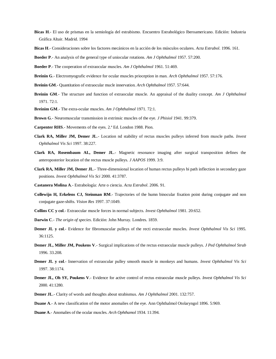- **Bicas H**.- El uso de prismas en la semiología del estrabismo. Encuentro Estrabológico Iberoamericano. Edición: Industria Gráfica Altair. Madrid. 1994
- **Bicas H**.- Consideraciones sobre los factores mecánicos en la acción de los músculos oculares. *Acta Estrabol*. 1996. 161.

**Boeder P**.- An analysis of the general type of uniocular rotations. *Am J Ophthalmol* 1957. 57:200.

- **Boeder P**.- The cooperation of extraocular muscles. *Am J Ophthalmol* 1961. 51:469.
- **Breinin G**.- Electromyografic evidence for ocular muscles prioception in man. *Arch Ophthalmol* 1957. 57:176.
- **Breinin GM**.- Quantitation of extraocular mucle innervation. *Arch Ophthalmol* 1957. 57:644.
- **Breinin GM**.- The structure and function of extraocular muscle. An appraisal of the duality concept. *Am J Ophthalmol*  1971. 72:1.
- **Breinim GM**.- The extra-ocular muscles. *Am J Ophthalmol* 1971. 72:1.
- **Brown G**.- Neuromuscular transmission in extrinsic muscles of the eye. *J Phisiol* 1941. 99:379.
- **Carpenter RHS**.- Movements of the eyes. 2.ª Ed. London 1988. Pion.
- **Clark RA, Miller JM, Demer JL**.- Location nd stability of rectus muscles pulleys inferred from muscle paths. *Invest Ophthalmol Vis Sci* 1997. 38:227.
- **Clark RA, Rosembaum AL, Demer JL**.- Magnetic resonance imaging after surgical transposition defines the anteroposterior location of the rectus muscle pulleys. *J AAPOS* 1999. 3:9.
- **Clark RA, Miller JM, Demer JL**.- Three-dimensional location of human rectus pulleys bi path inflection in secondary gaze positions. *Invest Ophthalmol Vis Sci* 2000. 41:3787.
- **Castanera Molina A**.- Estrabología: Arte o ciencia. *Acta Estrabol*. 2006. 91.
- **Collewijn H, Erkelens CJ, Steinman RM**.- Trajectories of the humn binocular fixation point during conjugate and non conjugate gaze-shifts. *Vision Res* 1997. 37:1049.
- **Collins CC y col**.- Extraocular muscle forces in normal subjects. *Invest Ophthalmol* 1981. 20:652.
- **Darwin C**.- *The origin of species*. Edición: John Murray. Londres. 1859.
- **Demer JL y col**.- Evidence for fibromuscular pulleys of the recti extraocular muscles. *Invest Ophthalmol Vis Sci* 1995. 36:1125.
- **Demer JL, Miller JM, Poukens V**.- Surgical implications of the rectus extraocular muscle pulleys. *J Ped Ophthalmol Strab*  1996. 33.208.
- **Demer JL y col**.- Innervation of extraocular pulley smooth muscle in monkeys and humans. *Invest Ophthalmol Vis Sci*  1997. 38:1174.
- **Demer JL, Oh SY, Poukens V**.- Evidence for active control of rectus extraocular muscle pulleys. *Invest Ophthalmol Vis Sci*  2000. 41:1280.
- **Demer JL**.- Clarity of words and thoughts about strabismus. *Am J Ophthalmol* 2001. 132:757.
- **Duane A**.- A new classification of the motor anomalies of the eye. Ann Ophthalmol Otolaryngol 1896. 5:969.
- **Duane A**.- Anomalies of the ocular muscles. *Arch Ophthamol* 1934. 11:394.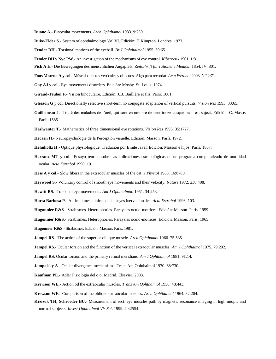**Duane A**.- Binocular movements. *Arch Ophthamol* 1933. 9:759.

- **Duke-Elder S**.- System of ophthalmology Vol VI. Edición: H.Kimpton. Londres. 1973.
- **Fender DH**.- Torsional motions of the eyeball. *Br J Ophthalmol* 1955. 39:65.
- **Fender DH y Nye PW**.- An investigation of the mechanisms of eye control. *Kibernetik* 1961. 1:81.
- **Fick A E**.- Die Bewegungen des menschlichen Augapfels. *Zeitschrift für rationelle Medicin* 1854. IV, 801.
- **Fons Moreno A y col**.- Músculos rectos verticales y oblicuos. Algo para recordar. *Acta Estrabol* 2003. N.º 2:71.
- **Gay AJ y col**.- Eye movements disorders. Edición: Mosby. St. Louis. 1974.
- **Giraud-Teulon F**.- Vision binoculaire. Edición: J.B. Baillière et fils. París. 1861.
- **Gleason G y col**. Directionally selective short-term no conjugate adaptation of vertical pursuits. *Vision Res* 1993. 33:65.
- **Guillemeau J**.- Traité des maladies de l'oeil, qui sont en nombre de cent treize ausquelles il est suject. Edición: C. Massé. París. 1585.
- **Haslwanter T**.- Mathematics of three dimensional eye rotations. *Vision Res* 1995. 35:1727.
- **Hécaen H**.- Neuropsychologie de la Perception visuelle. Edición: Masson. París. 1972.
- **Helmholtz H**.- Optique physiologique. Tradución por Emile Javal. Edición: Masson e hijos. París. 1867.
- **Herranz MT y col**.- Ensayo teórico sobre las aplicaciones estrabológicas de un programa computarizado de motilidad ocular. *Acta Estrabol* 1990. 19.
- **Hess A y col**.- Slow fibers in the extraocular muscles of the cat. *J Physiol* 1963. 169:780.
- **Heywood S**.- Voluntary control of smooth eye movements and their velocity. *Nature* 1972. 238:408.
- **Hewitt RS**.- Torsional eye movements. *Am J Ophthalmol*. 1951. 34:253.
- **Horta Barbosa P**.- Aplicaciones clínicas de las leyes inervacionales. *Acta Estrabol* 1996. 103.
- **Hugonnier R&S**.- Strabismes. Heterophories. Paraysies oculo-motrices. Edición: Masson. París. 1959.
- **Hugonnier R&S**.- Strabismes. Heterophories. Paraysies oculo-motrices. Edición: Masson. París. 1965.
- **Hugonnier R&S**.-Strabismes. Edición: Masson. París. 1981.
- **Jampel RS**.- The action of the superior oblique muscle. *Arch Ophthamol* 1966. 75:535.
- **Jampel RS**.- Ocular torsion and the function of the vertical extraocular muscles. *Am J Ophthalmol* 1975. 79:292.
- **Jampel RS**. Ocular torsion and the primary retinal meridians. *Am J Ophthalmol* 1981. 91:14.
- **Jampolsky A**.- Ocular divergence mechanisms. Trans Am Ophthalmol 1970. 68:730.
- **Kaufman PL**.- Adler Fisiología del ojo. Madrid. Elsevier. 2003.
- **Krewson WE**.- Action od the extraocular muscles. *Trans Am Ophthalmol* 1950. 48:443.
- **Krewson WE**.- Comparison of the oblique extraocular muscles. *Arch Ophthalmol* 1964. 32:204.
- **Krzizok TH, Schroeder BU**.- Measurement of recti eye muscles path by magnetic resonance imaging in high miopic and normal subjects. *Invest Ophthalmol Vis Sci*. 1999. 40:2554.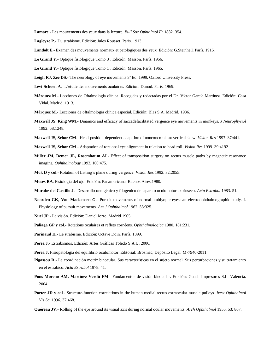**Lamare**.- Les mouvements des yeux dans la lecture. *Bull Soc Ophtalmol Fr* 1882. 354.

- **Lagleyze P**.- Du strabisme. Edición: Jules Rousset. París. 1913
- **Landolt E**.- Examen des mouvements normaux et patologiques des yeux. Edición: G.Steinheil. París. 1916.
- **Le Grand Y**.- Optique fisiologique Tomo 3º. Edición: Masson. París. 1956.
- **Le Grand Y**.- Optique fisiologique Tomo 1º. Edición: Masson. París. 1965.
- **Leigh RJ, Zee DS**.- The neurology of eye movements 3ª Ed. 1999. Oxford University Press.
- **Lévi-Schoen A**.- L'etude des mouvements oculaires. Edición: Dunod. París. 1969.
- **Márquez M**.- Lecciones de Oftalmología clínica. Recogidas y redactadas por el Dr. Víctor García Martínez. Edición: Casa Vidal. Madrid. 1913.
- **Márquez M**.- Lecciones de oftalmología clínica especial. Edición: Blas S.A. Madrid. 1936.
- **Maxwell JS, King WM**.- Dinamics and efficacy of saccadefacilitated vergence eye movements in monkeys. *J Neurophysiol*  1992. 68:1248.
- **Maxwell JS, Schor CM**.- Head-position-dependent adapttion of nonconcomitant vertical skew. *Vision Res* 1997. 37:441.
- **Maxwell JS, Schor CM**.- Adaptation of torsional eye alignment in relation to head roll. *Vision Res* 1999. 39:4192.
- **Miller JM, Demer JL, Rosembaum AI**.- Effect of transposition surgery on rectus muscle paths by magnetic resonance imaging. *Ophthalmology* 1993. 100:475.
- **Mok D y col**.- Rotation of Listing's plane during vergence. *Vision Res* 1992. 32:2055.
- **Moses RA**. Fisiología del ojo. Edición: Panamericana. Buenos Aires.1980.
- **Murube del Castillo J**.- Desarrollo ontogénico y filogénico del aparato oculomotor extrínseco. *Acta Estrabol* 1983. 51.
- **Noorden GK, Von Mackensen G**.- Pursuit movements of normal amblyopic eyes: an electroophthalmographic study. I. Physiology of pursuit movements. *Am J Ophthalmol* 1962. 53:325.
- **Nuel JP**.- La visión. Edición: Daniel Jorro. Madrid 1905.
- **Paliaga GP y col**.- Rotations oculaires et reflets cornéens. *Ophthalmologica* 1980. 181:231.
- **Parinaud H**.- Le strabisme. Edición: Octave Doin. París. 1899.
- **Perea J**.- Estrabismos. Edición: Artes Gráficas Toledo S.A.U. 2006.
- **Perea J.** Fisiopatología del equilibrio oculomotor. Editorial: Brosmac, Depósito Legal: M-7940-2011.
- **Pigassou R**.- La coordinación motriz binocular. Sus características en el sujeto normal. Sus perturbaciones y su tratamiento en el estrábico. *Acta Estrabol* 1978. 41.
- **Pons Moreno AM, Martínez Verdú FM**.- Fundamentos de visión binocular. Edición: Guada Impresores S.L. Valencia. 2004.
- **Porter JD y col**.- Structure-function correlations in the human medial rectus extraocular muscle pulleys. *Ivest Ophthalmol Vis Sci* 1996. 37:468.
- **Quéreau JV**.- Rolling of the eye around its visual axis during normal ocular movements. *Arch Ophthalmol* 1955. 53: 807.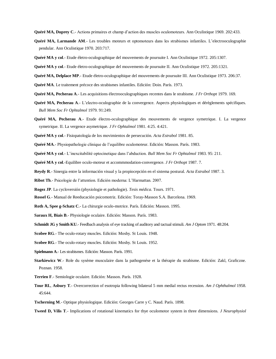**Quéré MA, Duprey C**.- Actions primaires et champ d'action des muscles oculomoteurs. Ann Oculistique 1969. 202:433.

- **Quéré MA, Larmande AM**.- Les troubles moteurs et optomoteurs dans les strabismes infantiles. L'electrooculographie pendular. Ann Oculistique 1970. 203:717.
- **Quéré MA y col**.- Etude életro-oculographique del mouvements de poursuite I. Ann Oculistique 1972. 205:1307.
- **Quéré MA y col**.- Etude életro-oculographique del mouvements de poursuite II. Ann Oculistique 1972. 205:1321.

**Quéré MA, Delplace MP**.- Etude életro-oculographique del mouvements de poursuite III. Ann Oculistique 1973. 206:37.

- **Quéré MA**. Le traitement précoce des strabismes infantiles. Edición: Doin. París. 1973.
- **Quéré MA, Pecherau A**.- Les acquisitions électrooculographiques recentes dans le strabisme. *J Fr Orthopt* 1979. 169.
- **Quéré MA, Pecherau A**.- L'electro-oculographie de la convergence. Aspects physiologiques et dérèglements spécifiques. *Bull Mem Soc Fr Ophtalmol* 1979. 91:249.
- **Quéré MA, Pecherau A**.- Etude électro-oculographique des mouvements de vergence symetrique. I. La vergence symetrique. II. La vergence asymetrique. *J Fr Ophtalmol* 1981. 4:25. 4:421.
- **Quéré MA y col**.- Fisiopatología de los movimientos de persecución. *Acta Estrabol* 1981. 85.
- **Quéré MA**.- Physiopathologie clinique de l'equilibre oculomoteur. Edición: Masson. París. 1983.
- **Quéré MA y col**.- L'inexcitabilité optocinetique dans l'abduction. *Bull Mem Soc Fr Ophtalmol* 1983. 95: 211.
- **Quéré MA y col**.-Equilibre oculo-moteur et accommmodation-convergence. *J Fr Orthopt* 1987. 7.
- **Reydy R**.- Sinergia entre la información visual y la propiocepción en el sistema postural. *Acta Estrabol* 1987. 3.
- **Ribot Th**.- Psicologie de l'attention. Edición moderna: L'Harmattan. 2007.
- **Rogez JP**. La cycloversión (physiologie et pathologie). *Tesis médica*. Tours. 1971.
- **Rossel G**.- Manual de Reeducación psicomotriz. Edición: Toray-Masson S.A. Barcelona. 1969.
- **Roth A, Spee g-Schatz C**.- La chirurgie oculo-motrice. París. Edición: Masson. 1995.
- **Saraux H, Biais B**.- Physiologie oculaire. Edición: Masson. París. 1983.
- **Schmidt JG y Smith KU.**-Feedbach analysis of eye tracking of auditory and tactual stimuli. *Am J Optom* 1971. 48:204.
- **Scobee RG**.- The oculo-rotary muscles. Edición: Mosby. St Louis. 1948.
- **Scobee RG**.- The oculo-rotary muscles. Edición: Mosby. St Louis. 1952.
- **Spielmann A**.- Les strabismes. Edición: Masson. París. 1991.
- **Starkiewicz W**.- Role du sysème musculaire dans la pathogenése et la thérapie du strabisme. Edición: Zakl, Graficzne. Poznan. 1958.
- **Terrien F**.- Semiologie oculaire. Edición: Masson. París. 1928.
- **Tour RL**, **Asbury T**.- Overcorrection of esotropia following bilateral 5 mm medial rectus recession. *Am J Ophthalmol* 1958. 45:644.
- **Tscherning M**.- Optique physiologique. Edición: Georges Carre y C. Naud. París. 1898.
- **Tweed D, Vilis T**.- Implications of rotational kinematics for thye oculomotor system in three dimensions. *J Neurophysiol*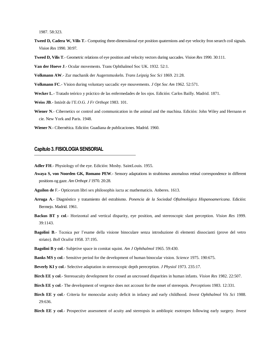1987. 58:323.

- **Tweed D, Cadera W, Vilis T.** Computing three-dimensiional eye position quaternions and eye velocity fron serarch coil signals. *Vision Res* 1990. 30:97.
- **Tweed D, Vilis T**.- Geometric relations of eye position and velocity vectors during saccades. *Vision Res* 1990. 30:111.

**Van der Hoeve J**.- Ocular movements. Trans Ophthalmol Soc UK. 1932. 52:1.

**Volkmann AW**.- Zur machanik der Augernmuskeln. *Trans Leipzig Soc Sci* 1869. 21:28.

**Volkmann FC**.- Vision during voluntary saccadic eye mouvements. *J Opt Soc Am* 1962. 52:571.

- **Wecker L**.- Tratado teórico y práctico de las enfermedades de los ojos. Edición: Carlos Bailly. Madrid. 1871.
- **Weiss JB**.- Intérêt de l'E.O.G. *J Fr Orthopt* 1983. 101.
- **Wiener N**.- Cibernetics or control and communication in the animal and the machina. Edición: John Wiley and Hernann et cie. New York and Paris. 1948.
- **Wiener N**.- Cibernética. Edición: Guadiana de publicaciones. Madrid. 1960.

## **Capítulo 3. FISIOLOGIA SENSORIAL**

**Adler FH**.- Physiology of the eye. Edición: Mosby. SaintLouis. 1955.

- **Awaya S, von Noorden GK, Romano PEW**.- Sensory adaptations in strabismus anomalous retinal correspondence in different positions og gaze. *Am Orthopt J* 1970. 20:28.
- **Aguilon de** F.- Opticorum libri sex philosophis iucta ac mathematicis. Anberes. 1613.
- **Arruga A**.- Diagnóstico y tratamiento del estrabismo. *Ponencia de la Sociedad Oftalmológica Hispanoamericana*. Edición: Bermejo. Madrid. 1961.
- **Backus BT y col**.- Horizontal and vertical disparity, eye position, and stereoscopic slant perception. *Vision Res* 1999. 39:1143.
- **Bagolini B**.- Tecnica per l'esame della visione binoculare senza introduzione di elementi dissocianti (prove del vetro striato). *Boll Oculist* 1958. 37:195.
- **Bagolini B y col**.- Subjetive space in comitat squint. *Am J Ophthalmol* 1965. 59:430.

**Banks MS y col**.- Sensitive period for the development of human binocular vision. *Science* 1975. 190:675.

- **Beverly KI y col**.- Selective adaptation in stereoscopic depth pereception. *J Physiol* 1973. 235:17.
- **Birch EE y col**.- Stereoacuity development for crosed an uncrossed disparities in human infants. *Vision Res* 1982. 22:507.
- **Birch EE y col**.- The development of vergence does not account for the onset of stereopsis. *Perceptions* 1983. 12:331.
- **Birch EE y col**.- Criteria for monocular acuity deficit in infancy and early childhood. *Invest Ophthalmol Vis Sci* 1988. 29:636.
- **Birch EE y col**.- Prospective assessment of acuity and stereopsis in ambliopic esotropes following early surgery. *Invest*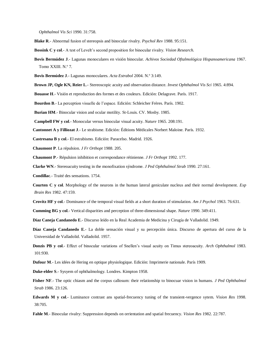*Ophthalmol Vis Sci* 1990. 31:758.

- **Blake R**.- Abnormal fusion of stereopsis and binocular rivalry. *Psychol Rev* 1988. 95:151.
- **Bossink C y col**.- A test of Levelt's second proposition for binocular rivalry. *Vision Research.*
- **Bovis Bermúdez J**.- Lagunas monoculares en visión binocular. *Achivos Sociedad Oftalmológica Hispanoamericana* 1967. Tomo XXIII. N.º 7.
- **Bovis Bermúdez J**.- Lagunas monoculares. *Acta Estrabol* 2004. N.º 3:149.
- **Brown JP, Ogle KN, Reier L**.- Stereoscopic acuity and observation distance. *Invest Ophthalmol Vis Sci* 1965. 4:894.
- **Bouasse H**.- Visión et reproduction des formes et des couleurs. Edición: Delagrave. París. 1917.

**Bourdon B**.- La perception visuelle de l'espace. Edición: Schleicher Frères. París. 1902.

**Burian HM**.- Binocular vision and ocular motility. St-Louis. CV. Mosby. 1985.

**Campbell FW y col**.- Monocular versus binocular visual acuity. *Nature* 1965. 208:191.

**Cantonnet A y Filliozat J**.- Le strabisme. Edición: Éditions Médicales Norbert Maloine. París. 1932.

**Castresana B y col**.- El estrabismo. Edición: Paracelso. Madrid. 1926.

- **Chaumont P**. La répulsion. *J Fr Orthopt* 1988. 205.
- **Chaumont P**.- Répulsion inhibition et correspondance rétinienne. *J Fr Orthopt* 1992. 177.

**Clarke WN**.- Stereoacuity testing in the monofixation sýndrome. *J Ped Ophthalmol Strab* 1990. 27:161.

**Condillac**.- Traité des sensations. 1754.

**Courten C y col**. Morphology of the neurons in the human lateral geniculate nucleus and their normal development. *Exp Brain Res* 1982. 47:159.

**Crovitz HF y col**.- Dominance of the temporal visual fields at a short duration of stimulation. *Am J Psychol* 1963. 76:631.

**Cumming BG y col**.- Vertical disparities and perception of three-dimensional shape. *Nature* 1990. 349:411.

**Díaz Caneja Candanedo E**.- Discurso leído en la Real Academia de Medicina y Cirugía de Valladolid. 1949.

- **Díaz Caneja Candanedo E**.- La doble sensación visual y su percepción única. Discurso de apertura del curso de la Universidad de Valladolid. Valladolid. 1957.
- **Donzis PB y col**.- Effect of binocular variations of Snellen's visual acuity on Timus stereoacuity. *Arch Ophthalmol* 1983. 101:930.
- **Dufour M**.- Les idées de Hering en optique physiologique. Edición: Imprimerie nationale. París 1909.
- **Duke-elder S**.- Sysyem of ophthalmology. Londres. Kimpton 1958.
- **Fisher NF**.- The optic chiasm and the corpus callosum: their relationship to binocuar vision in humans. *J Ped Ophthalmol Strab* 1986. 23:126.
- **Edwards M y col**.- Luminance contrast ans spatial-frecuency tuning of the transient-vergence sytem. *Vision Res* 1998. 38:705.

**Fahle M**.- Binocular rivalry: Suppression depends on orrientation and spatial frecuency. *Vision Res* 1982. 22:787.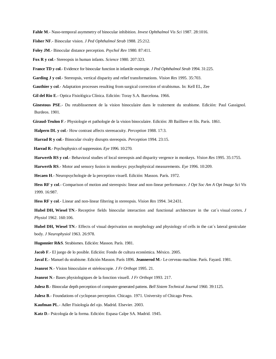**Fahle M**.- Naso-temporal asymmetry of binocular inhibition. *Invest Ophthalmol Vis Sci* 1987. 28:1016.

**Fisher NF**.- Binocular vision. *J Ped Ophthalmol Strab* 1988. 25:212.

**Foley JM**.- Binocular distance perception. *Psychol Rev* 1980. 87:411.

**Fox R y col**.- Stereopsis in human infants. *Science* 1980. 207:323.

**France TD y col**.- Evidence for binocular function in infantile esotropie. *J Ped Ophthalmol Strab* 1994. 31:225.

**Garding J y col**.- Stereopsis, vertical disparity and relief transformations. *Vision Res* 1995. 35:703.

**Gauthier y col**.- Adaptation processes resulting from surgical correction of strabismus. In: Kell EL, Zee

**Gil del Rio E**.- Optica Fisiológica Clínica. Edición: Toray S.A. Barcelona. 1966.

**Ginestous PSE**.- Du retablissement de la vision binoculaire dans le traitement du strabisme. Edición: Paul Gassignol. Burdeos. 1901.

**Giraud-Teulon F**.- Physiologie et pathologie de la vision binoculaire. Edición: JB Bailliere et fils. París. 1861.

**Halpern DL y col**.- How contrast affects stereoacuity. *Perception* 1988. 17:3.

**Harrad R y col**.- Binocular rivalry disrupts stereopsis. *Perception* 1994. 23:15.

**Harrad R**.-Psychophysics of suppression. *Eye* 1996. 10:270.

**Harwerth RS y col**.- Behavioral studies of local stereopsis and disparity vergence in monkeys. *Vision Res* 1995. 35:1755.

**Harwerth RS**.- Motor and sensory fusion in monkeys: psychophysical measurements. *Eye* 1996. 10:209.

**Hecaen H**.- Neuropsychologie de la perception visuell. Edición: Masson. París. 1972.

**Hess RF y col**.- Comparison of motion and stereopsis: linear and non-linear performance. *J Opt Soc Am A Opt Image Sci Vis*  1999. 16:987.

**Hess RF y col**.- Linear and non-linear filtering in stereopsis. *Vision Res* 1994. 34:2431.

**Hubel DH, Wiesel TN**.- Receptive fields binocular interaction and functional architecture in the cat´s visual cortex. *J Physiol* 1962. 160:106.

**Hubel DH, Wiesel TN**.- Effects of visual deprivation on morphology and physiology of cells in the cat's lateral geniculate body. *J Neurophysiol* 1963. 26:978.

**Hugonnier R&S**. Strabismes. Edición: Masson. París. 1981.

**Jacob F**.- El juego de lo posible. Edición: Fondo de cultura económica. México. 2005.

**Javal E**.- Manuel du strabisme. Edición Masson. París 1896. **Jeannerod M**.- Le cerveau-machine. París. Fayard. 1981.

**Jeanrot N**.- Vision binoculaire et stéréoscopie. *J Fr Orthopt* 1995. 21.

**Jeanrot N**.- Bases physiologiques de la fonction visuell. *J Fr Orthopt* 1993. 217.

**Julesz B**.- Binocular depth perception of computer-generated pattens. *Bell Sistem Technical Journal* 1960. 39:1125.

**Julesz B.**- Foundations of cyclopean perception. Chicago. 1971. University of Chicago Press.

**Kaufman PL**.- Adler Fisiología del ojo. Madrid. Elsevier. 2003.

**Katz D**.- Psicología de la forma. Edición: Espasa Calpe SA. Madrid. 1945.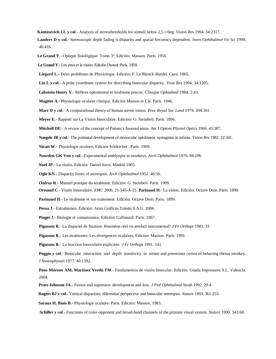**Kontesevich LL y col**.- Analysis of stereothresholds for stimuli below 2,5 c/deg. *Vision Res* 1994. 34:2317.

**Landers D y col**.- Stereoscopic depth fading is disparity and spatial frecuency dependent. *Inves Ophthalmol Vis Sci* 1999. 40:416.

**Le Grand Y**.- Optique fisiológique. Tomo 3º. Edición: Masson. París. 1956.

 **Le Grand Y**.- Les yeux et la visión. Edición Dunod. París. 1959.

**Liegard L**.- Deux problèmes de Physiologie. Edición: F. Le Blanck-Hardel. Caen. 1865.

**Liu L y col**.- A polar coordinate system for describing binocular disparity. *Visio Res* 1994. 34:1205.

**Lobstein-Henry Y**.- Réflexe optomoteur et strabisme precoz. *Clinique Ophtalmol* 1984. 2:43.

**Magitot A**.- Physiologie oculaire clinique. Edición Masson et Cie. París. 1946.

**Marr D y col**.- A computational theory of human stereo vision. *Proc Royal Soc Lond* 1979. 204:301.

**Meyer E**.- Rapport sur La Vision binoculaire. Edición: G. Steinheil. París. 1896.

**Mitchell DE**.- A review of the concept of Panum's fusional areas. *Am J Optom Physiol Optics* 1966. 43:387.

**Naegele JR y col**.- The postnatal development of monocular optokinetic nystagmus in infants. *Vision Res* 1982. 22:341.

**Nicati W**.- Physiologie oculaire, Edición Schleicher . París. 1909.

**Noorden GK Von y col**.- Experimental amblyopia in monkeys. *Arch Ophthalmol* 1970. 84:206.

 **Nuel JP**.- La visión. Edición: Daniel Jorro. Madrid 1905.

**Ogle KN**.- Disparity limits of stereopsis. *Arch Ophthalmol* 1952. 48:50.

**Onfray R**.- Manuel pratique du strabisme. Edición: G. Steinheil. París. 1909.

 **Orssaud C**.- Visión binoculaire. *EMC* 2006. 21-545-A-25. **Parinaud H**.- La vision. Edición: Octave Doin. París. 1898.

**Parinaud H**.- Le strabisme et son traitement. Edición: Octave Doin. París. 1899.

**Perea J**.- Estrabismos. Edición: Artes Gráficas Toledo S.A.U. 2006.

**Piaget J**.- Biologie et connaissance. Edición: Gallimard. París. 1967.

**Pigassou R**.- La disparité de fixation: fènomène réel ou artefact instrumental? *J Fr Orthopt* 1983. 31.

**Pigassou R**.- Les strabismes: Les divergences oculaires. Edición: Masson. París. 1991.

**Pigassou R**.- La fonction binoculaire explicitée. *J Fr Orthopt* 1991. 141.

**Poggio y col.**- Binocular interaction and depth sensitivity in striate and preestriate cortex of behaving rhesus monkey. J Neurophysiol 1977. 40:1392.

**Pons Moreno AM, Martínez Verdú FM**.- Fundamentos de visión binocular. Edición: Guada Impresores S.L. Valencia. 2004.

 **Pratt-Johnson JA**.- Fusion and supresion: development and loss. *J Ped Ophthalmol Strab* 1992. 29:4.

 **Rogers BJ y col**.- Vertical disparities, diferential perspective and binocular stereopsis. *Nature* 1993. 361:253.

**Saraux H, Biais B**.- Physiologie oculaire. París. Edición: Masson. 1983.

 **Schiller y col**.- Functions of color-opponent and broad-band channels of the primate visual system. *Nature* 1990. 343:68.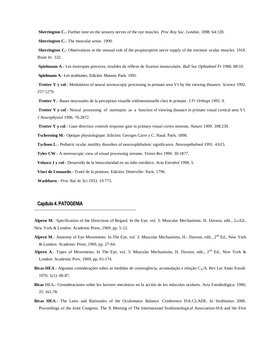**Sherrington C.**- Further note on the sensory nerves of the eye muscles. *Proc Roy Soc. London*. 1898. 64:120.

**Sherrington C.**- The muscular sense. 1900.

**Sherrington C.**- Observations in the sensual role of the propioceptive nerve supply of the extrinsic ocular muscles. 1918. Brain 41. 332.

**Spielmann A**.- Les ésotropies precoces, troubles du réflexe de fixation monoculaire. *Bull Soc Ophtalmol Fr* 1988. 88:10.

**Spielmann A**.- Les strabismes. Edición: Masson. París. 1991.

**Trotter Y y col**.- Modulation of neural stereoscopic processing in primate area V1 by the viewing distance. *Science* 1992. 257:1279.

**Trotter Y**.- Bases neuronales de la perception visuelle tridimensionelle chez le primate. *J Fr Orthopt* 1995. 9.

**Trotter Y v col.**- Neural processing of stereopsis as a function of viewing distance in primate visual cortical area V1. *J Neurophysiol* 1996. 76:2872.

**Trotter Y y col**.- Gaze direction controls response gain in primary visual cortex neurons. *Nature* 1999. 398:239.

**Tscherning M**.- Optique physiologique. Edición: Georges Carre y C. Naud. París. 1898.

**Tychsen L**.- Pediatric ocular motility disorders of neuroophthalmic significance. *Neuroopthalmol* 1991. 4:615.

**Tyler CW**.- A stereoscopic view of visual processing streams. *Vision Res* 1990. 30:1877.

**Velasco J y col**.- Desarrollo de la binocularidad en un niño estrábico. *Acta Estrabol* 1998. 5.

**Vinci de Leonardo**.- Traité de la peinture. Edición: Deterville- París. 1796.

 **Washburn**.- *Proc Nat Ac Sci* 1933. 19:773.

# **Capítulo 4. PATOGENIA**

**Alpern M.**- Specification of the Directions of Regard. In the Eye, vol. 3: Muscular Mechanisms. H. Davson, edit., 2nd Ed., New York & London: Academic Press, 1969; pp. 5-12.

- **Alpern M.** Anatomy of Eye Movements. In The Eye, vol. 3: Muscular Mechanisms, H.- Davson, edit., 2<sup>nd</sup> Ed., New York & London: Academic Press, 1969, pp. 27-64.
- Alpern A.- Types of Movements. In The Eye, vol. 3: Muscular Mechanisms, H. Davson, edit., 2<sup>nd</sup> Ed., New York & London: Academic Prev, 1969, pp. 65-174.
- **Bicas HEA**.- Algumas considerações sobre as medidas de convergência, acomodação e relação C<sub>A</sub>/A. Rev Lat Amer Estrab. 1976: 1(1): 68-87.
- **Bicas** HEA.- Consideraciones sobre los factores mecánicos en la acción de los músculos oculares. Acta Estrabológica: 1996; 25: 161-78.
- **Bicas HEA**.- The Laws and Rationales of the Oculomotor Balance. Conference ISA-CLADE. In Strabismus 2006. Proceedings of the Joint Congress. The X Meeting of The International Strabismological Association-ISA and the First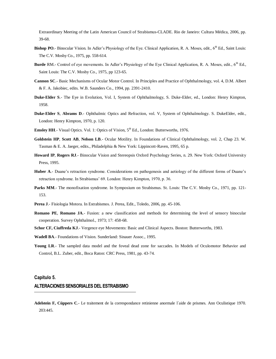Extraordinary Meeting of the Latin American Council of Strabismus-CLADE. Rio de Janeiro: Cultura Médica, 2006, pp. 39-68.

- Bishop PO.- Binocular Vision. In Adler's Physiology of the Eye. Clinical Application, R. A. Moses, edit., 6<sup>th</sup> Ed., Saint Louis: The C.V. Mosby Co., 1975, pp. 558-614.
- **Burde** RM.- Control of eye movements. In Adler's Physiology of the Eye Clinical Application, R. A. Moses, edit., 6<sup>th</sup> Ed., Saint Louis: The C.V. Mosby Co., 1975, pp 123-65.
- **Cannon SC**.- Basic Mechanisms of Ocular Motor Control. In Principles and Practice of Ophthalmology, vol. 4, D.M. Albert & F. A. Jakobiec, edits. W.B. Saunders Co., 1994, pp. 2391-2410.
- **Duke-Elder S**.- The Eye in Evolution, Vol. I, System of Ophthalmology, S. Duke-Elder, ed., London: Henry Kimpton, 1958.
- **Duke-Elder S**, **Abrams D**.- Ophthalmic Optics and Refraction, vol. V, System of Ophthalmology. S. DukeElder, edit., London: Henry Kimpton, 1970, p. 120.
- **Emsley HH.** Visual Optics. Vol. 1: Optics of Vision, 5<sup>th</sup> Ed., London: Butterworths, 1976.
- **Goldstein HP**, **Scott AB**, **Nelson LB**.- Ocular Motility. In Foundations of Clinical Ophthalmology, vol. 2, Chap 23. W. Tasman & E. A. Jaeger, edits., Philadelphia & New York: Lippincott-Raven, 1995, 65 p.
- **Howard IP**, **Rogers RJ**.- Binocular Vision and Stereopsis Oxford Psychology Series, n. 29. New York: Oxford University Press, 1995.
- **Huber A**.- Duane's retraction syndrome. Considerations on pathogenesis and aetiology of the different forms of Duane's retraction syndrome. In Strabismus' 69. London: Henry Kimpton, 1970, p. 36.
- **Parks MM.** The monofixation syndrome. In Symposium on Strabismus. St. Louis: The C.V. Mosby Co., 1971, pp. 121-153.
- **Perea J**.- Fisiologia Motora. In Estrabismos. J. Perea, Edit., Toledo, 2006, pp. 45-106.
- **Romano PE**, **Romano JA**.- Fusion: a new classification and methods for determining the level of sensory binocular cooperation. Survey Ophthalmol., 1973; 17: 458-68.
- **Schor CF, Ciuffreda KJ**.- Vergence eye Movements: Basic and Clinical Aspects. Boston: Butterworths, 1983.
- **Wadell BA**.- Foundations of Vision. Sunderland: Sinauer Assoc., 1995.
- Young LR.- The sampled data model and the foveal dead zone for saccades. In Models of Oculomotor Behavior and Control, B.L. Zuber, edit., Boca Raton: CRC Press, 1981, pp. 43-74.

### **Capítulo 5.**

## **ALTERACIONES SENSORIALES DEL ESTRABISMO**

**Adelstein F, Cüppers C**.- Le traitement de la correspondance retinienne anormale l´aide de prismes. Ann Oculistique 1970. 203:445.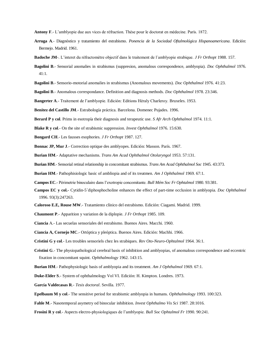**Antony F**.- L'amblyopie due aux vices de réfraction. Thése pour le doctorat en médecine. París. 1872.

- **Arruga A**.- Diagnóstico y tratamiento del estrabismo. *Ponencia de la Sociedad Oftalmológica Hispanoamericana*. Edición: Bermejo. Madrid. 1961.
- **Badoche JM**-. L'interet du réfractomètre objectif dans le traitement de l´amblyopie strabique. *J Fr Orthopt* 1988. 157.
- **Bagolini B**.- Sensorial anomalies in strabismus (suppresion, anomalous correspondence, amblyopia). *Doc Ophthalmol* 1976. 41:1.
- **Bagolini B**.- Sensorio-motorial anomalies in strabismus (Anomalous movements). *Doc Ophthalmol* 1976. 41:23.
- **Bagolini B**.- Anomalous correspondance. Definition and diagnosis methods. *Doc Ophthalmol* 1978. 23:346.
- **Bangerter A**.- Traitement de l'amblyopie. Edición: Editions Héraly Charleroy. Bruxeles. 1953.
- **Benítez del Castillo JM**.- Estrabología práctica. Barcelona. Domenec Pujades. 1996.
- **Berard P y col**. Prims in esotropía their diagnosis and terapeutic use. *S Afr Arch Ophthalmol* 1974. 11:1.
- **Blake R y col**.- On the site of strabismic suppression. *Invest Ophthalmol* 1976. 15:630.
- **Bongard CH**.- Les fausses esophories. *J Fr Orthopt* 1987. 127.
- **Bonnac JP, Mur J**.- Correction optique des amblyopes. Edición: Masson. París. 1967.
- **Burian HM**.- Adaptative mechanisms. *Trans Am Acad Ophthalmol Otolaryngol* 1953. 57:131.
- **Burian HM**.-Sensorial retinal relationship in concomitant strabismus. *Trans Am Acad Ophthalmol Soc* 1945. 43:373.
- **Burian HM**.- Pathophisiologic basic of ambliopia and of its treatmen. *Am J Ophthalmol* 1969. 67:1.
- **Campos EC**.- Périmetrie binoculaire dans l'exotropie concomitante. *Bull Mém Soc Fr Ophtalmol* 1980. 93:381.
- **Campos EC y col.-** Cytidin-5´diphosphocholine enhances the effect of part-time occlusion in amblyopia. *Doc Ophthalmol*  1996. 93(3):247263.
- **Caloroso E.E, Rouse MW**.- Tratamiento clínico del estrabismo. Edición: Ciagami. Madrid. 1999.
- **Chaumont P**.- Apparition y variation de la diplopie. *J Fr Orthopt* 1985. 109.
- **Ciancia** A.- Las secuelas sensoriales del estrabismo. Buenos Aires. Macchi. 1960.
- **Ciancia A, Cornejo MC**.- Ortóptica y pleóptica. Buenos Aires. Edición: Machhi. 1966.
- **Cristini G y col**.- Les troubles sensoriels chez les strabiques. *Rev Oto-Neuro-Ophtalmol* 1964. 36:1.
- **Cristini G**.- The physiopathological cerebral basis of inhibition and amblyopias, of anomalous correspondence and eccentric fixation in concomitant squint. *Ophthalmology* 1962. 143:15.
- **Burian HM**.- Pathophysiologic basis of amblyopia and its treatment. *Am J Ophthalmol* 1969. 67:1.
- **Duke-Elder S**.- System of ophthalmology Vol VI. Edición: H. Kimpton. Londres. 1973.
- **García Valdecasas R**.- *Tesis doctoral*. Sevilla. 1977.
- **Epelbaum M y col**.- The sensitive period for strabismic amblyopia in humans. *Ophthalmology* 1993. 100:323.
- **Fahle M**.- Nasotemporal asymetry od binocular inhibition. *Invest Ophthalmo Vis Sci* 1987. 28:1016.
- **Frosini R y col**.- Aspects electro-physiologiques de l'amblyopie. *Bull Soc Ophtalmol Fr* 1990. 90:241.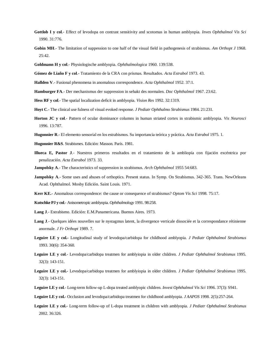- **Gottlob I y col**.- Effect of levodopa on contrast sensitivity and scotomas in human amblyopia. *Inves Ophthalmol Vis Sci*  1990. 31:776.
- **Gobin MH**.- The limitation of suppession to one half of the visual field in pathogenesis of strabismus. *Am Orthopt J* 1968. 25:42.
- **Goldmann H y col**.- Physiologische amblyopia. *Ophthalmologica* 1960. 139:538.
- **Gómez de Liaño F y col**.- Tratamiento de la CRA con prismas. Resultados. *Acta Estrabol* 1973. 43.
- **Hallden V**.- Fusional phenomena in anomalous correspondence. *Acta Ophthalmol* 1952. 37:1.
- **Hamburger FA**.- Der mechanismus der suppression in sehakt des normalen. *Doc Ophthalmol* 1967. 23:62.
- **Hess RF y col**.- The spatial localization deficit in amblyopia. *Vision Res* 1992. 32:1319.
- **Hoyt C**.- The clinical use fulness of visual evoked response. *J Pediatr Ophthalmo Strabismus* 1984. 21:231.
- **Horton JC y col**.- Pattern of ocular dominance columns in human striated cortex in strabismic amblyopia. *Vis Neurosci*  1996. 13:787.
- **Hugonnier R**.- El elemento sensorial en los estrabismos. Su importancia teórica y práctica. *Acta Estrabol* 1975. 1.
- **Hugonnier R&S**. Strabismes. Edición: Masson. París. 1981.
- **Illueca E, Pastor J**.- Nuestros primeros resultados en el tratamiento de la ambliopía con fijación excéntrica por penalización. *Acta Estrabol* 1973. 33.
- **Jampolsky A**.- The characteristics of suppression in strabismus. *Arch Ophthalmol* 1955 54:683.
- **Jampolsky A.** Some uses and abuses of orthoptics. Present status. In Symp. On Strabismus. 342-365. Trans. NewOrleans Acad. Ophthalmol. Mosby Edición. Saint Louis. 1971.
- **Kerr KE.** Anomalous correspondence: the cause or consequence of strabismus? *Optom Vis Sci* 1998. 75:17.
- **Kutschke PJ y col**.- Anisometropic amblyopia. *Ophthalmology* 1991. 98:258.
- **Lang J**.- Estrabismo. Edición: E.M.Panamericana. Buenos Aires. 1973.
- **Lang J**.- Quelques idées nouvelles sur le nystagmus latent, la divergence verticale dissociée et la correspondance rétinienne anormale. *J Fr Orthopt* 1989. 7.
- **Leguire LE y col.-** Longitudinal study of levodopa/carbidopa for childhood amblyopia. *J Pediatr Ophthalmol Strabismus* 1993. 30(6): 354-360.
- **Leguire LE y col**.- Levodopa/carbidopa treatmen for amblyiopia in older children. *J Pediatr Ophthalmol Strabismus* 1995. 32(3): 143-151.
- **Leguire LE y col.-** Levodopa/carbidopa treatmen for amblyiopia in older children. *J Pediatr Ophthalmol Strabismus* 1995. 32(3): 143-151.
- **Leguire LE y col**.- Long-term follow-up L-dopa treated amblyopic children. *Invest Ophthalmol Vis Sci* 1996. 37(3): S941.
- **Leguire LE y col.-** Occlusion and levodopa/carbidopa treatmen for childhood amblyopia. *J AAPOS* 1998. 2(5):257-264.
- **Leguire LE y col.-** Long-term follow-up of L-dopa treatment in children with amblyopia. *J Pediatr Ophthalmol Strabismus* 2002. 36:326.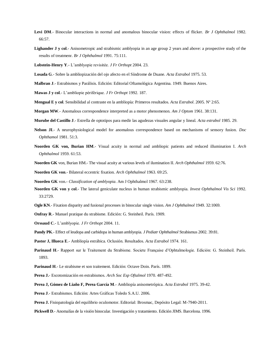- **Levi DM**.- Binocular interactions in normal and anomalous binocular vision: effects of flicker. *Br J Ophthalmol* 1982. 66:57.
- **Lighander J y col**.- Anisometropic and strabismic amblyopia in an age group 2 years and above: a prospective study of the results of treatmenr. *Br J Ophthalmol* 1991. 75:111.
- **Lobstein-Henry Y**.- L'amblyopie revisitée. *J Fr Orthopt* 2004. 23.
- **Losada G**.- Sobre la ambliopización del ojo afecto en el Síndrome de Duane. *Acta Estrabol* 1975. 53.
- **Malbran J**.- Estrabismos y Parálisis. Edición: Editorial Oftamológica Argentina. 1949. Buenos Aires.
- **Mawas J y col**.- L'ambliopie périférique. *J Fr Orthopt* 1992. 187.
- **Mengual E y col**. Sensibilidad al contraste en la ambliopía: Primeros resultados. *Acta Estrabol*. 2005. Nº 2:65.
- **Morgan MW**.- Anomalous correspondence interpreted as a motor phenomenon. *Am J Optom* 1961. 38:131.
- **Murube del Castillo J**.- Estrella de optotipos para medir las agudezas visuales angular y lineal. *Acta estrabol* 1985. 29.
- **Nelson JI**.- A neurophysiological model for anomalous correspondence based on mechanisms of sensory fusion. *Doc Ophthamol* 1981. 51:3.
- **Noorden GK von, Burian HM**.- Visual acuity in normal and ambliopic patients and reduced illumination I. *Arch Ophthalmol* 1959. 61:53.
- **Noorden GK** von, Burian HM.- The visual acuity at various levels of ilumination II. *Arch Ophthalmol* 1959. 62:76.
- **Noorden GK von**.- Bilateral eccentric fixation. *Arch Ophthalmol* 1963. 69:25.
- **Noorden GK** von.- *Classification of amblyopia*. Am J Ophthalmol 1967. 63:238.
- **Noorden GK von y col**.- The lateral geniculate nucleus in human strabismic amblyopia. *Invest Ophthalmol Vis Sci* 1992. 33:2729.
- **Ogle KN**.- Fixation disparity and fusional processes in binocular single vision. *Am J Ophthalmol* 1949. 32:1069.
- **Onfray R**.- Manuel pratique du strabisme. Edición: G. Steinheil. París. 1909.
- **Orssaud C**.- L'amblyopie. *J Fr Orthopt* 2004. 11.
- **Pandy PK**.- Effect of leudopa and carbidopa in human amblyopia. *J Pediatr Ophthalmol* Strabismus 2002. 39:81.
- **Pastor J, Illueca E**.- Ambliopía estrábica. Oclusión. Resultados. *Acta Estrabol* 1974. 161.
- **Parinaud H**.- Rapport sur le Traitement du Strabisme. Societe Française d'Ophtalmologie. Edición: G. Steinheil. París. 1893.
- **Parinaud H**.- Le strabisme et son traitement. Edición: Octave Doin. París. 1899.
- **Perea J.** Escotomización en estrabismos. *Arch Soc Esp Oftalmol* 1970. 487-492.
- **Perea J, Gómez de Liaño F, Perea García M**.- Ambliopía anisometrópica. *Acta Estrabol* 1975. 39-42.
- **Perea J**.- Estrabismos. Edición: Artes Gráficas Toledo S.A.U. 2006.
- **Perea J.** Fisiopatología del equilibrio oculomotor. Editorial: Brosmac, Depósito Legal: M-7940-2011.
- **Pickwell D**.- Anomalías de la visión binocular. Investigación y tratamiento. Edición JIMS. Barcelona. 1996.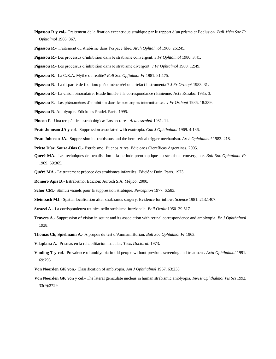- **Pigassou R y col.-** Traitement de la fixation excentrique strabique par le rapport d'un prisme et l'oclusion. *Bull Mém Soc Fr Ophtalmol* 1966. 367.
- **Pigassou R**.- Traitement du strabisme dans l'espace libre. *Arch Ophtalmol* 1966. 26:245.
- **Pigassou R**.- Les processus d'inhibition dans le strabisme convergent. *J Fr Ophtalmol* 1980. 3:41.
- **Pigassou R**.- Les processus d'inhibition dans le strabisme divergent. *J Fr Ophtalmol* 1980. 12:49.
- **Pigassou R**.- La C.R.A. Mythe ou réalité? *Bull Soc Opftalmol Fr* 1981. 81:175.
- **Pigassou R**.- La disparité de fixation: phénomène réel ou artefact instrumental? *J Fr Orthopt* 1983. 31.
- **Pigassou R**.- La visión binoculaire: Etude limitée à la correspondance rétinienne. Acta Estrabol 1985. 3.
- **Pigassou** R.- Les phénomènes d'inhibition dans les exotropies intermittentes. *J Fr Orthopt* 1986. 18:239.
- **Pigassou R**. Amblyopie. Ediciones Pradel. París. 1995.
- **Pincon F.** Una terapéutica estrabológica: Los sectores. *Acta estrabol* 1981. 11.
- **Pratt-Johnson JA y col**.- Suppression associated with exotropia. *Can J Ophthalmol* 1969. 4:136.
- **Pratt Johnson JA**.- Suppression in strabismus and the hemiretinal trigger mechanism. *Arch Ophthalmol* 1983. 218.
- **Prieto Díaz, Souza-Dias C**.- Estrabismo. Buenos Aires. Ediciones Científicas Argentinas. 2005.
- **Quéré MA**.- Les techniques de penalisation a la periode preothoptique du strabisme convergente. *Bull Soc Ophtalmol Fr*  1969. 69:365.
- **Quéré MA**.- Le traitement précoce des strabismes infantiles. Edición: Doin. París. 1973.
- **Romero Apis D**.- Estrabismo. Edición: Auroch S.A. Méjico. 2000.
- **Schor CM**.- Stimuli visuels pour la suppression strabique. *Perception* 1977. 6:583.
- **Steinbach MJ**.- Spatial localisation after strabismus surgery. Evidence for inflow. *Science* 1981. 213:1407.
- **Strazzi A**.- La corrispondenza retinica nello strabismo funzionale. *Boll Oculit* 1950. 29:517.
- **Travers A**.- Suppression of vision in squint and its association with retinal correspondence and amblyopia. *Br J Ophthalmol*  1938.
- **Thomas Ch, Spielmann A**.- A propos du test d'AmmannBurian. *Bull Soc Ophtalmol Fr* 1963.
- **Vilaplana A**.- Prismas en la rehabilitación macular. *Tesis Doctoral*. 1973.
- **Vinding T y col**.- Prevalence of amblyopia in old people without previous screening and treatment. *Acta Ophthalmol* 1991. 69:796.
- **Von Noorden GK von**.- Classification of amblyopia. *Am J Ophthalmol* 1967. 63:238.
- **Von Noorden GK von y col**.- The lateral geniculate nucleus in human strabismic amblyopia. *Invest Ophthalmol Vis Sci* 1992. 33(9):2729.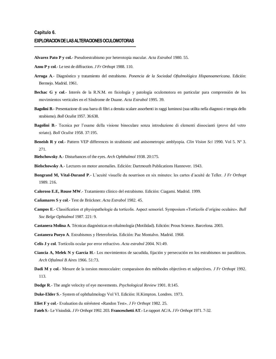- **Alvarez Pato P y col.** Pseudoestrabismo por heterotopia macular. *Acta Estrabol* 1980. 55.
- **Azou P y col**.- Le test de diffraction. *J Fr Orthopt* 1988. 110.
- **Arruga A**.- Diagnóstico y tratamiento del estrabismo. *Ponencia de la Sociedad Oftalmológica Hispanoamericana*. Edición: Bermejo. Madrid. 1961.
- **Bechac G y col**.- Interés de la R.N.M. en fisiología y patología oculomotora en particular para comprensión de los movimientos verticales en el Síndrome de Duane. *Acta Estrabol* 1995. 39.
- **Bagolini B**.- Presentazione di una barra di filtri a densita scalare assorbenti in raggi luminosi (sua utilita nella diagnosi e terapia dello strabismo). *Boll Oculist* 1957. 36:638.
- **Bagolini B**.- Tecnica per l'esame della visione binoculare senza introduzione di elementi dissocianti (prove del vetro striato). *Boll Oculist* 1958. 37:195.
- **Beneish R y col**.- Pattern VEP differences in strabismic and anisometropic amblyopia. *Clin Vision Sci* 1990. Vol 5. Nº 3. 271.

**Bielschowsky A**.- Disturbances of the eyes. *Arch Ophthalmol* 1938. 20:175.

- **Bielschowsky A**.- Lectures on motor anomalies. Edición: Dartmouth Publications Hannover. 1943.
- **Bongrand M, Vital-Durand P**.- L'acuité visuelle du nourrison en six minutes: les cartes d´acuité de Teller. *J Fr Orthopt*  1989. 216.
- **Caloroso E.E, Rouse MW**.- Tratamiento clínico del estrabismo. Edición: Ciagami. Madrid. 1999.
- **Cañamares S y col**.- Test de Brückner. *Acta Estrabol* 1982. 45.
- **Campos E**.- Classification et physiopathologie du torticolis. Aspect sensoriel. Symposium «Torticolis d'origine oculaire». *Bull Soc Belge Ophtalmol* 1987. 221: 9.
- **Castanera Molina A**. Técnicas diagnósticas en oftalmología (Motilidad). Edición: Prous Science. Barcelona. 2003.
- **Castanera Pueyo A**. Estrabismos y Heteroforias. Edición: Paz Montalvo. Madrid. 1968.
- **Celis J y col**. Tortícolis ocular por error refractivo. *Acta estrabol* 2004. N1:49.
- **Ciancia A, Melek N y García H**.- Los movimientos de sacudida, fijación y persecución en los estrabismos no paralíticos. *Arch Oftalmol B Aires* 1966. 51:73.
- **Dadi M y col**.- Mesure de la torsion monoculaire: comparaison des méthodes objectives et subjectives. *J Fr Orthopt* 1992. 113.
- **Dodge R**.- The angle velocity of eye movements. *Psychological Review* 1901. 8:145.
- **Duke-Elder S**.- System of ophthalmology Vol VI. Edición: H.Kimpton. Londres. 1973.
- **Eliet F y col**.- Evaluation du stéréotest «Randon Test». *J Fr Orthopt* 1982. 25.
- **Fateh S**.- Le Visiodisk. *J Fr Orthopt* 1992. 203. **Franceschetti AT**.- Le rapport AC/A. *J Fr Orthopt* 1971. 7-32.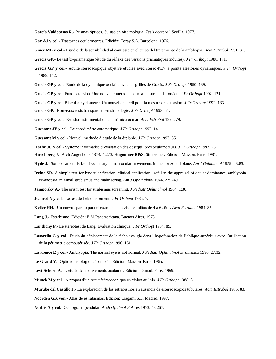**García Valdecasas R**.- Prismas ópticos. Su uso en oftalmología. *Tesis doctoral*. Sevilla. 1977.

- **Gay AJ y col**.- Trastornos oculomotores. Edición: Toray S.A. Barcelona. 1976.
- **Giner ML y col**.- Estudio de la sensibilidad al contraste en el curso del tratamiento de la ambliopía. *Acta Estrabol* 1991. 31.
- **Gracis GP**.- Le test bi-prismatique (étude du réflexe des versions prismatiques induites). *J Fr Orthopt* 1988. 171.
- **Gracis GP y col**.- Acuité stéréoscopique objetive étudiée avec stéréo-PEV à points aléatoires dynamiques. *J Fr Orthopt*  1989. 112.
- **Gracis GP y col**.- Etude de la dynamique oculaire avec les grilles de Gracis. *J Fr Orthopt* 1990. 189.
- **Gracis GP y col**. Fundus torsion. Une nouvelle méthode pour la mesure de la torsion. *J Fr Orthopt* 1992. 121.
- **Gracis GP y col**. Biocular-cyclometre. Un nouvel appareil pour la mesure de la torsion. *J Fr Orthopt* 1992. 133.

**Gracis GP**.- Nouveaux tests transparents en strabologie. *J Fr Orthopt* 1993. 61.

- **Gracis GP y col**.- Estudio instrumental de la dinámica ocular. *Acta Estrabol* 1995. 79.
- **Guessant JY y col**.- Le coordimètre automatique. *J Fr Orthopt* 1992. 141.
- **Guessant M y col**.- Nouvell méthode d'etude de la diplopie. *J Fr Orthopt* 1993. 55.
- **Hache JC y col**.- Système informatisé d'evaluation des déséquilibres oculomoteurs. *J Fr Orthopt* 1993. 25.
- **Hirschberg J**.- Arch Augenheilk 1874. 4:273. **Hugonnier R&S**. Strabismes. Edición: Masson. París. 1981.
- **Hyde J**.- Some characteristics of voluntary human ocular movements in the horizontal plane. *Am J Ophthamol* 1959. 48:85.
- **Irvine SR** A simple test for binocular fixation: clinical application useful in the appraisal of ocular dominance, amblyopia ex-anopsia, minimal strabismus and malingering. *Am J Ophthalmol* 1944. 27: 740.
- **Jampolsky A**.- The prism test for strabismus screening. *J Pediatr Ophthalmol* 1964. 1:30.
- **Jeanrot N y col**.- Le test de l'eblouissement. *J Fr Orthopt* 1985. 7.
- **Keller HH**.- Un nuevo aparato para el examen de la vista en niños de 4 a 6 años. *Acta Estrabol* 1984. 85.
- **Lang J**.- Estrabismo. Edición: E.M.Panamericana. Buenos Aires. 1973.
- **Lanthony P**.- Le stereotest de Lang. Evaluation clinique. *J Fr Orthopt* 1984. 89.
- **Lasorella G y col**.- Etude du déplacement de la tâche aveugle dans l'hypofonction de l'oblique supérieur avec l'utilisation de la périmétrie computérisée. *J Fr Orthopt* 1990. 161.
- **Lawrence E y col**.- Amblyopia: The normal eye is not normal. *J Pediatr Ophthalmol Strabismus* 1990. 27:32.
- **Le Grand Y**.- Optique fisiologique Tomo 1º. Edición: Masson. París. 1965.
- **Lévi-Schoen A**.- L'etude des mouvements oculaires. Edición: Dunod. París. 1969.
- **Munck M y col**.- A propos d'un test stétéreoscopique en vision au loin. *J Fr Orthopt* 1988. 81.
- **Murube del Castillo J**.- La exploración de los estrabismos en ausencia de estereoscopios tubulares. *Acta Estrabol* 1975. 83.
- **Noorden GK von**.- Atlas de estrabismos. Edición: Ciagami S.L. Madrid. 1997.
- **Norbis A y col**.- Oculografía pendular. *Arch Oftalmol B Aires* 1973. 48:267.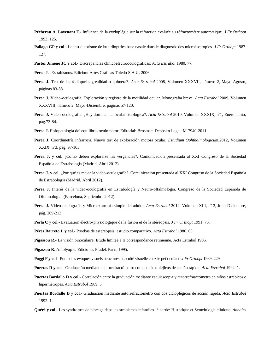- **Pécherau A, Lavenant F**.- Influence de la cycloplégie sur la réfraction évaluée au réfractomètre automatique. *J Fr Orthopt*  1993. 125.
- **Paliaga GP y col**.- Le test du prisme de huit dioptries base nasale dans le diagnostic des microésotropies. *J Fr Orthopt* 1987. 127.
- **Pastor Jimeno JC y col**.- Discrepancias clínicoelectrooculográficas. *Acta Estrabol* 1980. 77.
- **Perea J**.- Estrabismos. Edición: Artes Gráficas Toledo S.A.U. 2006.
- **Perea J.** Test de las 4 dioptrías ¿realidad o quimera?. *Acta Estrabol* 2008, Volumen XXXVII, número 2, Mayo-Agosto, páginas 83-88.
- **Perea J.** Video-oculografía. Exploración y registro de la motilidad ocular. Monografía breve. *Acta Estrabol* 2009, Volumen XXXVIII, número 2, Mayo-Diciembre, páginas 57-120.
- **Perea J.** Video-oculografía. ¿Hay dominancia ocular fisiológica?. *Acta Estrabol* 2010, Volumen XXXIX, nº1, Enero-Junio, pág.73-84.
- **Perea J.** Fisiopatología del equilibrio oculomotor. Editorial: Brosmac, Depósito Legal: M-7940-2011.
- **Perea J.** Coordimetría infrarroja. Nuevo test de exploración motora ocular. *Estudium Ophthalmologicum*.2012, Volumen XXIX, nº3, pág. 97-103.
- **Perea J. y col.** ¿Cómo deben explorarse las vergencias?. Comunicación presentada al XXI Congreso de la Sociedad Española de Estrabología (Madrid, Abril 2012).
- **Perea J. y col.** ¿Por qué es mejor la video-oculografía?. Comunicación presentada al XXI Congreso de la Sociedad Española de Estrabología (Madrid, Abril 2012).
- Perea J. Interés de la video-oculografía en Estrabología y Neuro-oftalmología. Congreso de la Sociedad Española de Oftalmología. (Barcelona, Septiembre 2012).
- **Perea J.** Video-oculografía y Microexotropía simple del adulto. *Acta Estrabol* 2012, Volumen XLI, nº 2, Julio-Diciembre, pág. 209-213
- **Perla C y col**.- Evaluation électro-physiologique de la fusion et de la stéréopsis. *J Fr Orthopt* 1991. 75.

**Pérez Barreto L y col**.- Pruebas de estereopsis: estudio comparativo. *Acta Estrabol* 1986. 63.

- **Pigassou R**.- La visión binoculaire: Etude limitée à la correspondance rétinienne. Acta Estrabol 1985.
- **Pigassou R**. Amblyopie. Ediciones Pradel. París. 1995.
- **Poggi F y col**.- Potentiels évoqués visuels structures et acuité visuelle chez le petit enfant. *J Fr Orthopt* 1989. 229.
- **Puertas D y col**.- Graduación mediante autorrefractómetro con dos ciclopléjicos de acción rápida. *Acta Estrabol* 1992. 1.
- **Puertas Bordallo D y col**.- Correlación entre la graduación mediante esquiascopia y autorrefraactómetro en niños estrábicos e hipermétropes. *Acta Estrabol* 1989. 5.
- **Puertas Bordallo D y col**.- Graduación mediante autorrefractómetro con dos cicloplégicos de acción rápida. *Acta Estrabol*  1992. 1.
- **Quéré y col**.- Les syndromes de blocage dans les strabismes infantiles 1ª partie: Historique et Semeiologie clinique. *Annales*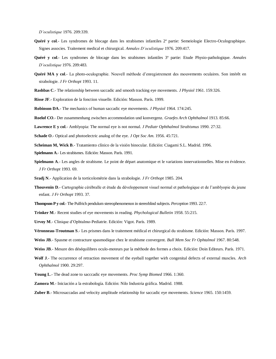*D'oculistique* 1976. 209:339.

- **Quéré y col**.- Les syndromes de blocage dans les strabismes infantiles 2ª partie: Semeiologie Electro-Oculographique. Signes associes. Traitement medical et chirurgical. *Annales D'oculistique* 1976. 209:417.
- **Quéré y col**.- Les syndromes de blocage dans les strabismes infantiles 3ª partie: Etude Physio-pathologique. *Annales D'oculistique* 1976. 209:483.
- **Quéré MA y col**.- La photo-oculographie. Nouvell méthode d'enregistrement des mouvements oculaires. Son intérêt en strabologie. *J Fr Orthopt* 1993. 11.
- **Rashbas C**.- The relationship between saccadic and smooth tracking eye movements. *J Physiol* 1961. 159:326.
- **Risse JF**.- Exploration de la fonction visuelle. Edición: Masson. París. 1999.
- **Robinson DA**.- The mechanics of human saccadic eye movements. *J Physiol* 1964. 174:245.
- **Roelof CO**.- Der zusammenhang zwischen accommodation und konvergenz. *Graefes Arch Ophthalmol* 1913. 85:66.
- **Lawrence E y col**.- Amblyopia: The normal eye is not normal. *J Pediatr Ophthalmol Strabismus* 1990. 27:32.
- **Schade O**.- Optical and photoelectric analog of the eye. *J Opt Soc Am*. 1956. 45:721.
- **Scheiman M, Wick B**.- Tratamiento clínico de la visión binocular. Edición: Ciagami S.L. Madrid. 1996.
- **Spielmann A**.- Les strabismes. Edición: Masson. París. 1991.
- **Spielmann A**.- Les angles de strabisme. Le point de départ anatomique et le variations innervationnelles. Mise en évidence. *J Fr Orthopt* 1993. 69.
- **Sradj N**.- Application de la torticolométrie dans la strabologie. *J Fr Orthopt* 1985. 204.
- **Thouvenin D**.- Cartographie cérébralle et étude du développement visuel normal et pathologique et de l'amblyopie du jeune enfant. *J Fr Orthopt* 1993. 37.
- **Thompson P y col.** The Pulfrich pendulum stereophenomenon in stereoblind subjects. *Perception* 1993. 22:7.
- **Trinker M**.- Recent studies of eye movements in reading. *Phychological Bulletin* 1958. 55:215.
- **Urvoy M**.- Clinique d'Ophtalmo-Pediatrie. Edición: Vigot. París. 1989.
- **Véronneau-Troutman S**.- Les prismes dans le traitement médical et chirurgical du strabisme. Edición: Masson. París. 1997.
- **Weiss JB**.- Spasme et contracture spasmodique chez le strabisme convergent. *Bull Mem Soc Fr Ophtalmol* 1967. 80:548.
- **Weiss JB**.- Mesure des déséquilibres oculo-moteurs par la méthode des formes a choix. Edición: Doin Editeurs. París. 1971.
- **Wolf J**.- The occurrence of retraction movement of the eyeball together wirh congenital defects of external muscles. *Arch Ophthalmol* 1900. 29:297.
- **Young L**.- The dead zone to sacccadic eye movements. *Proc Symp Biomed* 1966. 1:360.
- **Zamora M**.- Iniciación a la estrabología. Edición: Nilo Industria gráfica. Madrid. 1988.
- **Zuber B**.- Microsaccadas and velocity amplitude relationship for saccadic eye movements. *Science* 1965. 150:1459.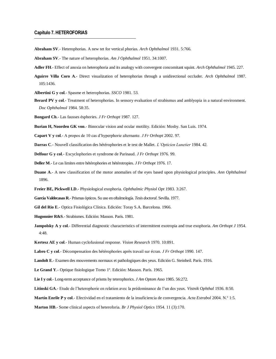# **Capítulo 7. HETEROFORIAS**

**Abraham SV**.- Heterophorias. A new tet for vertical phorias. *Arch Ophthalmol* 1931. 5:766.

**Abraham SV**.- The nature of heterophorias. *Am J Ophthalmol* 1951. 34:1007.

- **Adler FH**.- Effect of anoxia on heterophoria and its analogy with convergent concomitant squint. *Arch Ophthalmol* 1945. 227.
- **Aguirre Villa Coro A**.- Direct visualization of heterophorias through a unidirectional occluder. *Arch Ophthalmol* 1987. 105:1436.
- **Albertini G y col**.- Spasme et heterophorias. *SSCO* 1981. 53.
- **Berard PV y col.** Treatment of heterophorias. In sensory evaluation of strabismus and amblyopia in a natural environment. *Doc Ophthalmol* 1984. 58:35.
- **Bongard Ch**.- Las fausses ésphories. *J Fr Orthopt* 1987. 127.
- **Burian H, Noorden GK von**.- Binocular vision and ocular motility. Edición: Mosby. San Luis. 1974.
- **Capart V y col**.- A propos de 10 cas d'hyperphorie alternante. *J Fr Orthopt* 2002. 97.
- **Darras C**.- Nouvell classification des hétérophories et le test de Mallet. *L'Opticien Lunetier* 1984. 42.
- **Delfour G y col**.- Excyclophories et syndrome de Parinaud. *J Fr Orthopt* 1976. 99.
- **Deller M**.- Le cas limites entre hétérophories et hétérotropies. *J Fr Orthopt* 1976. 17.
- **Duane A**.- A new classification of the motor anomalies of the eyes based upon physiological principles. *Ann Ophthalmol*  1896.
- **Freier BE, Pickwell LD**.- Physiological exophoria. *Ophthalmic Physiol Opt* 1983. 3:267.
- **García Valdecasas R**.-Prismas ópticos. Su uso en oftalmología. *Tesis doctoral*. Sevilla. 1977.
- **Gil del Rio E**.- Optica Fisiológica Clínica. Edición: Toray S.A. Barcelona. 1966.
- **Hugonnier R&S**.-Strabismes. Edición: Masson. París. 1981.
- **Jampolsky A y col**.- Differential diagnostic characteristics of intermittent exotropia and true exophoria. *Am Orthopt J* 1954. 4:48.
- **Kertesz AE y col**.- Human cyclofusional response. *Vision Research* 1970. 10:891.
- **Labro C y col**.- Décompensation des hétérophories après travail sur écran. *J Fr Orthopt* 1990. 147.
- **Landolt E**.- Examen des mouvements normaux et pathologiques des yeux. Edición G. Steinheil. París. 1916.
- **Le Grand Y**.- Optique fisiologique Tomo 1º. Edición: Masson. París. 1965.
- **Lie I y col**.- Long-term acceptance of prisms by teterophorics. *J Am Optom Asso* 1985. 56:272.
- **Litinski GA**.- Etude de l'heterophorie en relation avec la prédominance de l'un des yeux. *Vistnik Ophthal* 1936. 8:50.
- **Martín Enrile P y col**.- Efectividad en el tratamiento de la insuficiencia de convergencia. *Acta Estrabol* 2004. N.º 1:5.
- **Marton HB**.- Some clinical aspects of heteroforia. *Br J Physiol Optics* 1954. 11 (3):170.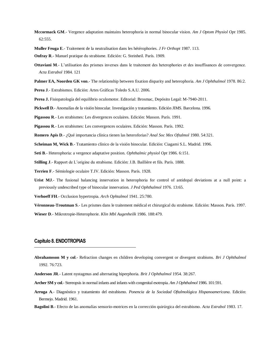- **Mccormack GM**.- Vergence adaptation maintains heterophoria in normal binocular vision. *Am J Optom Physiol Opt* 1985. 62:555.
- **Muller Feuga E**.- Traitement de la neutralisation dans les hétérophories. *J Fr Orthopt* 1987. 113.

**Onfray R**.- Manuel pratique du strabisme. Edición: G. Steinheil. París. 1909.

- **Ottaviani M**.- L'utilisation des prismes inverses dans le traitement des heterophories et des insuffisances de convergence. *Acta Estrabol* 1984. 121
- **Palmer EA, Noorden GK von**.- The relationship between fixation disparity and heterophoria. *Am J Ophthalmol* 1978. 86:2.

**Perea J**.- Estrabismos. Edición: Artes Gráficas Toledo S.A.U. 2006.

**Perea J.** Fisiopatología del equilibrio oculomotor. Editorial: Brosmac, Depósito Legal: M-7940-2011.

**Pickwell D**.- Anomalías de la visión binocular. Investigación y tratamiento. Edición JIMS. Barcelona. 1996.

**Pigassou R**.- Les strabismes: Les divergences oculaires. Edición: Masson. París. 1991.

**Pigassou R**.- Les strabismes: Les convergences oculaires. Edición: Masson. París. 1992.

**Romero Apis D**.- ¿Qué importancia clínica tienen las heteroforias? *Anal Soc Mex Oftalmol* 1980. 54:321.

**Scheiman M, Wick B**.- Tratamiento clínico de la visión binocular. Edición: Ciagami S.L. Madrid. 1996.

**Seti B**.- Heterophoria: a vergence adaptative position. *Ophthalmic physiol Opt* 1986. 6:151.

**Stilling J**.- Rapport de L'origine du strabisme. Edición: J.B. Baillière et fils. París. 1888.

**Terrien F**.- Sémiologie oculaire T.IV. Edición: Masson. París. 1928.

**Urist MJ**.- The fusional balancing innervation in heterophoria for control of antidopal deviations at a null point: a previously undescribed type of binocular innervation. *J Ped Ophthalmol* 1976. 13:65.

**Verhoeff FH**.- Occlusion hypertropia. *Arch Ophtalmol* 1941. 25:780.

**Véronneau-Troutman S**.- Les prismes dans le traitement médical et chirurgical du strabisme. Edición: Masson. París. 1997. **Wieser D**.- Mikrotropie-Heterophorie. *Klin Mbl Augenheilk* 1986. 188:479.

## **Capítulo 8. ENDOTROPIAS**

- **Abrahamsson M y col**.- Refraction changes en children developing convergent or divergent strabisms. *Bri J Ophthalmol*  1992. 76:723.
- **Anderson JR**.- Latent nystagmus and alternating hiperphoria. *Brit J Ophthalmol* 1954. 38:267.
- **Archer SM y col**.-Stereopsis in normal infants and infants with congenital esotropia. *Am J Ophthalmol* 1986. 101:591.
- **Arruga A**.- Diagnóstico y tratamiento del estrabismo. *Ponencia de la Sociedad Oftalmológica Hispanoamericana*. Edición: Bermejo. Madrid. 1961.
- **Bagolini B**.- Efecto de las anomalías sensorio-motrices en la corrección quirúrgica del estrabismo. *Acta Estrabol* 1983. 17.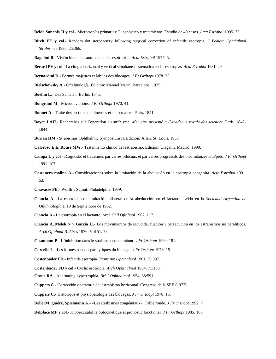**Belda Sanchis JI y col**.- Microtropías primarias: Diagnóstico y tratamiento. Estudio de 40 casos. *Acta Estrabol* 1995. 35.

- **Birch EE y col**.- Random dot stereoacuity following surgical correction of infantile esotropia. *J Pediatr Ophthalmol Strabismus* 1995. 26:366.
- **Bagolini B**.- Visión binocular anómala en las esotropías. *Acta Estrabol* 1977. 5.
- **Berard PV y col**.- La cirugía horizontal y vertical simultánea sistemática en las esotropías. *Acta Estrabol* 1981. 29.
- **Bernardini D**.- Formes majeures et labiles des blocages. *J Fr Orthopt* 1978. 35.
- **Bielschowsky A**.- Oftalmología. Edición: Manuel Marín. Barcelona. 1925.
- **Boehm L**.- Das Schielen. Berlin. 1845.
- **Bongrand M**.- Microdeviations. *J Fr Orthopt* 1970. 41.
- **Bonnet A**.- Traité des sections tendineuses et musculaires. París. 1841.
- **Boyer LAH**.- Recherches sur l'operation du strabisme. *Memoire présenté a l'Academie royale des sciences*. París. 1842- 1844.
- **Burian HM**.- Strabismus Ophthalmic Symposium II. Edición: Allen. St. Louis. 1958
- **Caloroso E.E, Rouse MW**.- Tratamiento clínico del estrabismo. Edición: Ciagami. Madrid. 1999.
- **Campa L y col**.- Diagnostic et traitement par verres bifocaux et par verres progressifs des incomitances loin/près. *J Fr Orthopt*  1991. 107.
- **Castanera molina A**.- Consideraciones sobre la limitación de la abducción en la esotropía congénita. *Acta Estrabol* 1991. 53.
- **Chavasse FB**.- Worth's Squint. Philadelphia. 1939.
- **Ciancia A**.- La esotropía con limitación bilateral de la abeducción en el lactante. Leído en la *Sociedad Argentina de Oftalmología* el 19 de Septiembre de 1962.
- **Ciancia A**.- La esotropía en el lactante. *Arch Chil Oftalmol* 1962. 117.
- **Ciancia A, Melek N y García H**.- Los movimientos de sacudida, fijación y persecución en los estrabismos no paralíticos. *Arch Oftalmol B. Aires* 1976. Vol 51. 73.
- **Chaumont P**.- L'inhibition dans le strabisme concomitant. *J Fr Orthopt* 1990. 181.
- **Corcelle L**.- Les formes pseudo-paralytiques du blocage. *J Fr Orthopt* 1978. 15.
- **Costenbader FD**.- Infantile esotropia. *Trans Am Ophthalmol* 1961. 59:397.
- **Costenbader FD y col**.- Cyclic esotropia. *Arch Ophthalmol* 1964. 71:180.
- **Crone RA**.- Alternating hypertrophia. *Bri J Ophthalmol* 1954. 38:591.
- **Cüppers C**.- Corrección operatoria del estrabismo horizontal. Congreso de la SEE (1973).
- **Cüppers C**.- Historique et physiopatologie des blocages. *J Fr Orthopt* 1978. 15.
- **DellerM, Quéré, Spielmann A**.- «Les strabismes congénitaux». Table ronde. *J Fr Orthopt* 1992. 7.
- **Delplace MP y col**.- Hipoexcitabilité optocinetique et pronostic fonctionel. *J Fr Orthopt* 1985. 186.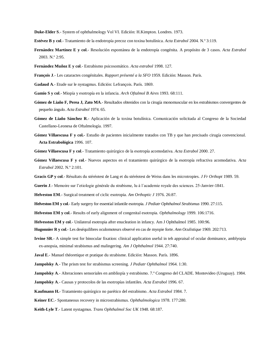**Duke-Elder S**.- System of ophthalmology Vol VI. Edición: H.Kimpton. Londres. 1973.

- **Estévez B y col**.- Tratamiento de la endotropía precoz con toxina botulínica. *Acta Estrabol* 2004. N.º 3:119.
- **Fernández Martínez E y col**.- Resolución espontánea de la endotropía congénita. A propósito de 3 casos. *Acta Estrabol*  2003. N.º 2:95.
- **Fernández Muñoz E y col**.- Estrabismo psicosomático. *Acta estrabol* 1998. 127.
- **François J**.- Les cataractes congénitales. *Rapport présenté a la SFO* 1959. Edición: Masson. París.
- **Gadaud A**.- Etude sur le nystagmus. Edición: Lefrançois. París. 1869.
- **Gamio S y col**.- Miopía y esotropía en la infancia. *Arch Oftalmol B Aires* 1993. 68:111.
- **Gómez de Liaño F, Perea J, Zato MA**.- Resultados obtenidos con la cirugía monomuscular en los estrabismos convergentes de pequeño ángulo. *Acta Estrabol* 1974. 65.
- **Gómez de Liaño Sánchez R**.- Aplicación de la toxina botulínica. Comunicación solicitada al Congreso de la Sociedad Castellano-Leonesa de Oftalmología. 1997.
- **Gómez Villaescusa F y col.-** Estudio de pacientes inicialmente tratados con TB y que han precisado cirugía convencional*.*  **Acta Estrabológica** 1996. 107.
- **Gómez Villaescusa F y col**.- Tratamiento quirúrgico de la esotropía acomodativa. *Acta Estrabol* 2000. 27.
- **Gómez Villaescusa F y col**.- Nuevos aspectos en el tratamiento quirúrgico de la esotropía refractiva acomodativa. *Acta Estrabol* 2002. N.º 2:101.
- **Gracis GP y col**.- Résultats du stéréotest de Lang et du stéréotest de Weiss dans les microtropies. *J Fr Orthopt* 1989. 59.
- **Guerin J**.- Memoire sur l'etiologie générale du strabisme, lu à l´academie royale des sciences. 25-Janvier-1841.

**Helveston EM**.- Surgical treatment of ciclic esotropia. *Am Orthoptic J* 1976. 26:87.

- **Helveston EM y col**.- Early surgery for essential infantile esotropia. *J Pediatr Ophthalmol Strabismus* 1990. 27:115.
- **Helveston EM y col**.- Results of early alignment of congenital esotropia. *Ophthalmology* 1999. 106:1716.
- **Helvesston EM y col**.- Unilateral esotropia after enucleation in infancy. Am J Ophthalmol 1985. 100:96.
- **Hugonnier R y col**.- Les deséquilibres oculomoteurs observé en cas de myopie forte. *Ann Oculistique* 1969. 202:713.
- **Irvine SR**.- A simple test for binocular fixation: clinical application useful in teh appraisal of ocular dominance, amblyopia ex-anopsia, minimal strabismus and malingering. *Am J Ophthalmol* 1944. 27:740.
- **Javal E**.- Manuel théoretique et pratique du strabisme. Edición: Masson. París. 1896.
- **Jampolsky A**.- The prism test for strabismus screening. *J Pediatr Ophthalmol* 1964. 1:30.
- **Jampolsky A**.- Alteraciones sensoriales en ambliopía y estrabismo. 7.º Congreso del CLADE. Montevideo (Uruguay). 1984.
- **Jampolsky A**.- Causas y protocolos de las esotropías infantiles. *Acta Estrabol* 1996. 67.
- **Kaufmann H.** Tratamiento quirúrgico no parético del estrabismo. *Acta Estrabol* 1984. 7.
- **Keiner EC**.- Spontaneous recovery in microstrabismus. *Ophthalmologica* 1978. 177:280.
- **Keith-Lyle T**.- Latent nystagmus. *Trans Ophthalmol Soc UK* 1948. 68:187.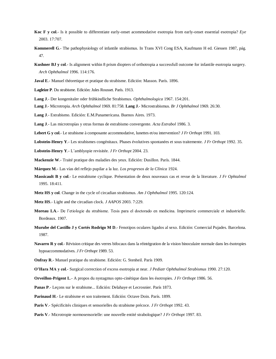- **Koc F y col**.- Is it possible to differentiate early-onset acommodative esotropia from early-onset essential esotropia? *Eye*  2003. 17:707.
- **Kommerell G**.- The pathophysiology of infantile strabismus*.* In Trans XVI Cong ESA, Kaufmann H ed. Giessen 1987, pág. 47.
- **Kushner BJ y col**.- Is alignment within 8 prism diopters of orthotropia a successfull outcome for infantile esotropia surgery. *Arch Ophthalmol* 1996. 114:176.
- **Javal E**.- Manuel théoretique et pratique du strabisme. Edición: Masson. París. 1896.
- **Lagleize P**. Du strabisme. Edición: Jules Rousset. París. 1913.
- **Lang J**.- Der kongenitaler oder frühkindliche Strabismus. *Ophthalmologica* 1967. 154:201.
- **Lang J**.- Microtropia. *Arch Ophthalmol* 1969. 81:758. **Lang J**.- Microstrabismus. *Br J Ophthalmol* 1969. 26:30.
- **Lang J**.- Estrabismo. Edición: E.M.Panamericana. Buenos Aires. 1973.
- **Lang J**.- Las microtropías y otras formas de estrabismo convergente. *Acta Estrabol* 1986. 3.
- **Lebert G y col**.- Le strabisme à composante accommodative, lunettes et/ou intervention? *J Fr Orthopt* 1991. 103.
- **Lobstein-Henry Y**.- Les strabismes congénitaux. Phases évolutives spontanées et sous traitemente. *J Fr Orthopt* 1992. 35.
- **Lobstein-Henry Y**.- L'amblyopie revisitée. *J Fr Orthopt* 2004. 23.
- **Mackenzie W**.- Traité pratique des maladies des yeux. Edición: Dusillon. París. 1844.
- **Márquez M**.- Las vías del reflejo pupilar a la luz. *Los progresos de la Clínica* 1924.
- **Massicault B y col**.- Le estrabisme cyclique. Présentation de deux nouveaux cas et revue de la literature. *J Fr Ophtalmol*  1995. 18:411.
- **Metz HS y col**. Change in the cycle of circadian strabismus. *Am J Ophthalmol* 1995. 120:124.
- **Metz HS**.- Light and the circadian clock. *J AAPOS* 2003. 7:229.
- **Moreau LA**.- De l'etiologie du strabisme. Tesis para el doctorado en medicina. Imprimerie commerciale et industrielle. Bordeaux. 1907.
- **Murube del Castillo J y Cortés Rodrigo M D**.- Fenotipos oculares ligados al sexo. Edición: Comercial Pujades. Barcelona. 1987.
- **Navarro R y col**.- Révision critique des verres bifocaux dans la réintégration de la vision binoculaire normale dans les ésotropies hypoaccommodatives. *J Fr Orthopt* 1989. 53.
- **Onfray R**.- Manuel pratique du strabisme. Edición: G. Stenheil. París 1909.

**O'Hara MA y col**.- Surgical correction of excess esotropia at near. *J Pediatr Ophthalmol Strabismus* 1990. 27:120.

- **Orveillon-Prigent L**.- A propos du nystagmus opto-cinétique dans les ésotropies. *J Fr Orthopt* 1986. 56.
- **Panas P**.- Leçons sur le strabisme... Edición: Delahaye et Lecrosnier. París 1873.
- **Parinaud H**.- Le strabisme et son traitement. Edición: Octave Doin. París. 1899.
- **Paris V**.- Spécificités cliniques et sensorielles du strabisme précoce. *J Fr Orthopt* 1992. 43.
- **Paris V**.- Microtropie normosensorielle: une nouvelle entité strabologique? *J Fr Orthopt* 1997. 83.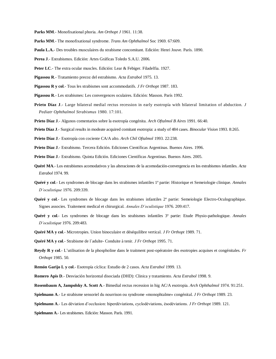- **Parks MM**.- Monofixational phoria. *Am Orthopt J* 1961. 11:38.
- **Parks MM**.- The monofixational syndrome. *Trans Am Ophthalmol* Soc 1969. 67:609.
- **Paula L.A.** Des troubles musculaires du strabisme concomitant. Edición: Henri Jouve. París. 1890.
- **Perea J**.- Estrabismos. Edición: Artes Gráficas Toledo S.A.U. 2006.
- Peter LC.- The extra ocular muscles. Edición: Lear & Febiger. Filadelfia. 1927.
- **Pigassou R**.- Tratamiento precoz del estrabismo. *Acta Estrabol* 1975. 13.
- **Pigassou R y col**.- Tous les strabismes sont accommodatifs. *J Fr Orthopt* 1987. 183.
- **Pigassou R**.- Les strabismes: Les convergences oculaires. Edición: Masson. París 1992.
- **Prieto Díaz J**.- Large bilateral medial rectus recession in early esotropía with bilateral limitation of abduction. *J Pediatr Ophthalmol Strabismus* 1980. 17:101.
- **Prieto Díaz J**.- Algunos comentarios sobre la esotropía congénita. *Arch Oftalmol B Aires* 1991. 66:40.
- **Prieto Díaz J**.- Surgical results in modeate acquired comitant esotropia: a study of 484 cases. *Binocular Vision* 1993. 8:265.
- **Prieto Díaz J**.- Esotropía con cociente CA/A alto. *Arch Chil Oftalmol* 1993. 22:238.
- **Prieto Díaz J**.- Estrabismo. Tercera Edición. Ediciones Científicas Argentinas. Buenos Aires. 1996.
- **Prieto Díaz J**.- Estrabismo. Quinta Edición. Ediciones Científicas Argentinas. Buenos Aires. 2005.
- **Quéré MA**.- Los estrabismos acomodativos y las alteraciones de la acomodación-convergencia en los estrabismos infantiles. *Acta Estrabol* 1974. 99.
- **Quéré y col**.- Les syndromes de blocage dans les strabismes infantiles 1ª partie: Historique et Semeiologie clinique. *Annales D'oculistique* 1976. 209:339.
- **Quéré y col**.- Les syndromes de blocage dans les strabismes infantiles 2ª partie: Semeiologie Electro-Oculographique. Signes associes. Traitement medical et chirurgical. *Annales D'oculistique* 1976. 209:417.
- **Quéré y col**.- Les syndromes de blocage dans les strabismes infantiles 3ª partie: Etude Physio-pathologique. *Annales D'oculistique* 1976. 209:483.
- **Quéré MA y col**.- Microtropies. Union binoculaire et déséquilibre vertical. *J Fr Orthopt* 1989. 71.
- **Quéré MA y col**.- Strabisme de l´adulte- Conduite à tenir. *J Fr Orthopt* 1995. 71.
- **Reydy R y col**.- L'utilisation de la phospholine dans le traitment post-opératoire des esotropies acquises et congénitales. *Fr Orthopt* 1985. 50.
- **Remón Garijo L y col**.- Esotropía cíclica: Estudio de 2 casos. *Acta Estrabol* 1999. 13.
- **Romero Apis D**.- Desviación horizontal disociada (DHD): Clinica y tratamiento. *Acta Estrabol* 1998. 9.
- **Rosembaum A, Jampolsky A. Scott A**.- Bimedial rectus recession in hig AC/A esotropia. *Arch Ophthalmol* 1974. 91:251.
- **Spielmann A**.- Le strabisme sensoriel du nourrison ou syndrome «monophtalme» congénital. *J Fr Orthopt* 1989. 23.
- **Spielmann A**.- Les déviation d'occlusion: hiperdéviations, cyclodéviations, ésodéviations. *J Fr Orthopt* 1989. 121.
- **Spielmann A**.- Les strabismes. Edición: Masson. París. 1991.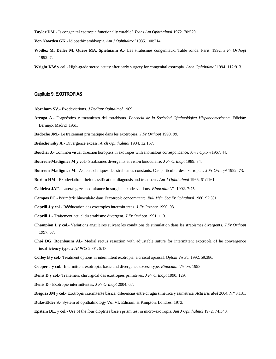**Taylor DM**.- Is congenital esotropia functionally curable? *Trans Am Ophthalmol* 1972. 70:529.

**Von Noorden GK**.- Idiopathic amblyopia. *Am J Ophthalmol* 1985. 100:214.

**Woillez M, Deller M, Quere MA, Spielmann A**.- Les strabismes congénitaux. Table ronde. París. 1992. *J Fr Orthopt*  1992. 7.

**Wright KW y col**.- High-grade stereo acuity after early surgery for congenital esotropia. *Arch Ophthalmol* 1994. 112:913.

## **Capítulo 9. EXOTROPIAS**

**Abraham SV**.- Exodeviations. *J Pediatr Ophtalmol* 1969.

- **Arruga A**.- Diagnóstico y tratamiento del estrabismo. *Ponencia de la Sociedad Oftalmológica Hispanoamericana*. Edición: Bermejo. Madrid. 1961.
- **Badoche JM**.- Le traitement prismatique dans les exotropies. *J Fr Orthopt* 1990. 99.
- **Bielschowsky A**.- Divergence excess. *Arch Ophthalmol* 1934. 12:157.

**Boucher J**.- Common visual direction horopters in exotropes with anomalous correspondence. *Am J Optom* 1967. 44.

**Bourron-Madignier M y col**.- Strabismes divergents et vision binoculaire. *J Fr Orthopt* 1989. 34.

**Bourron-Madignier M**.- Aspects cliniques des strabismes constants. Cas particulier des exotropies. *J Fr Orthopt* 1992. 73.

**Burian HM**.- Exodeviation: their classification, diagnosis and treatment. *Am J Ophthalmol* 1966. 61:1161.

**Caldeira JAF**.- Lateral gaze incomitance in surgical exodesviations. *Binocular Vis* 1992. 7:75.

**Campos EC**.- Périmétrie binoculaire dans l'exotropie concomitante. *Bull Mém Soc Fr Ophtalmol* 1980. 92:301.

**Caprili J y col**.- Rééducation des exotropies intermittentes. *J Fr Orthopt* 1990. 93.

**Caprili J**.- Traitement actuel du strabisme divergent. *J Fr Orthopt* 1991. 113.

- **Champion L y col**.- Variations angulaires suivant les conditions de stimulation dans les strabismes divergents. *J Fr Orthopt*  1997. 57.
- **Choi DG, Roenbaum Al**.- Medial rectus resection with adjustable suture for intermittent exotropía of he convergence insufficiency type. *J AAPOS* 2001. 5:13.

**Coffey B y col**.- Treatment options in intermittent exotropia: a critical apraisal. *Optom Vis Sci* 1992. 59:386.

**Cooper J y col**.- Intermittent exotropia: basic and divergence excess type. *Binocular Vision*. 1993.

**Denis D y col**.- Traitement chirurgical des exotropies primitives. *J Fr Orthopt* 1990. 129.

**Denis D**.- Exotropie intermittentes. *J Fr Orthopt* 2004. 67.

**Dieguez JM y col**.- Exotropía intermitente básica: diferencias entre cirugía simétrica y asimétrica. *Acta Estrabol* 2004. N.º 3:131.

**Duke-Elder S**.- System of ophthalmology Vol VI. Edición: H.Kimpton. Londres. 1973.

**Epstein DL. y col.-** Use of the four dioptries base i prism test in micro-exotropia. *Am J Ophthalmol* 1972. 74:340.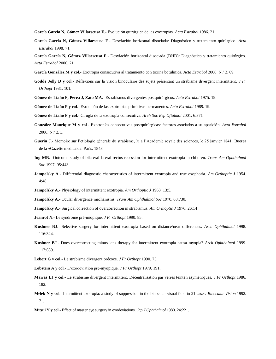**García García N, Gómez Villaescusa F**.- Evolución quirúrgica de las exotropías. *Acta Estrabol* 1986. 21.

**García García N, Gómez Villaescusa F**.- Desviación horizontal disociada: Diagnóstico y tratamiento quirúrgico. *Acta Estrabol* 1998. 71.

**García García N, Gómez Villaescusa F**.- Desviación horizontal disociada (DHD): Diagnóstico y tratamiento quirúrgico. *Acta Estrabol* 2000. 21.

- **García González M y col**.- Exotropía consecutiva al tratamiento con toxina botulínica. *Acta Estrabol* 2006. N.º 2. 69.
- **Godde Jolly D y col**.- Réflexions sur la vision binoculaire des sujets présentant un strabisme divergent intermittent. *J Fr Orthopt* 1981. 101.
- **Gómez de Liaño F, Perea J, Zato MA**.- Estrabismos divergentes postquirúrgicos. *Acta Estrabol* 1975. 19.

**Gómez de Liaño P y col**.- Evolución de las exotropías primitivas permanentes. *Acta Estrabol* 1989. 19.

- **Gómez de Liaño P y col**.- Cirugía de la exotropía consecutiva. *Arch Soc Esp Oftalmol* 2001. 6:371
- **González Manrique M y col**.- Exotropías consecutivas postquirúrgicas: factores asociados a su aparición. *Acta Estrabol*  2006. N.º 2. 3.
- **Guerin J**.- Memoire sur l'etiologie génerale du strabisme, lu a l'Academie royale des sciences, le 25 janvier 1841. Buerea de la «Gazette medicale». París. 1843.
- **Ing MR**.- Outcome study of bilateral lateral rectus recession for intermittent exotropia in children. *Trans Am Ophthalmol Soc* 1997. 95:443.
- **Jampolsky A**.- Differential diagnostic characteristics of intermittent exotropia and true exophoria. *Am Orthoptic J* 1954. 4:48.
- **Jampolsky A**.- Physiology of intermittent exotropia. *Am Orthoptic J* 1963. 13:5.
- **Jampolsky A**.- Ocular divergence mechanisms. *Trans Am Ophthalmol Soc* 1970. 68:730.
- **Jampolsky A**.- Surgical correction of overcorrection in strabismus. *Am Orthoptic J* 1976. 26:14
- **Jeanrot N**.- Le syndrome pré-miopique. *J Fr Orthopt* 1990. 85.
- **Kushner BJ**.- Selective surgery for intermittent exotropia based on distance/near differences. *Arch Ophthalmol* 1998. 116:324.
- **Kushner BJ**.- Does overcorrecting minus lens therapy for intermittent exotropia causa myopia? *Arch Ophthalmol* 1999. 117:639.
- **Lebert G y col**.- Le strabisme divergent précoce. *J Fr Orthopt* 1990. 75.
- **Lobstein A y col**.- L'exodéviation pré-myopique. *J Fr Orthopt* 1979. 191.
- **Mawas LJ y col**.- Le strabisme divergent intermittent. Décentralisation par verres teintén asymétriques. *J Fr Orthopt* 1986. 182.
- **Melek N y col**.- Intermittent exotropia: a study of suppression in the binocular visual field in 21 cases. *Binocular Vision* 1992. 71.
- **Mitsui Y y col**.- Effect of master eye surgery in exodeviations. *Jap J Ophthalmol* 1980. 24:221.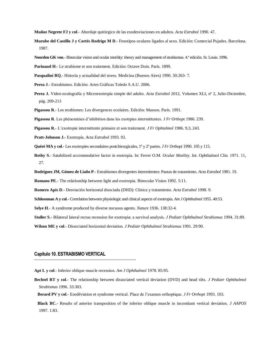**Muñoz Negrete FJ y col**.- Abordaje quirúrgico de las exodesviaciones en adultos. *Acta Estrabol* 1990. 47.

- **Murube del Castillo J y Cortés Rodrigo M D**.- Fenotipos oculares ligados al sexo. Edición: Comercial Pujades. Barcelona. 1987.
- **Noorden GK von**.- Binocular vision and ocular motility: theory and management of strabismus. 4.ª edición. St. Louis. 1996.
- **Parinaud H**.- Le strabisme et son traitement. Edición: Octave Doin. París. 1899.
- **Pasqualini RQ**.- Historia y actualidad del stress. Medicina (Buenos Aires) 1990. 50:263- 7.
- **Perea J**.- Estrabismos. Edición: Artes Gráficas Toledo S.A.U. 2006.
- **Perea J.** Video-oculografía y Microexotropía simple del adulto. *Acta Estrabol* 2012, Volumen XLI, nº 2, Julio-Diciembre, pág. 209-213
- **Pigassou R**.- Les strabismes: Les divergences oculaires. Edición: Masson. París. 1991.
- **Pigassou R**. Les phénomènes d'inhibition dans les exotrpies intermittentes. *J Fr Orthop*t 1986. 239.

**Pigassou R**.- L'exotropie intermittente primaire et son traitement. *J Fr Ophtalmol* 1986. 9,3, 243.

- **Pratt-Johnson J.** Exotropía. *Acta Estrabol* 1993. 93.
- **Quéré MA y col**.- Les exotropies secondaires postchirurgicales, 1ª y 2ª partes. *J Fr Orthopt* 1990. 105 y 115.
- **Rethy S**.- Satabilized accommodative factor in esotropia. In: Ferrer O.M. *Ocular Motility*. Int. Ophthalmol Clin. 1971. 11, 27.
- **Rodríguez JM, Gómez de Liaño P**.- Estrabismos divergentes intermitentes: Pautas de tratamiento. *Acta Estrabol* 1981. 19.
- **Romano PE**.- The relationship between light and exotropia. Binocular Vision 1992. 5:11.
- **Romero Apis D**.- Desviación horizontal disociada (DHD): Clinica y tratamiento. *Acta Estrabol* 1998. 9.
- **Schlossman A y col**.- Correlation between physiologic and clinical aspects of exotropia. *Am J Ophthalmol* 1955. 40:53.
- **Selye H**.- A syndrome produced by diverse nocuous agents. *Nature* 1936. 138:32-4.
- **Stoller S**.- Bilateral lateral rectus recession for exotropia: a survival analysis. *J Pediatr Ophthalmol Strabismus* 1994. 31:89.

**Wilson ME y col**.- Dissociated horizontal deviation. *J Pediatr Ophthalmol Strabismus* 1991. 29:90.

## **Capítulo 10. ESTRABISMO VERTICAL**

- **Apt L y col**.- Inferior oblique muscle recession. *Am J Ophthalmol* 1978. 85:95.
- **Bechtel RT y col**.- The relationship between dissociated vertical deviation (DVD) and head tilts. *J Pediatr Ophthalmol Strabismus* 1996. 33:303.
	- **Berard PV y col**.- Esodéviation et syndrome vertical. Place de l'examen orthoptique. *J Fr Orthopt* 1993. 103.
	- **Black BC**.- Results of anterior transposition of the inferior oblique muscle in incomitant vertical deviation. *J AAPOS*  1997. 1:83.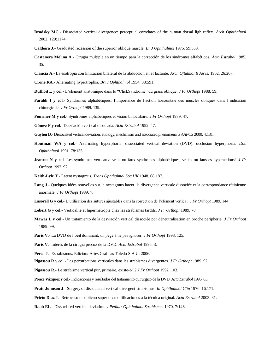- **Brodsky MC**.- Dissociated vertical divergence: perceptual correlates of the human dorsal ligh reflex. *Arch Ophthalmol*  2002. 129:1174.
- **Caldeira J**.- Graduated recessión of the superior oblique muscle. *Br J Ophthalmol* 1975. 59:553.
- **Castanera Molina A**.- Cirugía múltiple en un tiempo para la corrección de los síndromes alfabéticos. *Acta Estrabol* 1985. 35.
- **Ciancia A**.- La esotropía con limitación bilateral de la abducción en el lactante. *Arch Oftalmol B Aires*. 1962. 26:207.
- **Crone RA**.- Alternating hypertrophia. *Bri J Ophthalmol* 1954. 38:591.
- **Duthoit L y col**.- L'élément anatomique dans le "ClickSyndrome" du grans oblique. *J Fr Orthopt* 1988. 59.
- **Faraldi I y col**.- Syndromes alphabétiques: l'importance de l'action horizontale des muscles obliques dans l'indication chirurgicale. *J Fr Orthopt* 1989. 139.
- **Fournier M y col**.- Syndromes alphabetiques et vision binoculaire. *J Fr Orthopt* 1989. 47.
- **Gómez F y col**.- Desviación vertical disociada. *Acta Estrabol* 1992. 47.
- **Guyton D**.- Dissociated vertical deviation: etiology, mechanism and associated phenomena. *J AAPOS* 2000. 4:131.
- **Houtman WA y col**.- Alternating hyperphoria: disocciated vertical deviation (DVD): occlusion hyperphoria. *Doc Ophthalmol* 1991. 78:135.
- **Jeanrot N y col**. Les syndromes verticaux: vrais ou faux syndromes alphabétiques, vraies ou fausses hyperactions? *J Fr Orthopt* 1992. 97.
- **Keith-Lyle T**.- Latent nystagmus. *Trans Ophthalmol Soc UK* 1948. 68:187.
- **Lang J**.- Quelques idées nouvelles sur le nystagmus latent, la divergence verticale dissociée et la correspondance rétinienne anormale. *J Fr Orthopt* 1989. 7.
- **Lasorell G y col**.- L'utilisation des sutures ajustables dans la correction de l'élément vertical. *J Fr Orthopt* 1989. 144
- **Lebert G y col**.- Verticalité et hipermétropie chez les strabismes tardifs. *J Fr Orthopt* 1989. 78.
- **Mawas L y col**.- Un tratamiento de la desviación vertical dissociée por déneutralisation en proche péripherie. *J Fr Orthopt*  1989. 99.
- **Paris V**.- La DVD de l'oeil dominant, un pège à ne pas ignorer. *J Fr Orthopt* 1993. 125.
- **Paris V**.- Interés de la cirugía precoz de la DVD. *Acta Estrabol* 1995. 3.
- **Perea J**.- Estrabismos. Edición: Artes Gráficas Toledo S.A.U. 2006.
- **Pigassou R** y col.- Les perturbations verticales dans les strabismes divergentes. *J Fr Orthopt* 1989. 92.
- **Pigassou R**.- Le strabisme vertical pur, primaire, existe-t-il? *J Fr Orthopt* 1992. 103.
- **Ponce Vázquez y col**.- Indicaciones y resultados del tratamiento quirúrgico de la DVD. *Acta Estrabol* 1996. 63.
- **Pratt-Johnson J**.- Surgery of dissociated vertical divergent strabismus. *In Ophthalmol Clin* 1976. 16:171.
- **Prieto Díaz J**.- Retroceso de oblicuo superior: modificaciones a la técnica original. *Acta Estrabol* 2003. 31.
- **Raab EL**.- Dissociated vertical deviation. *J Pediatr Ophthalmol Strabismus* 1970. 7:146.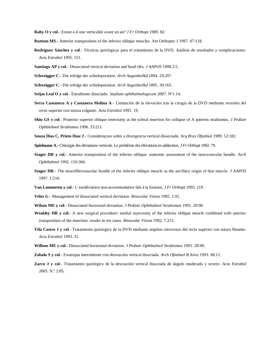**Raby O y col**.- Existe-t-il une verticalité avant un an? *J Fr Orthopt* 1989. 82.

- **Ruttum MS**.- Anterior transposition of the inferior oblique muscles. Am Orthoptic J 1997. 47:118.
- **Rodríguez Sánchez y col**.- Técnicas quirúrgicas para el tratamiento de la DVD. Análisis de resultados y complicaciones. *Acta Estrabol* 1995. 151.
- **Santiago AP y col**.- Dissociated vertical deviation and head tilts. *J AAPOS* 1998.2:5.
- **Schweigger C**.- Die erfolge der schieloperation. *Arch Augenheilkd* 1894. 29:207.
- **Schweigger C**.- Die erfolge der schieloperation. *Arch Augenheilkd* 1895. 30:165.
- **Seijas Leal O y col**.- Estrabismo disociado. *Studium ophthalmologicum* 2007. Nº1:14.
- **Serra Castanera A y Castanera Molina A**.- Limitación de la elevación tras la cirugía de la DVD mediante recesión del recto superior con sutura colgante. *Acta Estrabol* 1995. 19.
- **Shin GS y col**.- Posterior superior oblique tenectomy at the scleral insertion for collapse of A patterns strabismus. *J Pediatr Ophthalmol Strabismus* 1996. 33:211.
- **Souza Dias C, Prieto Díaz J**.- Consideraçoes sobre a divergencia vertical dissociada. *Arq Bras Oftalmol* 1989. 52:182.
- **Spielmann A**.- Chirurgie des déviations verticale. Le problème des élévations en adduction. *J Fr Orthopt* 1992. 79.
- **Stager DR y col**.- Anterior transposition of the inferior oblique: anatomic assessment of the neurovascular bundle. *Arch Ophthalmol* 1992. 110:360.
- **Stager DR**.- The neurofibrovascular bundle of the inferior oblique muscle as the ancillary origin of that muscle. *J AAPOS*  1997. 1:216.
- **Van Lammeren y col**.- L´esodéviation non-accommodative liée á la fixation. *J Fr Orthopt* 1993. 119.
- **Velez G**.- Management of dissociated vertical deviation. *Binocular Vision* 1985. 1:91.
- **Wilson ME y col**.- Dissociated horizontal deviation. *J Pediatr Ophthalmol Strabismus* 1991. 29:90.
- **Weakley DR y col**.- A new surgical procedure: medial myectomy of the inferior oblique muscle combined with anterior transposition of the insertion: results in ten cases. *Binocular Vision* 1992. 7:215.
- **Vila Castro J y col**.- Tratamiento quirúrgico de la DVD mediante amplios retrocesos del recto superior con sutura flotante. *Acta Estrabol* 1993. 31.
- **Willson ME y col**.- Dissociated horizontal deviation. *J Pediatr Ophthalmol Strabismus* 1991. 28:90.
- **Zabalo S y col**.- Exotropía intermitente con desviación vertical disociada. *Arch Oftalmol B Aires* 1993. 68:11.
- **Zarco J y col**.- Tratamiento quirúrgico de la desviación vertical disociada de ángulo moderado y severo. *Acta Estrabol*  2005. N.º 2:85.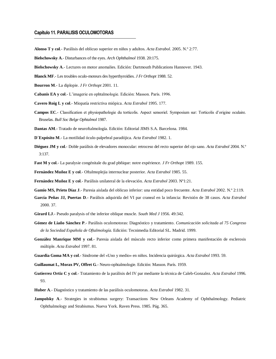## **Capítulo 11. PARALISIS OCULOMOTORAS**

**Alonso T y col**.- Parálisis del oblicuo superior en niños y adultos. *Acta Estrabol*. 2005. N.º 2:77.

**Bielschowsky A**.- Disturbances of the eyes. *Arch Ophthalmol* 1938. 20:175.

**Bielschowsky A**.- Lectures on motor anomalies. Edición: Dartmouth Publications Hannover. 1943.

**Blanck MF**.- Les troubles oculo-moteurs des hyperthyroïdies. *J Fr Orthopt* 1988. 52.

- **Bourron M**.- La diplopie. *J Fr Orthopt* 2001. 11.
- **Cabanis EA y col**.- L'imagerie en ophtalmologie. Edición: Masson. París. 1996.

**Cavero Roig L y col**.- Miopatía restrictiva miópica. *Acta Estrabol* 1995. 177.

- **Campos EC**.- Classification et physiopathologie du torticolis. Aspect sensoriel. Symposium sur: Torticolis d'origine oculaire. Bruselas. *Bull Soc Belge Ophtalmol* 1987.
- **Dantas AM**.- Tratado de neuroftalmología. Edición: Editorial JIMS S.A. Barcelona. 1984.

**D´Expósito M**.- La motilidad óculo-palpebral paradójica. *Acta Estrabol* 1982. 1.

**Diéguez JM y col**.- Doble parálisis de elevadores monocular: retroceso del recto superior del ojo sano. *Acta Estrabol* 2004. N.º 3:137.

**Fast M y col**.- La paralysie congénitale du grad pbñique: notre expérience. *J Fr Orthopt* 1989. 155.

**Fernández Muñoz E y col**.- Oftalmoplejia internuclear posterior. *Acta Estrabol* 1985. 55.

**Fernández Muñoz E y col**.- Parálisis unilateral de la elevación. *Acta Estrabol* 2003. Nº1:21.

- **Gamio MS, Prieto Díaz J**.- Paresia aislada del oblicuo inferior: una entidad poco frecuente. *Acta Estrabol* 2002. N.º 2:119.
- **García Peñas JJ, Puertas D**.- Parálisis adquirida del VI par craneal en la infancia: Revisión de 38 casos. *Acta Estrabol*  2000. 37.
- **Girard LJ**.- Pseudo paralysis of the inferior oblique muscle. *South Med J* 1956. 49:342.
- **Gómez de Liaño Sánchez P**.- Parálisis oculomotoras: Diagnóstico y tratamiento. *Comunicación solicitada al 75 Congreso de la Sociedad Española de Oftalmología*. Edición: Tecnimedia Editorial SL. Madrid. 1999.
- **González Manrique MM y col**.- Paresia aislada del músculo recto inferior como primera manifestación de esclerosis múltiple. *Acta Estrabol* 1997. 81.
- **Guardia Goma MA y col**.- Sindrome del «Uno y medio» en niños. Incidencia quirúrgica. *Acta Estrabol* 1993. 59.
- **Guillaumat L, Morax PV, Offret G**.- Neuro-ophtalmologie. Edición: Masson. París. 1959.
- **Gutierrez Ortiz C y col**.- Tratamiento de la parálisis del IV par mediante la técnica de Caleb-Gonzalez. *Acta Estrabol* 1996. 93.
- **Huber A**.- Diagnóstico y tratamiento de las parálisis oculomotoras. *Acta Estrabol* 1982. 31.
- **Jampolsky A**.- Strategies in strabismus surgery: Transactions New Orleans Academy of Ophthalmology. Pediatric Ophthalmology and Strabismus. Nueva York. Raven Press. 1985. Pág. 365.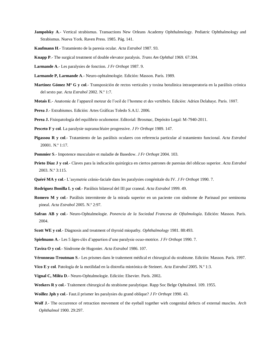- **Jampolsky A.** Vertical strabismus. Transactions New Orleans Academy Ophthalmology. Pediatric Ophthalmology and Strabismus. Nueva York. Raven Press. 1985. Pág. 141.
- **Kaufmann H**.- Tratamiento de la paresia ocular. *Acta Estrabol* 1987. 93.
- **Knapp P**.- The surgical treatment of double elevator paralysis. *Trans Am Ophthal* 1969. 67:304.
- **Larmande A**.- Les paralysies de fonction. *J Fr Orthopt* 1987. 9.
- **Larmande P, Larmande A**.- Neuro-ophtalmologie. Edición: Masson. París. 1989.
- **Martínez Gómez Mª G y col**.- Transposición de rectos verticales y toxina botulínica intraoperatoria en la parálisis crónica del sexto par. *Acta Estrabol* 2002. N.º 1:7.
- **Motais E**.- Anatomie de l'appareil moteur de l'oeil de l'homme et des vertébrés. Edición: Adrien Delahaye. París. 1887.
- **Perea J**.- Estrabismos. Edición: Artes Gráficas Toledo S.A.U. 2006.
- **Perea J.** Fisiopatología del equilibrio oculomotor. Editorial: Brosmac, Depósito Legal: M-7940-2011.
- **Pesceto F y col**. La paralysie supranucléaire progressive. *J Fr Orthopt* 1989. 147.
- **Pigassou R y col**.- Tratamiento de las parálisis oculares con referencia particular al tratamiento funcional. *Acta Estrabol*  20001. N.º 1:17.
- **Pommier S**.- Impotence musculaire et maladie de Basedow. *J Fr Orthopt* 2004. 103.
- **Prieto Díaz J y col**.- Claves para la indicación quirúrgica en ciertos patrones de paresias del oblicuo superior. *Acta Estrabol*  2003. N.º 3:115.
- **Quéré MA y col**.- L'asymetrie crânio-faciale dans les paralysies congénitale du IV. *J Fr Orthopt* 1990. 7.
- **Rodriguez Bonilla L y col**.- Parálisis bilateral del III par craneal. *Acta Estrabol* 1999. 49.
- **Romero M y col**.- Parálisis intermitente de la mirada superior en un paciente con síndrome de Parinaud por seminoma pineal. *Acta Estrabol* 2005. N.º 2:97.
- **Safran AB y col**.- Neuro-Ophtalmologie. *Ponencia de la Sociedad Francesa de Oftalmología*. Edición: Masson. París. 2004.
- **Scott WE y col**.- Diagnosis and treatment of thyroid miopathy. *Ophthalmology* 1981. 88:493.
- **Spielmann A**.- Les 5 âges-clés d'appartion d'une paralysie ocuo-motrice. *J Fr Orthopt* 1990. 7.
- **Tavira O y col**.- Síndrome de Hugonier. *Acta Estrabol* 1986. 107.
- **Véronneau-Troutman S**.- Les prismes dans le traitement médical et chirurgical du strabisme. Edición: Masson. París. 1997.
- **Vico E y col**. Patología de la motilidad en la distrofia miotónica de Steinert. *Acta Estrabol* 2005. N.º 1:3.
- **Vignal C, Miléa D**.- Neuro-Ophtalmologie. Edición: Elsevier. París. 2002**.**
- **Weekers R y col**.- Traitement chirurgical du strabisme paralytique. Rapp Soc Belge Ophtalmol. 109. 1955.
- **Woillez Jph y col**.- Faut.il prismer les paralysies du grand oblique? *J Fr Orthopt* 1990. 43.
- **Wolf J**.- The occurrence of retraction movement of the eyeball together wirh congenital defects of external muscles. *Arch Ophthalmol* 1900. 29:297.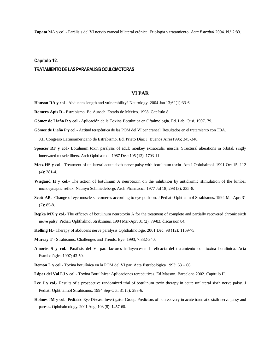**Zapata** MA y col.- Parálisis del VI nervio craneal bilateral crónica. Etiología y tratamiento. *Acta Estrabol* 2004. N.º 2:83.

# **Capítulo 12. TRATAMIENTO DE LAS PARARALISIS OCULOMOTORAS**

## **VI PAR**

- **Hanson RA y col.** Abducens length and vulnerability? Neurology. 2004 Jan 13;62(1):33-6.
- **Romero Apis D**.- Estrabismo. Ed Auroch. Estado de México. 1998. Capítulo 8.
- **Gómez de Liaño R y col**.- Aplicación de la Toxina Botulínica en Oftalmología. Ed. Lab. Cusí. 1997. 79.
- **Gómez de Liaño P y col**.- Actitud terapéutica de las POM del VI par craneal. Resultados en el tratamiento con TBA.

XII Congreso Latinoamericano de Estrabismo. Ed. Prieto Díaz J. Buenos Aires1996; 345-348.

- **Spencer RF y col**.- Botulinum toxin paralysis of adult monkey extraocular muscle. Structural alterations in orbital, singly innervated muscle fibers. Arch Ophthalmol. 1987 Dec; 105 (12): 1703-11
- **Metz HS y col**.- Treatment of unilateral acute sixth-nerve palsy with botulinum toxin. Am J Ophthalmol. 1991 Oct 15; 112 (4): 381-4.
- **Wiegand H y col.** The action of botulinum A neurotoxin on the inhibition by antidromic stimulation of the lumbar monosynaptic reflex. Naunyn Schmiedebergs Arch Pharmacol. 1977 Jul 18; 298 (3): 235-8.
- **Scott AB**.- Change of eye muscle sarcomeres according to eye position. J Pediatr Ophthalmol Strabismus. 1994 MarApr; 31 (2): 85-8.
- **Repka MX y col.** The efficacy of botulinum neurotoxin A for the treatment of complete and partially recovered chronic sixth nerve palsy. Pediatr Ophthalmol Strabismus. 1994 Mar-Apr; 31 (2): 79-83; discussion 84.
- **Kolling H**.- Therapy of abducens nerve paralysis Ophthalmologe. 2001 Dec; 98 (12): 1169-75.
- **Murray T**.- Strabismus: Challenges and Trends. Eye. 1993; 7:332-340.
- **Amorós S y col**.- Parálisis del VI par: factores influyentesen la eficacia del tratamiento con toxina botulínica. Acta Estrabológica 1997; 43-50.
- **Remón L y col**.- Toxina botulínica en la POM del VI par. Acta Estrabológica 1993; 63 66.
- **López del Val LJ y col**.- Toxina Botulínica: Aplicaciones terapéuticas. Ed Masson. Barcelona 2002. Capítulo II.
- Lee J y col.- Results of a prospective randomized trial of botulinum toxin therapy in acute unilateral sixth nerve palsy. J Pediatr Ophthalmol Strabismus. 1994 Sep-Oct; 31 (5): 283-6.
- **Holmes JM y col**.- Pediatric Eye Disease Investigator Group. Predictors of nonrecovery in acute traumatic sixth nerve palsy and paresis. Ophthalmology. 2001 Aug; 108 (8): 1457-60.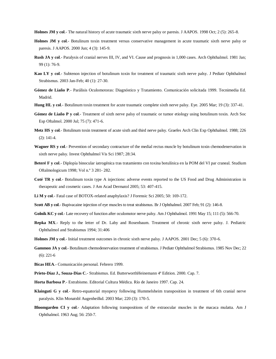**Holmes JM y col**.- The natural history of acute traumatic sixth nerve palsy or paresis. J AAPOS. 1998 Oct; 2 (5): 265-8.

- **Holmes JM y col**.- Botulinum toxin treatment versus conservative management in acute traumatic sixth nerve palsy or paresis. J AAPOS. 2000 Jun; 4 (3): 145-9.
- **Rush JA y col**.- Paralysis of cranial nerves III, IV, and VI. Cause and prognosis in 1,000 cases. Arch Ophthalmol. 1981 Jan; 99 (1): 76-9.
- **Kao LY y col**.- Subtenon injection of botulinum toxin for treatment of traumatic sixth nerve palsy. J Pediatr Ophthalmol Strabismus. 2003 Jan-Feb; 40 (1): 27-30.
- **Gómez de Liaño P**.- Parálisis Oculomotoras: Diagnóstico y Tratamiento. Comunicación solicitada 1999. Tecnimedia Ed. Madrid.
- **Hung HL y col**.- Botulinum toxin treatment for acute traumatic complete sixth nerve palsy. Eye. 2005 Mar; 19 (3): 337-41.
- **Gómez de Liaño P y col**.- Treatment of sixth nerve palsy of traumatic or tumor etiology using botulinum toxin. Arch Soc Esp Oftalmol. 2000 Jul; 75 (7): 471-6.
- **Metz HS y col**.- Botulinum toxin treatment of acute sixth and third nerve palsy. Graefes Arch Clin Exp Ophthalmol. 1988; 226 (2): 141-4.
- **Wagner RS y col**.- Prevention of secondary contracture of the medial rectus muscle by botulinum toxin chemodenervation in sixth nerve palsy. Invest Ophthalmol Vis Sci 1987; 28:34.
- **Beteré F y col**.- Diplopía binocular iatrogénica tras tratamiento con toxina botulínica en la POM del VI par craneal. Studium Oftalmologicum 1998; Vol n.º 3 281- 282.
- **Coté TR y col**.- Botulinum toxin type A injections: adverse events reported to the US Food and Drug Administration in therapeutic and cosmetic cases. J Am Acad Dermatol 2005; 53: 407-415.
- **Li M y col**.- Fatal case of BOTOX-related anaphylaxis? J Forensic Sci 2005; 50: 169-172.
- **Scott AB y col**.- Bupivacaine injection of eye muscles to treat strabismus. Br J Ophthalmol. 2007 Feb; 91 (2): 146-8.
- **Golnik KC y col**.- Late recovery of function after oculomotor nerve palsy. Am J Ophthalmol. 1991 May 15; 111 (5): 566-70.
- **Repka MX**.- Reply to the letter of Dr. Laby and Rosenbaum. Treatment of chronic sixth nerve palsy. J. Pediatric Ophthalmol and Strabismus 1994; 31:406
- **Holmes JM y col**.- Initial treatment outcomes in chronic sixth nerve palsy. J AAPOS. 2001 Dec; 5 (6): 370-6.
- **Gammon JA y col**.- Botulinum chemodenervation treatment of strabismus. J Pediatr Ophthalmol Strabismus. 1985 Nov Dec; 22 (6): 221-6
- **Bicas HEA**.- Comunicación personal. Febrero 1999.
- **Prieto-Díaz J., Souza-Dias C**.- Strabismus. Ed. ButterworthHeinemann 4ª Edition. 2000. Cap. 7.
- **Horta Barbosa P**.- Estrabismo. Editorial Cultura Médica. Río de Janeiro 1997. Cap. 24.
- **Klainguti G y col**.- Retro-equatorial myopexy following Hummelsheim transposition in treatment of 6th cranial nerve paralysis. Klin Monatsbl Augenheilkd. 2003 Mar; 220 (3): 170-5.
- **Bloomgarden CI y col**.- Adaptation following transpositions of the extraocular muscles in the macaca mulatta. Am J Ophthalmol. 1963 Aug; 56: 250-7.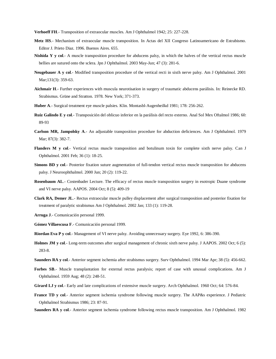**Verhoeff FH**.- Transposition of extraocular muscles. Am J Ophthalmol 1942; 25: 227-228.

- **Metz HS**.- Mechanism of extraocular muscle transposition. In Actas del XII Congreso Latinoamericano de Estrabismo. Editor J. Prieto Diaz. 1996. Buenos Aires. 655.
- **Nishida Y y col**.- A muscle transposition procedure for abducens palsy, in which the halves of the vertical rectus muscle bellies are sutured onto the sclera. Jpn J Ophthalmol. 2003 May-Jun; 47 (3): 281-6.
- **Neugebauer A y col**.- Modified transposition procedure of the vertical recti in sixth nerve palsy. Am J Ophthalmol. 2001 Mar;131(3): 359-63.
- **Aichmair H**.- Further experiences with muscula neurotisation in surgery of traumatic abducens parálisis. In: Reinecke RD. Strabismus. Grüne and Stratton. 1978. New York; 371-373.
- **Huber A**.- Surgical treatment eye muscle palsies. Klin. Montasbl-Augenheilkd 1981; 178: 256-262.
- **Ruiz Galindo E y col**.- Transposición del oblicuo inferior en la parálisis del recto externo. Anal Sol Mex Oftalmol 1986; 60: 89-93
- **Carlson MR, Jampolsky A**.- An adjustable transposition procedure for abduction deficiences. Am J Ophthalmol. 1979 Mar; 87(3): 382-7.
- **Flanders M y col**.- Vertical rectus muscle transposition and botulinum toxin for complete sixth nerve palsy. Can J Ophthalmol. 2001 Feb; 36 (1): 18-25.
- **Simons BD y col.** Posterior fixation suture augmentation of full-tendon vertical rectus muscle transposition for abducens palsy. J Neuroophthalmol. 2000 Jun; 20 (2): 119-22.
- **Rosenbaum AL**.- Costenbader Lecture. The efficacy of rectus muscle transposition surgery in esotropic Duane syndrome and VI nerve palsy. AAPOS. 2004 Oct; 8 (5): 409-19
- **Clark RA, Demer JL**.- Rectus extraocular muscle pulley displacement after surgical transposition and posterior fixation for treatment of paralytic strabismus Am J Ophthalmol. 2002 Jan; 133 (1): 119-28.
- **Arruga J**.- Comunicación personal 1999.
- **Gómez Villaescusa F**.- Comunicación personal 1999.
- **Riordan Eva P y col**.- Management of VI nerve palsy. Avoiding unnecessary surgery. Eye 1992, 6: 386-390.
- **Holmes JM y col**.- Long-term outcomes after surgical management of chronic sixth nerve palsy. J AAPOS. 2002 Oct; 6 (5): 283-8.
- **Saunders RA y col**.- Anterior segment ischemia after strabismus surgery. Surv Ophthalmol. 1994 Mar Apr; 38 (5): 456-662.
- **Forbes SB**.- Muscle transplantation for external rectus paralysis; report of case with unusual complications. Am J Ophthalmol. 1959 Aug; 48 (2): 248-51.
- **Girard LJ y col**.- Early and late complications of extensive muscle surgery. Arch Ophthalmol. 1960 Oct; 64: 576-84.
- **France TD y col**.- Anterior segment ischemia syndrome following muscle surgery. The AAP&s experience. J Pediatric Ophthalmol Strabismus 1986; 23: 87-91.
- **Saunders RA y col**.- Anterior segment ischemia syndrome following rectus muscle transposition. Am J Ophthalmol. 1982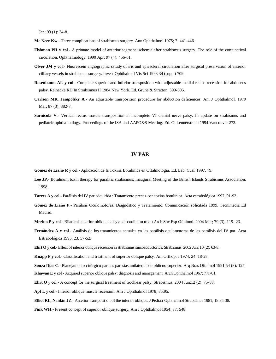Jan; 93 (1): 34-8.

- **Mc Neer Kw**.- Three complications of strabismus surgery. Ann Ophthalmol 1975; 7: 441-446.
- **Fishman PH y col.** A primate model of anterior segment ischemia after strabismus surgery. The role of the conjunctival circulation. Ophthalmology. 1990 Apr; 97 (4): 456-61.
- **Olver JM y col**.- Fluorescein angiographic sstudy of iris and epiescleral circulation after surgical preservation of anterior cilliary vessels in strabismus surgery. Invest Ophthalmol Vis Sci 1993 34 (suppl) 709.
- **Rosenbaum AL y col**.- Complete superior and inferior transposition with adjustable medial rectus recession for abducens palsy. Reinecke RD In Strabismus II 1984 New York. Ed. Grüne & Stratton, 599-605.
- **Carlson MR, Jampolsky A**.- An adjustable transposition procedure for abduction deficiences. Am J Ophthalmol. 1979 Mar; 87 (3): 382-7.
- **Sarnicola V.** Vertical rectus muscle transposition in incomplete VI cranial nerve palsy. In update on strabismus and pediatric ophthalmology. Proceedings of the ISA and AAPO&S Meeting. Ed. G. Lennerstrand 1994 Vancouver 273.

## **IV PAR**

**Gómez de Liaño R y col**.- Aplicación de la Toxina Botulínica en Oftalmología. Ed. Lab. Cusí. 1997. 79.

- Lee JP.- Botulinum toxin therapy for paralitic strabismus. Inaugural Meeting of the British Islands Strabismus Association. 1998.
- **Torres A y col**.- Parálisis del IV par adquirida : Tratamiento precoz con toxina botulínica. Acta estrabológica 1997; 91-93.
- **Gómez de Liaño P**.- Parálisis Oculomotoras: Diagnóstico y Tratamiento. Comunicación solicitada 1999. Tecnimedia Ed Madrid.
- **Merino P y col**.- Bilateral superior oblique palsy and botulinum toxin Arch Soc Esp Oftalmol. 2004 Mar; 79 (3): 119- 23.
- **Fernández A y col**.- Análisis de los tratamientos actuales en las parálisis oculomotoras de las parálisis del IV par. Acta Estrabológica 1995; 23. 57-52.
- **Ehrt O y col**.- Effect of inferior oblique recession in strabismus sursoadductorius. Strabismus. 2002 Jun; 10 (2): 63-8.

**Knapp P y col**.- Classification and treatment of superior oblique palsy. Am Orthopt J 1974; 24: 18-28.

**Souza Dias C**.- Planejamento cirúrgico para as paresias unilaterais do oblicuo superior. Arq Bras Oftalmol 1991 54 (3): 127.

**Khawan E y col**.- Acquired superior oblique palsy: diagnosis and management. Arch Ophthalmol 1967; 77:761.

**Ehrt O y col**.- A concept for the surgical treatment of trochlear palsy. Strabismus. 2004 Jun;12 (2): 75-83.

**Apt L y col**.- Inferior oblique muscle recession. Am J Ophthalmol 1978; 85:95.

**Elliot RL, Nankin JZ**.- Anterior transposition of the inferior oblique. J Pediatr Ophthalmol Strabismus 1981; 18:35-38.

Fink WH.- Present concept of superior oblique surgery. Am J Ophthalmol 1954; 37: 548.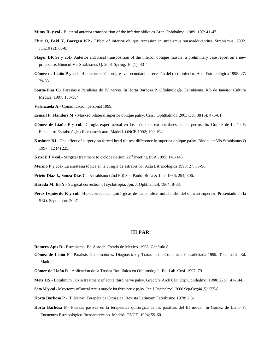**Mims JL y col**.- Bilateral anterior transposition of the inferior obliques Arch Ophthalmol 1989; 107: 41-47.

- **Ehrt O**, **Bekl Y**, **Boergen KP**.- Effect of inferior oblique recession in strabismus sursoadductorius. Strabismus. 2002. Jun;10 (2): 63-8.
- **Stager DR Sr y col**.- Anterior and nasal transposition of the inferior oblique muscle: a preliminary case report on a new procedure. Binocul Vis Strabismus Q. 2001 Spring; 16 (1): 43-4.
- **Gómez de Liaño P y col**.- Hipercorrección progresiva secundaria a recesión del recto inferior. Acta Estrabológica 1998; 27: 79-83.
- **Souza-Dias C**.- Paresias e Paralisias do IV nervio. In Horta Barbosa P. Oftalmología. Estrabismo. Río de Janeiro: Cultura Médica. 1997; 153-154.

**Valenzuela A**.- Comunicación personal 1999.

- **Esmail F, Flanders M.-** Masked bilateral superior oblique palsy. Can J Ophthalmol. 2003 Oct; 38 (6): 476-81.
- **Gómez de Liaño F y col**.- Cirugía experimental en los músculos extraoculares de los perros. In: Gómez de Liaño F. Encuentro Estrabológico Iberoamericano. Madrid. ONCE 1992; 190-194.
- **Kushner BJ**.- The effect of surgery on forced head tilt test difference in superior oblique palsy. Binocular Vis Strabismus Q 1997 ; 12 (4) 225.

**Krizok T y col.**- Surgical treatment to ciclodeviation. 22<sup>nd</sup> meeting ESA 1995: 141-146.

**Merino P y col**.- La anestesia tópica en la cirugía de estrabismo. Acta Estrabológica 1998: 27: 85-90.

**Prieto-Diaz J., Souza-Dias C**.- Estrabismo (2nd Ed) Sao Paulo: Roca & Jims 1986; 294, 306.

**Harada M**, **Ito Y**.- Surgical correction of cyclotropia. Jpn. J. Ophthalmol. 1964; 8-88.

**Pérez Izquierdo R y col**.- Hipercorreciones quirúrgicas de las parálisis unilaterales del oblícuo superior. Presentado en la SEO. Septiembre 2007.

## **III PAR**

**Romero Apis D**.- Estrabismo. Ed Auroch. Estado de México. 1998. Capítulo 8.

**Gómez de Liaño P**.- Parálisis Oculomotoras: Diagnóstico y Tratamiento. Comunicación solicitada 1999. Tecnimedia Ed. Madrid.

**Gómez de Liaño R**.- Aplicación de la Toxina Botulínica en Oftalmología. Ed. Lab. Cusí. 1997. 79

**Metz HS**.- Botulinum Toxin treatment of acute third nerve palsy. Graefe's Arch Clin Exp Ophthalmol 1988; 226: 141-144.

**Sato M y col**.- Myectomy of lateral rectus muscle for third nerve palsy. Jpn J Ophthalmol. 2000 Sep-Oct;44 (5): 555-8.

**Horta Barbosa P**.- III Nervo: Terapéutica Cirúrgica. Revista Latinoam Estrabismo 1978; 2:51.

**Horta Barbosa P**.- Fuerzas pasivas en la terapéutica quirúrgica de las parálisis del III nervio. In Gómez de Liaño F. Encuentro Estrabológico Iberoamericano. Madrid: ONCE. 1994; 59-60.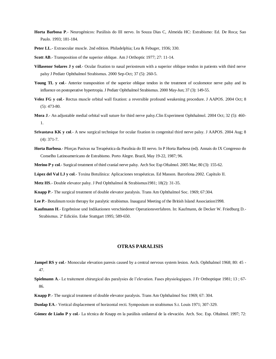- **Horta Barbosa P**.- Neurogénicos: Parálisis do III nervo. In Souza Dias C, Almeida HC: Estrabismo: Ed. De Roca; Sao Paulo. 1993; 181-184.
- Peter LL.- Extraocular muscle. 2nd edition. Philadelphia; Lea & Febuger, 1936; 330.
- **Scott AB**.- Transposition of the superior oblique. Am J Orthoptic 1977; 27: 11-14.
- **Villasenor Solares J y col**.- Ocular fixation to nasal periosteum with a superior oblique tendon in patients with third nerve palsy J Pediatr Ophthalmol Strabismus. 2000 Sep-Oct; 37 (5): 260-5.
- Young TL y col.- Anterior transposition of the superior oblique tendon in the treatment of oculomotor nerve palsy and its influence on postoperative hypertropia. J Pediatr Ophthalmol Strabismus. 2000 May-Jun; 37 (3): 149-55.
- **Velez FG y col**.- Rectus muscle orbital wall fixation: a reversible profound weakening procedure. J AAPOS. 2004 Oct; 8 (5): 473-80.
- **Mora J**.- An adjustable medial orbital wall suture for third nerve palsy.Clin Experiment Ophthalmol. 2004 Oct; 32 (5): 460- 1.
- **Srivastava KK y col**.- A new surgical technique for ocular fixation in congenital third nerve palsy. J AAPOS. 2004 Aug; 8 (4): 371-7.
- **Horta Barbosa**.- Pforças Pasivas na Terapéutica da Paralisia do III nervo. In P Horta Barbosa (ed). Annais do IX Congresso do Conselho Latinoamericano de Estrabismo. Porto Alegre. Brazil, May 19-22, 1987; 96.

**Merino P y col**.- Surgical treatment of third cranial nerve palsy. Arch Soc Esp Oftalmol. 2005 Mar; 80 (3): 155-62.

**López del Val LJ y col**.- Toxina Botulínica: Aplicaciones terapéuticas. Ed Masson. Barcelona 2002. Capítulo II.

**Metz HS**.- Double elevator palsy. J Ped Ophthalmol & Strabismus1981; 18(2): 31-35.

- **Knapp P**.- The surgical treatment of double elevator paralysis. Trans Am Ophthalmol Soc. 1969; 67:304.
- **Lee P**.- Botulinum toxin therapy for paralytic strabismus. Inaugural Meeting of the British Island Association1998.
- **Kaufmann H**.- Ergebnisse und Indikationen verschiedener Operationsverfahren. In: Kaufmann, de Decker W. Friedburg D.- Strabismus. 2ª Edición. Enke Stuttgart 1995; 589-650.

## **OTRAS PARALISIS**

- **Jampel RS y col**.- Monocular elevation paresis caused by a central nervous system lesion. Arch. Ophthalmol 1968; 80: 45 47.
- **Spielmann A**.- Le traitement chirurgical des paralysies de l'elevation. Fases physiologiques. J Fr Orthoptique 1981; 13 ; 67- 86.
- **Knapp P**.- The surgical treatment of double elevator paralysis. Trans Am Ophthalmol Soc 1969; 67: 304.
- **Dunlap EA**.- Vertical displacement of horizontal recti. Symposium on strabismus S.t. Louis 1971; 307-329.

**Gómez de Liaño P y col**.- La técnica de Knapp en la parálisis unilateral de la elevación. Arch. Soc. Esp. Oftalmol. 1997; 72: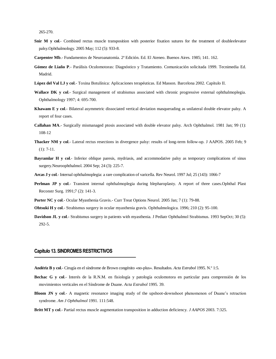265-270.

- **Snir M y col.** Combined rectus muscle transposition with posterior fixation sutures for the treatment of doubleelevator palsy.Ophthalmology. 2005 May; 112 (5): 933-8.
- **Carpenter Mb**.- Fundamentos de Neuroanatomía. 2ª Edición. Ed. El Ateneo. Buenos Aires. 1985; 141. 162.
- **Gómez de Liaño P**.- Parálisis Oculomotoras: Diagnóstico y Tratamiento. Comunicación solicitada 1999. Tecnimedia Ed. Madrid.
- **López del Val LJ y col**.- Toxina Botulínica: Aplicaciones terapéuticas. Ed Masson. Barcelona 2002. Capítulo II.
- Wallace DK y col.- Surgical management of strabismus associated with chronic progressive external ophthalmoplegia. Ophthalmology 1997; 4: 695-700.
- **Khawam E y col**.- Bilateral asymmetric dissociated vertical deviation masquerading as unilateral double elevator palsy. A report of four cases.
- **Callahan MA**.- Surgically mismanaged ptosis associated with double elevator palsy. Arch Ophthalmol. 1981 Jan; 99 (1): 108-12
- **Thacker NM y col**.- Lateral rectus resections in divergence palsy: results of long-term follow-up. J AAPOS. 2005 Feb; 9 (1): 7-11.
- **Bayramlar H y col**.- Inferior oblique paresis, mydriasis, and accommodative palsy as temporary complications of sinus surgery.Neuroophthalmol. 2004 Sep; 24 (3): 225-7.
- **Arcas J y col**.- Internal ophthalmoplegia: a rare complication of varicella. Rev Neurol. 1997 Jul; 25 (143): 1066-7
- **Perlman JP y col**.- Transient internal ophthalmoplegia during blepharoplasty. A report of three cases.Ophthal Plast Reconstr Surg. 1991;7 (2): 141-3.
- **Porter NC y col**.- Ocular Myasthenia Gravis.- Curr Treat Options Neurol. 2005 Jan; 7 (1): 79-88.
- **Ohtsuki H y col**.- Strabismus surgery in ocular myasthenia gravis. Ophthalmologica. 1996; 210 (2): 95-100.
- **Davidson JL y col**.- Strabismus surgery in patients with myasthenia. J Pediatr Ophthalmol Strabismus. 1993 SepOct; 30 (5): 292-5.

## **Capítulo 13. SINDROMES RESTRICTIVOS**

- **Andériz B y col**.- Cirugía en el síndrome de Brown congénito «no-plus». Resultados. *Acta Estrabol* 1995. N.º 1:5.
- **Bechac G y col**.- Interés de la R.N.M. en fisiología y patología oculomotora en particular para comprensión de los movimientos verticales en el Síndrome de Duane. *Acta Estrabol* 1995. 39.
- **Bloom JN y col**.- A magnetic resonance imaging study of the upshoot-downshoot phenomenon of Duane's retraction syndrome. *Am J Ophthalmol* 1991. 111:548.
- **Britt MT y col**.- Partial rectus muscle augmentation transposition in adduction deficiency. *J AAPOS* 2003. 7:325.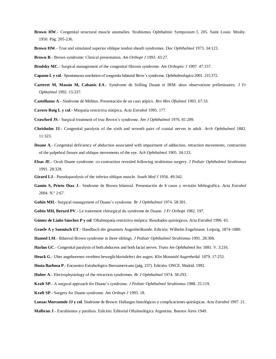- **Brown HW**.- Congenital structural muscle anomalies. Strabismus Ophthalmic Symposium I, 205. Saint Louis: Mosby. 1950. Pág. 205-236.
- **Brown HW**.- True and simulated superior oblique tendon sheath syndromes. *Doc Ophthalmol* 1973. 34:123.

**Brown B**.- Brown syndrome: Clinical presentation. *Am Orthopt J* 1993. 43:27.

- **Brodsky MC**.- Surgical management of the congenital fibrosis syndrome. *Am Orthoptic J* 1997. 47:157.
- **Capasso L y col**.-Spontaneous resolution of congenita bilateral Brow's syndrome. *Ophthalmologica* 2001. 215:372.
- **Carteret M, Massin M, Cabanis EA**.- Syndrome de Stilling Duane et IRM: deux observations préliminaires. *J Fr Ophtalmol* 1992. 15:337.
- **Castellanos A**.- Síndrome de Möbius. Presentación de un caso atípico. *Rev Mex Oftalmol* 1993. 67:33.

**Cavero Roig L y col**.- Miopatía restrictiva miópica. *Acta Estrabol* 1995. 177.

**Crawford JS**.- Surgical treatment of true Brown's syndrome. *Am J Ophthalmol* 1976. 81:289.

- **Chrisholm JJ**.- Congenital paralysis of the sixth and seventh pairs of cranial nerves in adult. *Arch Ophthalmol* 1882. 11:323.
- **Duane A**.- Congenital deficiency of abduction associated with impairment of adduction, retraction movements, contraction of the palpebral fissure and oblique movements of the eye. *Ach Ophthalmol* 1905. 34:133.
- **Elsas JE**.- Ocult Duane syndrome: co-contraction revealed following strabismus surgery. *J Pediatr Ophthalmol Strabismus*  1991. 28:328.
- **Girard LJ**.- Pseudoparalysis of the inferior oblique muscle. *South Med J* 1956. 49:342.
- **Gamio S, Prieto Díaz J**.- Síndrome de Brown bilateral. Presentación de 8 casos y revisión bibliográfica. *Acta Estrabol*  2004. N.º 2:67.
- **Gobin MH**.- Surgical management of Duane's syndrome. *Br J Ophthalmol* 1974. 58:301.
- **Gobin MH, Berard PV**.- Le traitement chirurgical du syndrome de Duane. *J Fr Orthopt* 1982. 197.

**Gómez de Liaño Sánchez P y col**. Oftalmopatía restrictiva miópica: Resultados quirúrgicos. *Acta Estrabol* 1996. 43.

- **Graefe A y Saemisch ET**.- Handbuch der gesamten Augenheilkunde. Edición: Wilhelm Engelmann. Leipzig, 1874-1880.
- **Hamed LM**.- Bilateral Brown syndrome in three siblings. *J Pediatr Ophthalmol Strabismus* 1991. 28:306.
- **Harlan GC**.- Congenital paralysis of both abducens and both facial nerves. *Trans Am Ophthalmol Soc* 1881. V. 3:216.

**Heuck G**.- Uber angeborenen verebten beweglichkeisdefect der augen. *Klin Monatsbl Augenheikd*. 1879. 17:253.

- **Hosta Barbosa P**.- Encuentro Estrabológico Iberoamericano (pág. 237). Edición: ONCE. Madrid. 1992.
- **Huber A**.- Electrophysiology of the retraction syndromes. *Br J Ophthalmol* 1974. 58:293.
- **Kraft SP**.- A surgical approach for Duane's syndrome. *J Pediatr Ophthalmol Strabismus* 1988. 25:119.

**Kraft SP**.- Surgery for Duane syndrome. *Am Orthopt J* 1993. 18.

**Luezas Morcuende JJ y col**. Síndrome de Brown: Hallazgos histológicos y complicaciones quirúrgicas. *Acta Estrabol* 1997. 21.

**Malbran J**.- Estrabismos y parálisis. Edición: Editorial Oftalmológica Argentina. Buenos Aires 1949.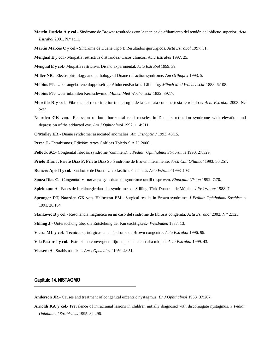- **Martín Justicia A y col**.- Síndrome de Brown: resultados con la técnica de afilamiento del tendón del oblicuo superior. *Acta Estrabol* 2001. N.º 1:11.
- **Martín Marcos C y col**.- Síndrome de Duane Tipo I: Resultados quirúrgicos. *Acta Estrabol* 1997. 31.

**Mengual E y col**.- Miopatía restrictiva distiroidea: Casos clínicos. *Acta Estrabol* 1997. 25.

**Mengual E y col**.- Miopatía restrictiva: Diseño experimental. *Acta Estrabol* 1999. 39.

**Miller NR**.- Electrophisiology and pathology of Duane retraction syndrome. *Am Orthopt J* 1993. 5.

- **Möbius PJ**.- Uber angeborene doppelseitige AbducensFacialis-Lähmung. *Münch Med Wochenschr* 1888. 6:108.
- **Möbius PJ**.- Uber infantilen Kernschwund. *Münch Med Wochenschr* 1832. 39:17.
- **Morcillo R y col**.- Fibrosis del recto inferior tras cirugía de la catarata con anestesia retrobulbar. *Acta Estrabol* 2003. N.º 2:75.
- **Noorden GK von**.- Recession of both horizontal recti muscles in Duane´s retraction syndrome with elevation and depression of the adducted eye. *Am J Ophthalmol* 1992. 114:311.

**O'Malley ER**.- Duane syndrome: associated anomalies. *Am Orthoptic J* 1993. 43:15.

**Perea J**.- Estrabismos. Edición: Artes Gráficas Toledo S.A.U. 2006.

**Pollock SC**.- Congenital fibrosis syndrome (comment). *J Pediatr Ophthalmol Strabismus* 1990. 27:329.

**Prieto Diaz J, Prieto Diaz F, Prieto Diaz S**.- Síndrome de Brown intermitente. *Arch Chil Oftalmol* 1993. 50:257.

**Romero Apis D y col**.- Síndrome de Duane: Una clasificación clínica. *Acta Estrabol* 1998. 103.

**Souza Dias C**.- Congenital VI nerve palsy is duane's syndrome untill disproven. *Binocular Vision* 1992. 7:70.

**Spielmann A**.- Bases de la chirurgie dans les syndromes de Stilling-Türk-Duane et de Möbius. *J Fr Orthopt* 1988. 7.

- **Sprunger DT, Noorden GK von, Helbeston EM**.- Surgical results in Brown syndrome. *J Pediatr Ophthalmol Strabismus*  1991. 28:164.
- **Stankovic B y col**.- Resonancia magnética en un caso del síndrome de fibrosis congénita. *Acta Estrabol* 2002. N.º 2:125.
- **Stilling J**.- Untersuchung über die Entstehung der Kurzsichtigkeit.- *Wiesbaden* 1887. 13.
- **Vieira ML y col**.- Técnicas quirúrgicas en el síndrome de Brown congénito. *Acta Estrabol* 1996. 99.
- **Vila Pastor J y col**.- Estrabismo convergente fijo en paciente con alta miopía. *Acta Estrabol* 1999. 43.
- **Vilaseca A**.-Strabismus fixus. *Am J Ophthalmol* 1959. 48:51.

## **Capítulo 14. NISTAGMO**

- **Anderson JR**.- Causes and treatment of congenital eccentric nystagmus. *Br J Ophthalmol* 1953. 37:267.
- **Arnoldi KA y col**.- Prevalence of intracranial lesions in children initially diagnosed with disconjugate nystagmus. *J Pediatr Ophthalmol Strabismus* 1995. 32:296.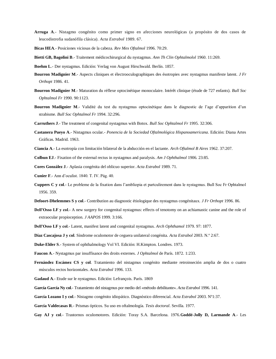- **Arruga A**.- Nistagmo congénito como primer signo en afecciones neurológicas (a propósito de dos casos de leucodistrofia sudanófila clásica). *Acta Estrabol* 1989. 67.
- **Bicas HEA**.- Posiciones viciosas de la cabeza. *Rev Mex Oftalmol* 1996. 70:29.
- **Bietti GB, Bagolini B**.- Traitement médicochirurgical du nystagmus. *Ann Th Clin Ophtalmolol* 1960. 11:269.
- **Boehm L**.- Der nystagmus. Edición: Verlag von August Hirschwald. Berlín. 1857.
- **Bourron Madignier M**.- Aspects cliniques et électrooculographiques des ésotropies avec nystagmus manifeste latent. *J Fr Orthopt* 1986. 41.
- **Bourron Madignier M**.- Maturation du réflexe optocinétique monoculaire. Intérêt clinique (étude de 727 enfants). *Bull Soc Ophtalmol Fr* 1990. 90:1123.
- **Bourron Madignier M**.- Validité du test du nystagmus optocinétique dans le diagnostic de l'age d'apparition d'un strabisme. *Bull Soc Ophtalmol Fr* 1994. 32:296.
- **Carruthers J**.- The treatment of congenital nystagmus with Botox. *Bull Soc Ophtalmol Fr* 1995. 32:306.
- **Castanera Pueyo A**.- Nistagmus ocular.- *Ponencia de la Sociedad Oftalmológica Hispanoamericana*. Edición: Diana Artes Gráficas. Madrid. 1963.
- **Ciancia A**.- La esotropía con limitación bilateral de la abducción en el lactante. *Arch Oftalmol B Aires* 1962. 37:207.
- **Colbun EJ**.- Fixation of the external rectus in nystagmus and paralysis. *Am J Ophthalmol* 1906. 23:85.
- **Cores González J**.- Aplasia congénita del oblicuo superior. *Acta Estrabol* 1989. 71.
- **Cunier F**.- Ann d'oculist. 1840. T. IV. Pág. 40.
- **Cuppers C y col**.- Le probleme de la fixation dans l'ambliopia et partculirement dans le nystagmus. Bull Soc Fr Ophtalmol 1956. 359.
- **Defoort-Dhelemmes S y col**.- Contribution au diagnostic étiologique des nystagmus congénitaux. *J Fr Orthopt* 1996. 86.
- **Dell'Osso LF y col**.- A new surgery for congenital nystagmus: effects of tenotomy on an achiamastic canine and the role of extraocular propioception. *J AAPOS* 1999. 3:166.
- **Dell'Osso LF y col**.- Latent, manifest latent and congenital nystagmus. *Arch Ophthamol* 1979. 97: 1877.
- **Díaz Cascajosa J y col**. Síndrome oculomotor de ceguera unilateral congénita. *Acta Estrabol* 2003. N.º 2:67.
- **Duke-Elder S**.- System of ophthalmology Vol VI. Edición: H.Kimpton. Londres. 1973.
- **Faucon A**.- Nystagmus par insuffisance des droits externes. *J Ophtalmol* de París. 1872. 1:233.
- **Fernández Escámez CS y col**. Tratamiento del nistagmus congénito mediante retroinseción amplia de dos o cuatro músculos rectos horizontales. *Acta Estrabol* 1996. 133.
- **Gadaud A**.- Etude sur le nystagmus. Edición: Lefrançois. París. 1869
- **García García Ny col**.- Tratamiento del nistagmus por medio del «método debilitante». *Acta Estrabol* 1996. 141.
- **García Lozano I y col**.- Nistagmo congénito idiopático. Diagnóstico diferencial. *Acta Estrabol* 2003. Nº1:37.
- **García Valdecasas R**.- Prismas ópticos. Su uso en oftalmología. *Tesis doctoral*. Sevilla. 1977.
- **Gay AJ y col**.- Trastornos oculomotores. Edición: Toray S.A. Barcelona. 1976.**Goddé-Jolly D, Larmande A**.- Les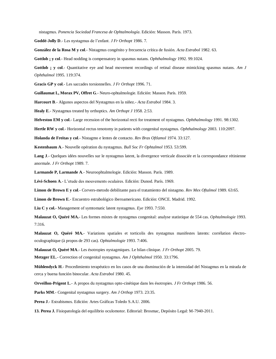nistagmus. *Ponencia Sociedad Francesa de Ophtalmología*. Edición: Masson. París. 1973.

**Goddé-Jolly D**.- Les nystagmus de l'enfant. *J Fr Orthopt* 1986. 7.

**González de la Rosa M y col**.- Nistagmus congénito y frecuencia crítica de fusión. *Acta Estrabol* 1982. 63.

**Gottlob ¡ y col**.- Head nodding is compensatory in spasmus nutans. *Ophthalmology* 1992. 99:1024.

Gottlob **;** y col.- Quantitative eye and head movement recordings of retinal disease mimicking spasmus nutans. Am J *Ophthalmol* 1995. 119:374.

**Gracis GP y col**.- Les saccades torsionnelles. *J Fr Orthopt* 1996. 71.

**Guillaumat L, Morax PV, Offret G**.- Neuro-ophtalmologie. Edición: Masson. París. 1959.

**Harcourt B**.- Algunos aspectos del Nystagmus en la niñez.- *Acta Estrabol* 1984. 3.

**Healy E**.- Nystagmus treated by orthoptics. *Am Orthopt J* 1958. 2:53.

**Helveston EM y col**.- Large recession of the horizontal recti for treatment of nystagmus. *Ophthalmology* 1991. 98:1302.

**Hertle RW y col**.- Horizontal rectus tenotomy in patients with congenital nystagmus. *Ophthalmology* 2003. 110:2097.

**Holanda de Freitas y col**.- Nistagmo e lentes de contacto. *Rev Bras Oftlamol* 1974. 33:127.

**Kestenbaum A**.- Nouvelle opération du nystagmus. *Bull Soc Fr Ophtalmol* 1953. 53:599.

**Lang J**.- Quelques idées nouvelles sur le nystagmus latent, la divergence verticale dissociée et la correspondance rétinienne anormale. *J Fr Orthopt* 1989. 7.

**Larmande P, Larmande A**.- Neuroophtalmologie. Edición: Masson. París. 1989.

**Lévi-Schoen A**.- L'etude des mouvements oculaires. Edición: Dunod. París. 1969.

**Limon de Brown E y col**.- Corvers-metodo debilitante para el tratamiento del nistagmo. *Rev Mex Oftalmol* 1989. 63:65.

**Limon de Brown E**.- Encuentro estrabológico iberoamericano. Edición: ONCE. Madrid. 1992.

**Liu C y col.**- Management of symtomatic latent nystagmus. *Eye* 1993. 7:550.

**Malauzat O, Quéré MA.**- Les formes mixtes de nystagmus congenital: analyse statistique de 554 cas. *Ophtalmologie* 1993. 7:316.

**Malauzat O, Quéré MA.**- Variations spatiales et torticolis des nystagmus manifestes latents: corrélation électrooculographique (à propos de 293 cas). *Ophtalmologie* 1993. 7:406.

**Malauzat O, Quéré MA**.- Les ésotropies nystagmiques. Le bilan clinique. *J Fr Orthopt* 2005. 79.

**Metzger EL**.- Correction of congenital nystagmus. *Am J Ophthalmol* 1950. 33:1796.

**Mühlendyck H**.- Procedimiento terapéutico en los casos de una disminución de la intensidad del Nistagmus en la mirada de cerca y buena función binocular. *Acta Estrabol* 1980. 45.

**Orveillon-Prigent L**.- A propos du nystagmus opto-cinétique dans les ésotropies. *J Fr Orthopt* 1986. 56.

**Parks MM**.- Congenital nystagmus surgery. *Am J Orthop* 1973. 23:35.

**Perea J**.- Estrabismos. Edición: Artes Gráficas Toledo S.A.U. 2006.

**13. Perea J.** Fisiopatología del equilibrio oculomotor. Editorial: Brosmac, Depósito Legal: M-7940-2011.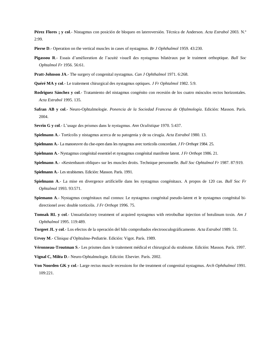**Pérez Flores ¡ y col**.- Nistagmus con posición de bloqueo en lateroversión. Técnica de Anderson. *Acta Estrabol* 2003. N.º 2:99.

**Pierse D**.- Operation on the vertical muscles in cases of nystagmus. *Br J Ophthalmol* 1959. 43:230.

- **Pigassou R**.- Essais d'amèlioration de l'acuité visuell des nystagmus bilatèraux par le traiment orthoptique. *Bull Soc Ophtalmol Fr* 1956. 56:61.
- **Pratt-Johnson JA**.- The surgery of congenital nystagmus. *Can J Ophthalmol* 1971. 6:268.
- **Quéré MA y col**.- Le traitement chirurgical des nystagmus optiques. *J Fr Ophtalmol* 1982. 5:9.
- **Rodriguez Sánchez y col**.- Tratamiento del nistagmus congénito con recesión de los cuatro músculos rectos horizontales. *Acta Estrabol* 1995. 135.
- **Safran AB y col**.- Neuro-Ophtalmologie. *Ponencia de la Sociedad Francesa de Oftalmología*. Edición: Masson. París. 2004.
- **Sevrin G y col**.- L'usage des prismes dans le nystagmus. *Ann Oculistique* 1970. 5:437.
- **Spielmann A**.- Tortícolis y nistagmus acerca de su patogenia y de su cirugía. *Acta Estrabol* 1980. 13.
- **Spielmann A**.- La manoeuvre du clse-open dans les nytagmus avec torticolis concordant. *J Fr Orthopt* 1984. 25.
- **Spielmann A**.- Nystagmus congénital essentiel et nystagmus congénital manifeste latent. *J Fr Orthopt* 1986. 21.
- **Spielmann A**.- «Kestenbaum oblique» sur les muscles droits. Technique personnelle. *Bull Soc Ophtalmol Fr* 1987. 87:919.
- **Spielmann A**.- Les strabismes. Edición: Masson. París. 1991.
- **Spielmann A**.- La mise en divergence artificielle dans les nystagmus congénitaux. A propos de 120 cas. *Bull Soc Fr Ophtalmol* 1993. 93:571.
- **Spiemann A**.- Nystagmus congénitaux mal connus: Le nystagmus congénital pseudo-latent et le nystagmus congénital bidirectionel avec double torticolis. *J Fr Orthopt* 1996. 75.
- **Tomsak RL y col**.- Unssatisfactory treatment of acquired nystagmus with retrobulbar injection of botulinum toxin. *Am J Ophthalmol* 1995. 119:489.
- **Torgeet JL y col**.- Los efectos de la operación del hilo comprobados electrooculográficamente. *Acta Estrabol* 1989. 51.
- **Urvoy M**.- Clinique d'Ophtalmo-Pediatrie. Edición: Vigot. París. 1989.
- **Véronneau-Troutman S**.- Les prismes dans le traitement médical et chirurgical du strabisme. Edición: Masson. París. 1997.

**Vignal C, Miléa D**.- Neuro-Ophtalmologie. Edición: Elsevier. París. 2002.

**Von Noorden GK y col**.- Large rectus muscle recessions for the treatment of congenital nystagmus. *Arch Ophthalmol* 1991. 109:221.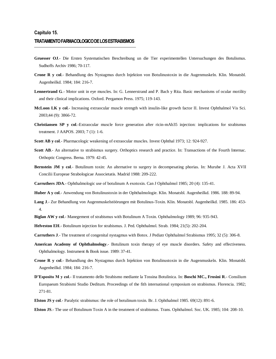- **Gruesser OJ**.- Die Ersten Systematischen Beschreibung un die Tier experimentellen Untersuchungen des Botulismus. Sudhoffs Archiv 1986; 70-117.
- **Crone R y col**.- Behandlung des Nystagmus durch Injektion von Botulinustoxin in die Augenmuskeln. Klin. Monatsbl. Augenheilkd. 1984; 184: 216-7.
- **Lennertrand G**.- Motor unit in eye muscles. In: G. Lennerstrand and P. Bach y Rita. Basic mechanisms of ocular motility and their clinical implications. Oxford. Pergamon Press. 1975; 119-143.
- **McLoon LK y col**.- Increasing extraocular muscle strength with insulin-like growth factor II. Invest Ophthalmol Vis Sci. 2003;44 (9): 3866-72.
- **Christiansen SP y col**.-Extraocular muscle force generation after ricin-mAb35 injection: implications for strabismus treatment. J AAPOS. 2003; 7 (1): 1-6.
- **Scott AB y col**.- Pharmacologic weakening of extraocular muscles. Invest Ophthal 1973; 12: 924-927.
- Scott AB.- An alternative to strabismus surgery. Orthoptics research and practice. In: Transactions of the Fourth Internac. Orthoptic Congress. Berna. 1979: 42-45.
- **Bernstein JM y col**.- Botulinum toxin: An alternative to surgery in decompesating phorias. In: Murube J. Acta XVII Concilii Europeae Strabologicae Associetatis. Madrid 1988: 209-222.
- **Carruthers JDA**.- Ophthalmologic use of botulinum A exotoxin. Can J Ophthalmol 1985; 20 (4): 135-41.
- **Huber A y col**.- Anwendung von Botulinustoxin in der Ophthalmologie. Klin. Monatsbl. Augenheilkd. 1986. 188: 89-94.
- **Lang J**.- Zur Behandlung von Augenmuskelstöörungen mit Botulinus-Toxin. Klin. Monatsbl. Augenheilkd. 1985. 186: 453- 4.
- **Biglan AW y col**.- Manegement of strabismus with Botulinum A Toxin. Ophthalmology 1989; 96: 935-943.
- **Helveston EH**.- Botulinum injection for strabismus. J. Ped. Ophthalmol. Strab. 1984; 21(5): 202-204.
- **Carruthers J**.- The treatment of congenital nystagmus with Botox. J Pediatr Ophthalmol Strabismus 1995; 32 (5): 306-8.
- **American Academy of Ophthalmology**.- Botulinum toxin therapy of eye muscle disorders. Safety and effectiveness. Ophthalmology. Instrument & Book issue. 1989: 37-41.
- **Crone R y col**.- Behandlung des Nystagmus durch Injektion von Botulinustoxin in die Augenmuskeln. Klin. Monatsbl. Augenheilkd. 1984; 184: 216-7.
- **D'Esposito M y col**.- Il tratamento dello Strabismo mediante la Tossina Botulinica. In: **Boschi MC., Frosini R**.- Consilium Europaeum Strabismi Studio Deditum. Proceedings of the fith international symposium on strabismus. Florencia. 1982; 271-81.
- **Elston JS y col**.- Paralytic strabismus: the role of botulinum toxin. Br. J. Ophthalmol 1985. 69(12): 891-6.
- **Elston JS**.- The use of Botulinum Toxin A in the treatment of strabismus. Trans. Ophthalmol. Soc. UK. 1985; 104: 208-10.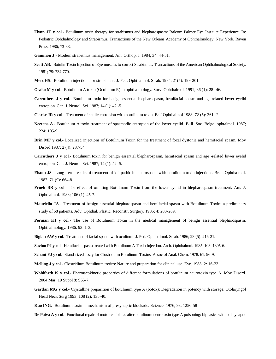- **Flynn JT y col**.- Botulinum toxin therapy for strabismus and blepharospasm: Balcom Palmer Eye Institute Experience. In: Pediatric Ophthalmology and Strabismus. Transactions of the New Orleans Academy of Ophthalmology. New York. Raven Press. 1986; 73-88.
- **Gammon J**.- Modern strabismus management. Am. Orthop. J. 1984; 34: 44-51.
- **Scott AB**.- Botulin Toxin Injection of Eye muscles to correct Strabismus. Transactions of the American Ophthalmological Society. 1981; 79: 734-770.
- **Metz HS**.- Botulinum injections for strabismus. J. Ped. Ophthalmol. Strab. 1984; 21(5): 199-201.
- **Osako M y col**.- Botulinum A toxin (Oculinum R) in ophthalmology. Surv. Ophthalmol. 1991; 36 (1): 28 -46.
- **Carruthers J y col**.- Botulinum toxin for benign essential blepharospasm, hemifacial spasm and age-related lower eyelid entropion. Can. J. Neurol. Sci. 1987; 14 (1): 42 -5.
- **Clarke JR y col**.- Treatment of senile entropion with botulinum toxin. Br J Ophthalmol 1988; 72 (5): 361 -2.
- **Neetens A**.- Botulinum A.toxin treatment of spasmodic entropion of the lower eyelid. Bull. Soc. Belge. ophtalmol. 1987; 224: 105-9.
- **Brin MF y col.** Localized injections of Botulinum Toxin for the treatment of focal dystonia and hemifacial spasm. Mov Disord.1987; 2 (4): 237-54.
- **Carruthers J y col**.- Botulinum toxin for benign essential blepharospasm, hemifacial spasm and age -related lower eyelid entropion. Can. J. Neurol. Sci. 1987; 14 (1): 42 -5.
- **Elston JS**.- Long -term results of treatment of idiopathic blepharospasm with botulinum toxin injections. Br. J. Ophthalmol. 1987; 71 (9): 664-8.
- **Frueh BR y col**.- The effect of omitting Botulinum Toxin from the lower eyelid in blepharospasm treatment. Am. J. Ophthalmol. 1988; 106 (1): 45-7.
- **Mauriello JA**.- Treatment of benign essential blepharospasm and hemifacial spasm with Botulinum Toxin: a preliminary study of 68 patients. Adv. Ophthal. Plastic. Reconstr. Surgery. 1985; 4: 283-289.
- **Perman KI y col.** The use of Botulinum Toxin in the medical management of benign essential blepharospasm. Ophthalmology. 1986. 93: 1-3.
- **Biglan AW y col**.- Treatment of facial spasm with oculinum J. Ped. Ophthalmol. Strab. 1986; 23 (5): 216-21.
- **Savino PJ y col**.- Hemifacial spasm treated with Botulinum A Toxin Injection. Arch. Ophthalmol. 1985. 103: 1305-6.
- **Schant EJ y col**.- Standarized assay for Clostridium Botulinum Toxins. Assoc of Anal. Chem. 1978. 61: 96-9.
- **Melling J y col**.- Clostridium Botulinum toxins: Nature and preparation for clinical use. Eye. 1988; 2: 16-23.
- Wohlfarth K y col.- Pharmacokinetic properties of different formulations of botulinum neurotoxin type A. Mov Disord. 2004 Mar; 19 Suppl 8: S65-7.
- **Gartlan MG y col**.- Crystalline preparition of botulinum type A (botox): Degradation in potency with storage. Otolaryngol Head Neck Surg 1993; 108 (2): 135-40.
- **Kao ING**.- Botulinum toxin in mechanism of presynaptic blockade. Science. 1976; 93: 1256-58
- **De Paiva A y col**.- Functional repair of motor endplates after botulinum neurotoxin type A poisoning: biphasic switch of synaptic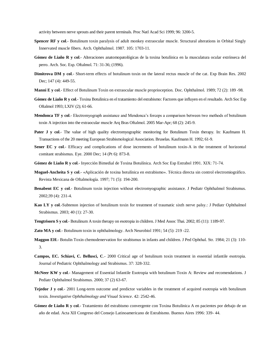activity between nerve sprouts and their parent terminals. Proc Natl Acad Sci 1999; 96: 3200-5.

- **Spencer RF y col**.- Botulinum toxin paralysis of adult monkey extraocular muscle. Structural alterations in Orbital Singly Innervated muscle fibers. Arch. Ophthalmol. 1987. 105: 1703-11.
- **Gómez de Liaño R y col**.- Alteraciones anatomopatológicas de la toxina botulínica en la musculatura ocular extrínseca del perro. Arch. Soc. Esp. Oftalmol. 71: 31-36; (1996).
- **Dimitrova DM y col**.- Short-term effects of botulinum toxin on the lateral rectus muscle of the cat. Exp Brain Res. 2002 Dec; 147 (4): 449-55.
- **Manni E y col**.- Effect of Botulinum Toxin on extraocular muscle proprioception. Doc. Ophthalmol. 1989; 72 (2): 189 -98.
- **Gómez de Liaño R y col**.- Toxina Botulinica en el tratamiento del estrabismo: Factores que influyen en el resultado. Arch Soc Esp Oftalmol 1993; LXIV (2); 61-66.
- **Mendonca TF y col**.- Electromyograph assistance and Mendonca's forceps a comparison between two methods of botulinum toxin A injection into the extraocular muscle Arq Bras Oftalmol. 2005 Mar-Apr; 68 (2): 245-9.
- **Pater J y col.** The value of high quality electromyographic monitoring for Botulinum Toxin therapy. In: Kaufmann H. Transactions of the 20 meeting European Strabismological Association. Bruselas. Kaufmann H. 1992; 61-9.
- **Sener EC y col.** Efficacy and complications of dose increments of botulinum toxin-A in the treatment of horizontal comitant strabismus. Eye. 2000 Dec; 14 (Pt 6): 873-8.
- **Gómez de Liaño R y col**.- Inyección Bimedial de Toxina Botulínica. Arch Soc Esp Estrabol 1991. XIX: 71-74.
- **Moguel-Ancheita S y col**.- «Aplicación de toxina botulínica en estrabismo». Técnica directa sin control electromiográfico. Revista Mexicana de Oftalmología. 1997; 71 (5): 194-200.
- **Benabent EC y col**.- Botulinum toxin injection without electromyographic assistance. J Pediatr Ophthalmol Strabismus. 2002;39 (4): 231-4.
- **Kao LY y col**.-Subtenon injection of botulinum toxin for treatment of traumatic sixth nerve palsy.: J Pediatr Ophthalmol Strabismus. 2003; 40 (1): 27-30.
- **Tengtrisorn S y col**.- Botulinum A toxin therapy on esotropia in children. J Med Assoc Thai. 2002; 85 (11): 1189-97.
- **Zato MA y col**.- Botulinum toxin in ophthalmology. Arch Neurobiol 1991; 54 (5): 219 -22.
- **Maggon EH**.- Botulin Toxin chemodenervation for strabismus in infants and children. J Ped Ophthal. Str. 1984; 21 (3): 110- 3.
- **Campos, EC. Schiavi, C. Bellusci, C**.- 2000 Critical age of botulinum toxin treatment in essential infantile esotropia. Journal of Pediatric Ophthalmology and Strabismus. 37: 328-332.
- **McNeer KW y col**.- Management of Essential Infantile Esotropia with botulinum Toxin A: Review and recomendations. J Pediatr Ophthalmol Strabismus. 2000; 37 (2) 63-67.
- **Tejedor J y col**.- 2001 Long-term outcome and predictor variables in the treatment of acquired esotropia with botulinum toxin*. Investigative Ophthalmology and Visual Science*. 42: 2542-46.
- **Gómez de Liaño R y col**.- Tratamiento del estrabismo convergente con Toxina Botulinica A en pacientes por debajo de un año de edad. Acta XII Congreso del Consejo Latinoamericano de Estrabismo. Buenos Aires 1996: 339- 44.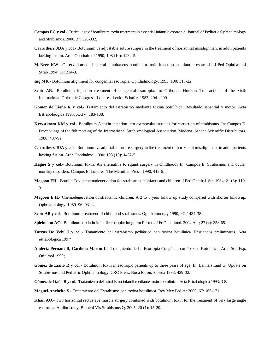- **Campos EC y col**.- Critical age of botulinum toxin treatment in essential infantile esotropia. Journal of Pediatric Ophthalmology and Strabismus. 2000. 37: 328-332.
- **Carruthers JDA y col**.- Botulinum vs adjustable suture surgery in the treatment of horizontal misalignment in adult patients lacking fusion. Arch Ophthalmol 1990; 108 (10): 1432-5.
- **McNeer KW**.- Observations on bilateral simultaneus botulinum toxin injection in infantile esotropia. J Ped Ophthalmol Strab 1994; 31: 214-9.
- **Ing MR**.- Botulinum alignment for congenital esotropia. Ophthalmology. 1993; 100: 318-22.
- **Scott AB**.- Botulinum injection treatment of congenital esotropia. In: Orthoptic Horizons:Transactions of the Sixth International Orthoptic Congress. Londres. Lenk - Schafer. 1987: 294 - 299.
- **Gómez de Liaño R y col**.- Tratamiento del estrabismo mediante toxina botulínica. Resultado sensorial y motor. Acta Estrabolóógica 1995; XXIV: 183-188.
- **Krzystkowa KM y col**.- Botulinum A toxin injection into extraocular muscles for correction of strabismus. In: Campos E. Proceedings of the fith meeting of the International Strabismological Association. Modena. Athena Scientific Distributors. 1986; 487-92.
- **Carruthers JDA y col**.- Botulinum vs adjustable suture surgery in the treatment of horizontal misalignment in adult patients lacking fusion. Arch Ophthalmol 1990; 108 (10): 1432-5.
- **Hague S y col**.- Botulinum toxin: An alternative to squint surgery in childhood? In: Campos E. Strabismus and ocular motility disorders. Campos E. Londres. The Mcmillan Press. 1990; 413-9.
- **Magoon EH**.- Botulin Toxin chemodenervation for strabismus in infants and children. J Ped Ophthal. Str. 1984; 21 (3): 110- 3.
- **Magoon E.H**.- Chemodenervation of strabismic children. A 2 to 5 year follow up study compared with shorter followup. Ophthalmology. 1989. 96: 931-4.
- **Scott AB y col**.- Botulinum treatment of childhood strabismus. Ophthalmology 1990; 97: 1434-38.
- **Spielmann AC**.- Botulinum toxin in infantile estropia: longterm Results. J Fr Ophtalmol. 2004 Apr; 27 (4): 358-65.
- **Tarrus De Vehí J y col**.- Tratamiento del estrabismo pediátrico con toxina botulínica. Resultados preliminares. Acta estrabológica 1997.
- **Anderiz Pernaut B, Cardona Martín L**.- Tratamiento de La Esotropía Congénita con Toxina Botulínica. Arch Soc Esp. Oftalmol 1999; 11.
- **Gómez de Liaño R y col**.- Botulinum toxin in esotropic patients up to three years of age. In: Lennerstrand G. Update on Strabismus and Pediatric Ophthalmology. CRC Press, Boca Raton, Florida 1993: 429-32.
- **Gómez de Liaño R y col**.- Tratamiento del estrabismo infantil mediante toxina botulínica. Acta Estrabológica 1993; 3-8.
- **Moguel-Ancheita S**.- Tratamiento del Estrabismo con toxina botulínica. Rev Mex Pediatr 2000; 67: 166-171.
- **Khan AO**.- Two horizontal rectus eye muscle surgery combined with botulinum toxin for the treatment of very large angle esotropia. A pilot study. Binocul Vis Strabismus Q. 2005 ;20 (1): 15-20.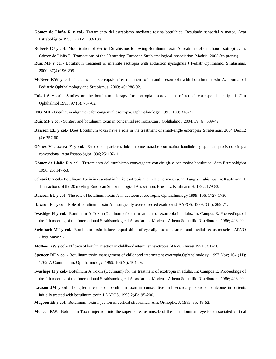- **Gómez de Liaño R y col**.- Tratamiento del estrabismo mediante toxina botulínica. Resultado sensorial y motor. Acta Estrabológica 1995; XXIV: 183-188.
- **Roberts CJ y col**.- Modification of Vertical Strabismus following Botulinum toxin A treatment of childhood esotropia. . In: Gómez de Liaño R. Transactions of the 20 meeting European Strabismological Association. Madrid. 2005 (en prensa).
- **Ruiz MF y col**.- Botulinum treatment of infantile esotropia with abduction nystagmus J Pediatr Ophthalmol Strabismus. 2000 ;37(4):196-205.
- **McNeer KW y col**.- Incidence of stereopsis after treatment of infantile esotropia with botulinum toxin A. Journal of Pediatric Ophthalmology and Strabismus. 2003; 40: 288-92.
- **Fukai S y col**.- Studies on the botulinum therapy for esotropia improvement of retinal correspondence Jpn J Clin Ophthalmol 1993; 97 (6): 757-62.
- **ING MR**.- Botulinum alignment for congenital esotropia. Ophthalmology. 1993; 100: 318-22.
- **Ruiz MF y col**.- Surgery and botulinum toxin in congenital esotropia.Can J Ophthalmol. 2004; 39 (6): 639-49.
- **Dawson EL y col**.- Does Botulinum toxin have a role in the treatment of small-angle esotropia? Strabismus. 2004 Dec;12 (4): 257-60.
- **Gómez Villaescusa F y col**.- Estudio de pacientes inicialemente tratados con toxina botulínica y que han precisado cirugía convencional. Acta Estrabológica 1996; 25: 107-111.
- **Gómez de Liaño R y col**.- Tratamiento del estrabismo convergente con cirugía o con toxina botulínica. Acta Estrabológica 1996; 25: 147-53.
- **Schiavi C y col**.- Botulinum Toxin in essential infantile esotropia and in late normosensorial Lang's strabismus. In: Kaufmann H. Transactions of the 20 meeting European Strabismological Association. Bruselas. Kaufmann H. 1992; 179-82.
- **Dawson EL y col**.- The role of botulinum toxin A in acuteonset esotropia. Ophthalmology 1999. 106: 1727-1730
- **Dawson EL y col**.- Role of botulinum toxin A in surgically overcorrected exotropia.J AAPOS. 1999; 3 (5): 269-71.
- **Iwashige H y col**.- Botulinum A Toxin (Oculinum) for the treatment of exotropia in adults. In: Campos E. Proceedings of the fith meeting of the International Strabismological Association. Modena. Athena Scientific Distributors. 1986; 493-99.
- **Steinbach MJ y col**.- Botulinum toxin induces equal shifts of eye alignment in lateral and medial rectus muscles. ARVO Abstr Mayo 92.
- **McNeer KW y col**.- Efficacy of botulin injection in childhood intermitent exotropia (ARVO) Invest 1991 32:1241.
- **Spencer RF y col**.- Botulinum toxin management of childhood intermittent exotropia.Ophthalmology. 1997 Nov; 104 (11): 1762-7. Comment in: Ophthalmology. 1999; 106 (6): 1045-6.
- **Iwashige H y col**.- Botulinum A Toxin (Oculinum) for the treatment of exotropia in adults. In: Campos E. Proceedings of the fith meeting of the International Strabismological Association. Modena. Athena Scientific Distributors. 1986; 493-99.
- Lawson JM y col.- Long-term results of botulinum toxin in consecutive and secondary exotropia: outcome in patients initially treated with botulinum toxin.J AAPOS. 1998;2(4):195-200.
- **Magoon Eh y col**.- Botulinum toxin injection of vertical strabismus. Am. Orthoptic. J. 1985; 35: 48-52.

**Mcneer KW**.- Botulinum Toxin injection into the superior rectus muscle of the non -dominant eye for dissociated vertical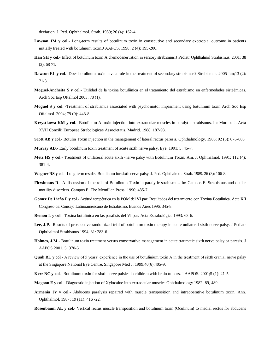deviation. J. Ped. Ophthalmol. Strab. 1989; 26 (4): 162-4.

- Lawson JM y col.- Long-term results of botulinum toxin in consecutive and secondary exotropia: outcome in patients initially treated with botulinum toxin.J AAPOS. 1998; 2 (4): 195-200.
- **Han SH y col**.- Effect of botulinum toxin A chemodenervation in sensory strabismus.J Pediatr Ophthalmol Strabismus. 2001; 38 (2): 68-71.
- **Dawson EL y col**.- Does botulinum toxin have a role in the treatment of secondary strabismus? Strabismus. 2005 Jun;13 (2): 71-3.
- **Moguel-Ancheita S y col**.- Utilidad de la toxina botulíínica en el tratamiento del estrabismo en enfermedades sistéémicas. Arch Soc Esp Oftalmol 2003; 78 (1).
- **Moguel S y col**. -Treatment of strabismus associated with psychomotor impairment using botulinum toxin Arch Soc Esp Oftalmol. 2004; 79 (9): 443-8.
- **Krzystkowa KM y col**.- Botulinum A toxin injection into extraocular muscles in paralytic strabismus. In: Murube J. Acta XVII Concilii Europeae Strabologicae Associetatis. Madrid. 1988; 187-93.
- **Scott AB y col**.- Botulin Toxin injection in the management of lateral rectus paresis. Ophthalmology. 1985; 92 (5): 676-683.
- **Murray AD**.- Early botulinum toxin treatment of acute sixth nerve palsy. Eye. 1991; 5: 45-7.
- **Metz HS y col**.- Treatment of unilateral acute sixth -nerve palsy with Botulinum Toxin. Am. J. Ophthalmol. 1991; 112 (4): 381-4.
- **Wagner RS y col**.- Long-term results: Botulinum for sixth nerve palsy. J. Ped. Ophthalmol. Strab. 1989. 26 (3): 106-8.
- **Fitzsimons R**.- A discussion of the role of Botulinum Toxin in paralytic strabismus. In: Campos E. Strabismus and ocular motility disorders. Campos E. The Mcmillan Press. 1990; 435-7.
- **Gomez De Liaño P y col**.- Actitud terapéutica en la POM del VI par: Resultados del tratamiento con Toxina Botulínica. Acta XII Congreso del Consejo Latinoamericano de Estrabismo. Buenos Aires 1996: 345-8.
- **Remon L y col**.- Toxina botulínica en las parálisis del VI par. Acta Estrabológica 1993: 63-6.
- **Lee, J.P**.- Results of prospective randomized trial of botulinum toxin therapy in acute unilateral sixth nerve palsy. J Pediatr Ophthalmol Strabismus 1994; 31: 283-6.
- **Holmes, J.M**.- Botulinum toxin treatment versus conservative management in acute traumatic sixth nerve palsy or paresis. J AAPOS 2001. 5: 370-6.
- **Quah BL y col.** A review of 5 years' experience in the use of botulinium toxin A in the treatment of sixth cranial nerve palsy at the Singapore National Eye Centre. Singapore Med J. 1999;40(6):405-9.
- **Kerr NC y col.** Botulinum toxin for sixth nerve palsies in children with brain tumors. J AAPOS. 2001;5 (1): 21-5.
- **Magoon E y col**.- Diagnostic injection of Xylocaine into extraocular muscles.Ophthalmology 1982; 89, 489.
- **Armenia Jv y col**.- Abducens paralysis repaired with muscle transposition and intraoperative botulinum toxin. Ann. Ophthalmol. 1987; 19 (11): 416 -22.
- **Rosenbaum AL y col**.- Vertical rectus muscle transposition and botulinum toxin (Oculinum) to medial rectus for abducens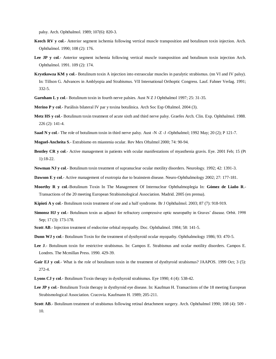palsy. Arch. Ophthalmol. 1989; 107(6): 820-3.

- **Keech RV y col.** Anterior segment ischemia following vertical muscle transposition and botulinum toxin injection. Arch. Ophthalmol. 1990; 108 (2): 176.
- Lee JP y col.- Anterior segment ischemia following vertical muscle transposition and botulinum toxin injection Arch. Ophthalmol. 1991. 109 (2): 174.
- **Krystkowza KM y col**.- Botulinum toxin A injection into extraocular muscles in paralytic strabismus. (nn VI and IV palsy). In: Tillson G. Advances in Amblyopia and Strabismus. VII International Orthoptic Congress. Lauf. Fahner Verlag. 1991; 332-5.
- **Garnham L y col**.- Botulinum toxin in fourth nerve palsies. Aust N Z J Ophthalmol 1997; 25: 31-35.
- **Merino P y col**.- Parálisis bilateral IV par y toxina botulínica. Arch Soc Esp Oftalmol. 2004 (3).
- **Metz HS y col**.- Botulinum toxin treatment of acute sixth and third nerve palsy. Graefes Arch. Clin. Exp. Ophthalmol. 1988. 226 (2): 141-4.
- **Saad N y col**.- The role of botulinum toxin in third nerve palsy. Aust -N -Z -J -Ophthalmol; 1992 May; 20 (2); P 121-7.
- **Moguel-Ancheita S**.- Estrabismo en miastenia ocular. Rev Mex Oftalmol 2000; 74: 90-94.
- **Bentley CR y col**.- Active management in patients with ocular manifestations of myasthenia gravis. Eye. 2001 Feb; 15 (Pt 1):18-22.
- **Newman NJ y col**.- Botulinum toxin treatment of supranuclear ocular motility disorders. Neurology. 1992; 42: 1391-3.
- **Dawson E y col**.- Active management of exotropia due to brainstem disease. Neuro-Ophthalmology 2002; 27: 177-181.
- **Moorthy R y col**.-Botulinum Toxin In The Management Of Internuclear Ophthalmoplegia In: **Gómez de Liaño R**.- Transactions of the 20 meeting European Strabismological Association. Madrid. 2005 (en prensa).
- **Kipioti A y col**.- Botulinum toxin treatment of one and a half syndrome. Br J Ophthalmol. 2003; 87 (7): 918-919.
- **Simonsz HJ y col**.- Botulinum toxin as adjunct for refractory compressive optic neuropathy in Graves' disease. Orbit. 1998 Sep; 17 (3): 173-178.
- **Scott AB**.- Injection treatment of endocrine orbital myopathy. Doc. Ophthalmol. 1984; 58: 141-5.
- **Dunn WJ y col**.- Botulinum Toxin for the treatment of dysthyroid ocular myopathy. Ophthalmology 1986; 93: 470-5.
- **Lee J**.- Botulinum toxin for restrictive strabismus. In: Campos E. Strabismus and ocular motility disorders. Campos E. Londres. The Mcmillan Press. 1990. 429-39.
- Gair EJ y col.- What is the role of botulinum toxin in the treatment of dysthyroid strabismus? JAAPOS. 1999 Oct; 3 (5): 272-4.
- **Lyons CJ y col**.- Botulinum Toxin therapy in dysthyroid strabismus. Eye 1990; 4 (4): 538-42.
- **Lee JP y col**.- Botulinum Toxin therapy in dysthyroid eye disease. In: Kaufman H. Transactions of the 18 meeting European Strabismological Association. Cracovia. Kaufmann H. 1989; 205-211.
- **Scott AB**.- Botulinum treatment of strabismus following retinal detachment surgery. Arch. Ophthalmol 1990; 108 (4): 509 10.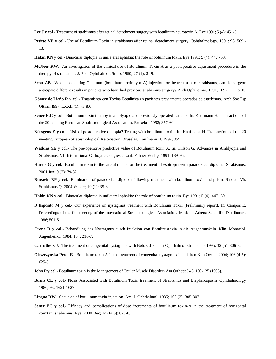Lee J y col.- Treatment of strabismus after retinal detachment surgery with botulinum neurotoxin A. Eye 1991; 5 (4): 451-5.

- **Petitto VB y col**.- Use of Botulinum Toxin in strabismus after retinal detachment surgery. Ophthalmology. 1991; 98: 509 13.
- **Hakin KN y col**.- Binocular diplopia in unilateral aphakia: the role of botulinum toxin. Eye 1991; 5 (4): 447 -50.
- **McNeer KW**.- An investigation of the clinical use of Botulinum Toxin A as a postoperative adjustment procedure in the therapy of strabismus. J. Ped. Ophthalmol. Strab. 1990; 27 (1): 3 -9.
- **Scott AB**.- When considering Oculinum (botulinum toxin type A) injection for the treatment of strabismus, can the surgeon anticipate different results in patients who have had previous strabismus surgery? Arch Ophthalmo. 1991; 109 (11): 1510.
- **Gómez de Liaño R y col**.- Tratamiento con Toxina Botulinica en pacientes previamente operados de estrabismo. Arch Soc Esp Oftalm 1997; LXXII (1): 75-80.
- **Sener E.C y col**.- Botulinum toxin therapy in amblyopic and previously operated patients. In: Kaufmann H. Transactions of the 20 meeting European Strabismological Association. Bruselas. 1992; 357-60.
- **Nüssgens Z y col**.- Risk of postoperative diplopia? Testing with botulinum toxin. In: Kaufmann H. Transactions of the 20 meeting European Strabismological Association. Bruselas. Kaufmann H. 1992; 355.
- **Watkins SE y col**.- The pre-operative predictive value of Botulinum toxin A. In: Tillson G. Advances in Amblyopia and Strabismus. VII International Orthoptic Congress. Lauf. Fahner Verlag. 1991; 189-96.
- **Harris G y col**.- Botulinum toxin to the lateral rectus for the treatment of esotropia with paradoxical diplopia. Strabismus. 2001 Jun; 9 (2): 79-82.
- **Rutstein RP y col**.- Elimination of paradoxical diplopia following treatment with botulinum toxin and prism. Binocul Vis Strabismus Q. 2004 Winter; 19 (1): 35-8.
- **Hakin KN y col**.- Binocular diplopia in unilateral aphakia: the role of botulinum toxin. Eye 1991; 5 (4): 447 -50.
- **D'Esposito M y col**.- Our experience on nystagmus treatment with Botulinum Toxin (Preliminary report). In: Campos E. Proceedings of the fith meeting of the International Strabismological Association. Modena. Athena Scientific Distributors. 1986; 501-5.
- **Crone R y col**.- Behandlung des Nystagmus durch Injektion von Botulinustoxin in die Augenmuskeln. Klin. Monatsbl. Augenheilkd. 1984; 184: 216-7.
- **Carruthers J**.- The treatment of congenital nystagmus with Botox. J Pediatr Ophthalmol Strabismus 1995; 32 (5): 306-8.
- **Oleszczynska-Prost E**.- Botulinum toxin A in the treatment of congenital nystagmus in children Klin Oczna. 2004; 106 (4-5): 625-8.
- **John P y col.** Botulinum toxin in the Management of Ocular Muscle Disorders Am Orthopt J 45: 109-125 (1995).
- **Burns CL y col**.- Ptosis Associated with Botulinum Toxin treatment of Strabismus and Blepharospasm. Ophthalmology 1986; 93: 1621-1627.
- **Lingua RW**.- Sequelae of botulinum toxin injection. Am. J. Ophthalmol. 1985; 100 (2): 305-307.
- **Sener EC y col.** Efficacy and complications of dose increments of botulinum toxin-A in the treatment of horizontal comitant strabismus. Eye. 2000 Dec; 14 (Pt 6): 873-8.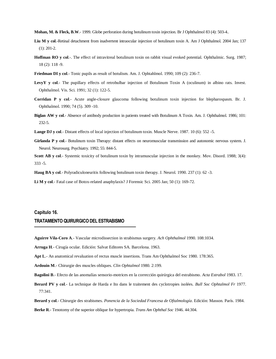- **Mohan, M. & Fleck, B.W**.- 1999. Globe perforation during botulinum toxin injection. Br J Ophthalmol 83 (4): 503-4..
- **Liu M y col**.-Retinal detachment from inadvertent intraocular injection of botulinum toxin A. Am J Ophthalmol. 2004 Jan; 137 (1): 201-2.
- **Hoffman RO y col**.-. The effect of intravitreal botulinum toxin on rabbit visual evoked potential. Ophthalmic. Surg. 1987; 18 (2): 118 -9.
- **Friedman DI y col**.- Tonic pupils as result of botulism. Am. J. Ophtahlmol. 1990; 109 (2): 236-7.
- **LevyY y col**.- The pupillary effects of retrobulbar injection of Botulinum Toxin A (oculinum) in albino rats. Invest. Ophthalmol. Vis. Sci. 1991; 32 (1): 122-5.
- **Corridan P y col**.- Acute angle-closure glaucoma following botulinum toxin injection for blepharospasm. Br. J. Ophthalmol. 1990; 74 (5). 309 -10.
- **Biglan AW y col**.- Absence of antibody production in patients treated with Botulinum A Toxin. Am. J. Ophthalmol. 1986; 101: 232-5.
- **Lange DJ y col**.- Distant effects of local injection of botulinum toxin. Muscle Nerve. 1987. 10 (6): 552 -5.
- **Girlanda P y col**.- Botulinum toxin Therapy: distant effects on neuromuscular transmission and autonomic nervous system. J. Neurol. Neurosurg. Psychiatry. 1992; 55: 844-5.
- **Scott AB y col**.- Systemic toxicity of botulinum toxin by intramuscular injection in the monkey. Mov. Disord. 1988; 3(4): 333 -5.
- **Haug BA y col**.- Polyradiculoneuritis following botulinum toxin therapy. J. Neurol. 1990. 237 (1): 62 -3.
- **Li M y col**.- Fatal case of Botox-related anaphylaxis? J Forensic Sci. 2005 Jan; 50 (1): 169-72.

## **Capítulo 16.**

## **TRATAMIENTO QUIRURGICO DEL ESTRABISMO**

- **Aguirre Vila-Coro A**.- Vascular microdissection in strabismus surgery. *Ach Ophthalmol* 1990. 108:1034.
- **Arruga H**.- Cirugía ocular. Edición: Salvat Editores SA. Barcelona. 1963.
- **Apt L**.- An anatomical revaluation of rectus muscle insertions. Trans Am Ophthalmol Soc 1980. 178:365.
- **Ardouin M**.- Chirurgie des muscles obliques. *Clin Ophtalmol* 1980. 2:199.
- **Bagolini B**.- Efecto de las anomalías sensorio-motrices en la corrección quirúrgica del estrabismo. *Acta Estrabol* 1983. 17.
- **Berard PV y col**.- La technique de Harda e Ito dans le traitement des cyclotropies isolées. *Bull Soc Ophtalmol Fr* 1977. 77:341.

**Berard y col**.- Chirurgie des strabismes. *Ponencia de la Sociedad Francesa de Oftalmología*. Edición: Masson. París. 1984.

**Berke R**.- Tenotomy of the superior oblique for hypertropia. *Trans Am Ophthal Soc* 1946. 44:304.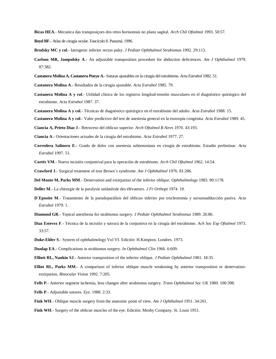**Bicas HEA**.- Mecanica das transposiçoes dos retos horisontais no plano sagital. *Arch Chil Oftalmol* 1993. 50:57.

**Boyd BF**.- Atlas de cirugía ocular. Fascículo 8. Panamá. 1996.

- **Brodsky MC y col**.- Iatrogenic inferior rectus palsy. *J Pediatr Ophthalmol Strabismus* 1992. 29:113.
- **Carlson MR, Jampolsky A**.- An adjustable transposition procedure for abduction deficiences. *Am J Ophthalmol* 1979. 87:382.
- **Castanera Molina A, Castanera Pueyo A**.-Suturas ajustables en la cirugía del estrabismo. *Acta Estrabol* 1982. 51.
- **Castanera Molina A**.- Resultados de la cirugía ajustable. *Acta Estrabol* 1985. 79.
- **Castanera Molina A y col**.- Utilidad clínica de los registros longitud-tensión musculares en el diagnóstico quirúrgico del estrabismo. *Acta Estrabol* 1987. 37.
- **Castanera Molina A y col**.- Técnicas de diagnóstico quirúrgico en el estrabismo del adulto. *Acta Estrabol* 1988. 15.
- **Castanera Molina A y col**.- Valor predictivo del test de anestesia general en la esotropía congénita. *Acta Estrabol* 1989. 45.

**Ciancia A, Prieto Díaz J**.- Retroceso del oblicuo superior. *Arch Oftalmol B Aires* 1970. 43:193.

**Ciancia A**.- Orientaciones actuales de la cirugía del estrabismo. *Acta Estrabol* 1977. 27.

- **Corredera Salinero E**.- Grado de dolor con anestesia subtenoniana en cirugía de estrabismo. Estudio preliminar. *Acta Estrabol* 1997. 51.
- **Cortés VM**.- Nueva incisión conjuntival para la operación de estrabismo. *Arch Chil Oftalmol* 1962. 14:54.

**Crawford J**.- Surgical treatment of true Brown´s syndrome. *Am J Ophthalmol* 1976. 81:286.

**Del Monte M, Parks MM**.- Denervation and extirpation of the inferior oblique. *Ophthalmology* 1983. 90:1178.

**Deller M**.- La chirurgie de la paralysie unilatérale des élévateurs. *J Fr Orthopt* 1974. 19.

- **D´Eposito M**.- Tratamiento de la pseudoparálisis del oblicuo inferior por trocleotomía y sursumadducción pasiva. *Acta Estrabol* 1979. 1.
- **Diamond GR**.- Topical anesthesia for strabismus surgery. *J Pediatr Ophthalmol Strabismus* 1989. 26:86.
- **Díaz Estevez F**.- Técnica de la incisión y sutrura de la conjuntiva en la cirugía del estrabismo. *Ach Soc Esp Oftalmol* 1973. 33:57.
- **Duke-Elder S**.- System of ophthalmology Vol VI. Edición: H.Kimpton. Londres. 1973.
- **Dunlap EA**.- Complications in strabismus surgery. *In Ophthalmol Clin* 1966. 6:609.

**Elliott RL, Nankin SJ**.- Anterior transposition of the inferior oblique. *J Pediatr Ophthalmol* 1981. 18:35.

- **Elliot RL, Parks MM**.- A comparison of inferior oblique muscle weakening by anterior transposition or denervationextirpation. *Binocular Vision* 1992. 7:205.
- **Fells P**.- Anterior segment ischemia, lens changes after strabismus surgery. *Trans Ophthalmol Soc UK* 1980. 100:398.
- **Fells P**.- Adjustable sutures. *Eye*. 1988. 2:33.
- **Fink WH**.- Oblique muscle surgery from the anatomic point of view. *Am J Ophthalmol* 1951. 34:261.
- **Fink WH**.- Surgery of the oblicue muscles of the eye. Edición: Mosby Company. St. Louis 1951.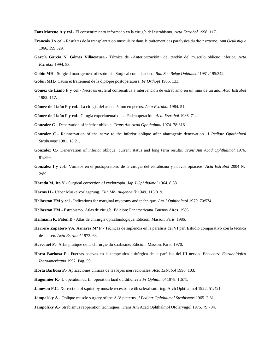**Fons Moreno A y col**.- El consentimiento informado en la cirugía del estrabismo. *Acta Estrabol* 1998. 117.

- **François J y col**.- Résultats de la transplantation musculaire dans le traitement des paralysies du droir externe. *Ann Oculistique*  1966. 199:329.
- **García García N, Gómez Villaescusa**.- Técnica de «Anteriorización» del tendón del músculo oblicuo inferior. *Acta Estrabol* 1994. 53.
- **Gobin MH**.- Surgical management of esotropia. Surgical complications. *Bull Soc Belge Ophtalmol* 1981. 195:342.
- **Gobin MH**.- Causa et traitement de la diplopie postopératoire. *Fr Orthopt* 1985. 133.
- **Gómez de Liaño F y col**.- Necrosis escleral consecutiva a intervención de estrabismo en un niño de un año. *Acta Estrabol*  1982. 117.
- **Gómez de Liaño F y col**.- La cirugía del asa de 5 mm en perros. *Acta Estrabol* 1984. 51.
- **Gómez de Liaño F y col**.- Cirugía experimental de la Fadenoperación. *Acta Estrabol* 1986. 71.
- **Gonzalez C**.- Denervation of inferior oblique. *Trans Am Acad Ophthalmol* 1974. 78:816.
- **Gonzalez C**.- Reinnervation of the nerve to the inferior oblique after aiatrogenic denervation. *J Pediatr Ophthalmol Strabismus* 1981. 18:21.
- **Gonzalez C**.- Denervation of inferior oblique: current status and long term results. *Trans Am Acad Ophthalmol* 1976. 81:899.
- **González I y col**.- Vómitos en el postoperatorio de la cirugía del estrabismo y nuevos opiáceos. *Acta Estrabol* 2004 N.º 2:89.
- **Harada M, Ito Y**.- Surgical correction of cyclotropia. *Jap J Ophthalmol* 1964. 8:88.
- **Harms H**.- Ueber Muskelvorlagerung. *Klin Mbl Augenheilk* 1949. 115:319.
- **Helbeston EM y col**.- Indications for marginal myotomy and technique. *Am J Ophthalmol* 1970. 70:574.
- **Helbeston EM**.- Estrabismo. Atlas de cirugía. Edición: Panamericana. Buenos Aires. 1986.
- **Heilmann K, Paton D**.- Atlas de chirurgie ophtalmologique. Edición: Masson. París. 1986.
- **Herrero Zapatero VA, Aznárez Mª P**.- Técnicas de suplencia en la parálisis del VI par. Estudio comparativo con la técnica de Jensen. *Acta Estrabol* 1973. 63
- **Hervouet F**.- Atlas pratique de la chirurgie du strabisme. Edición: Masson. París. 1970.
- **Horta Barbosa P**.- Fuerzas pasivas en la terapéutica quirúrgica de la parálisis del III nervio. *Encuentro Estrabológico Iberoamericano* 1992. Pag. 59.
- **Horta Barbosa P**.- Aplicaciones clínicas de las leyes inervacionales. *Acta Estrabol* 1996. 103.
- **Hugonnier R**.- L'operation du fil: operation facil ou dificile? *J Fr Ophtalmol* 1978. 1:671.
- **Jameson P.C.**-Xorrection of squint by muscle recession with scleral suturing. Arch Ophthalmol 1922. 51:421.
- **Jampolsky A**.- Oblique muscle surgery of the A-V patterns. *J Pediatr Ophthalmol Strabismus* 1965. 2:31.
- **Jampolsky A**.- Strabismus reoperation techniques. Trans Am Acad Ophthalmol Otolaryngol 1975. 79:704.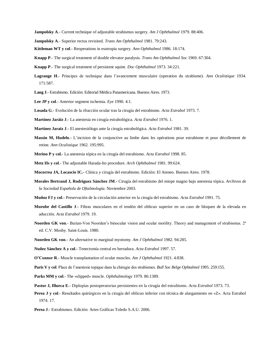- **Jampolsky A**.- Current technique of adjustable strabismus surgery. *Am J Ophthalmol* 1979. 88:406.
- **Jampolsky A**.- Superior rectus revisited. *Trans Am Ophthalmol* 1981. 79:243.
- **Kittleman WT y col**.- Reoperations in esotropia surgery. *Ann Ophthalmol* 1986. 18:174.
- **Knapp P**.- The surgical treatment of double elevator paralysis. *Trans Am Ophthalmol Soc* 1969. 67:304.
- **Knapp P**.- The surgical treatment of persistent squint. *Doc Ophthalmol* 1973. 34:221.
- **Lagrange H**.- Principes de technique dans l'avancement musculaire (operation du strabisme). *Ann Oculistique* 1934. 171:587.
- **Lang J**.- Estrabismo. Edición: Editorial Médica Panamericana. Buenos Aires. 1973.
- **Lee JP y col**.- Anterior segment ischemia. *Eye* 1990. 4:1.
- **Losada G**.- Evolución de la rfracción ocular tras la cirugía del estrabismo. *Acta Estrabol* 1973. 7.
- **Martínez Jaráiz J**.- La anestesia en cirugía estrabológica. *Acta Estrabol* 1976. 1.
- **Martínez Jaraiz J**.- El anestesiólogo ante la cirugía estrabológica. *Acta Estrabol* 1981. 39.
- **Massin M, Hudelo**.- L'incision de la conjunctive au limbe dans les opérations pour estrabisme et pour décollement de retine. *Ann Oculistique* 1962. 195:995.
- **Merino P y col.** La anestesia tópica en la cirugía del estrabismo. *Acta Estrabol* 1998. 85.
- **Metz Hs y col**.- The adjustable Harada-Ito procedure. *Arch Ophthalmol* 1981. 99:624.
- **Mocorrea JA, Locascio IC.-** Clínica y cirugía del estrabismo. Edición: El Ateneo. Buenos Aires. 1978.
- **Morales Bertrand J, Rodriguez Sánchez JM**.- Cirugía del estrabismo del miope magno bajo anestesia tópica. *Archivos de la Sociedad Española de Oftalmología*. Noviembre 2003.
- **Muñoz FJ y col**.- Preservación de la circulación anterior en la cirugía del estrabismo. *Acta Estrabol* 1991. 75.
- **Murube del Castillo J**.- Fibras musculares en el tendón del oblicuo superior en un caso de bloqueo de la elevada en aducción. *Acta Estrabol* 1979. 19.
- **Noorden GK von.** Burian-Von Noorden's binocular vision and ocular motility. Theory and management of strabismus. 2<sup>ª</sup> ed. C.V. Mosby. Saint-Louis. 1980.
- **Noorden GK von**.- An alternative to marginal myotomy. *Am J Ophthalmol* 1982. 94:285.
- **Nuñez Sánchez A y col**.- Tenectomía central en herradura. *Acta Estrabol* 1997. 57.
- **O'Connor R**.- Muscle transplantation of ocular muscles. *Am J Ophthalmol* 1921. 4:838.
- **Paris V y col**. Place de l'anestesie topique dans la chirugie des strabismes. *Bull Soc Belge Ophtalmol* 1995. 259:155.
- **Parks MM y col**.- The «slipped» muscle. *Ophthalmology* 1979. 86:1389.
- **Pastor J, Illueca E**.- Diplopías postoperatorias persistentes en la cirugía del estrabismo. *Acta Estrabol* 1973. 73.
- **Perea J y col**.- Resultados quirúrgicos en la cirugía del oblicuo inferior con técnica de alargamiento en «Z». Acta Estrabol 1974. 17.
- **Perea J**.- Estrabismos. Edición: Artes Gráficas Toledo S.A.U. 2006.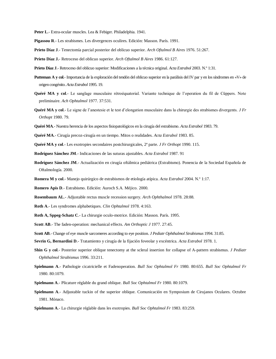Peter L.- Extra-ocular muscles. Lea & Febiger. Philadelphia. 1941.

- **Pigassou R**.- Les strabismes. Les divergences oculires. Edición: Masson. París. 1991.
- **Prieto Díaz J**.- Tenectomía parcial posterior del oblicuo superior. *Arch Oftalmol B Aires* 1976. 51:267.
- **Prieto Díaz J.** Retroceso del oblicuo superior. *Arch Oftalmol B Aires* 1986. 61:127.
- **Prieto Díaz J**.- Retroceso del oblicuo superior: Modificaciones a la técnica original. *Acta Estrabol* 2003. N.º 1:31.
- **Putteman A y col**.- Importancia de la exploración del tendón del oblicuo superior en la parálisis del IV par y en los síndromes en «V» de origen congénito. *Acta Estrabol* 1995. 19.
- **Quéré MA y col**.- Le sanglage musculaire rétroéquatorial. Variante technique de l'operation du fil de Cüppers. Note preliminaire. *Ach Ophtalmol* 1977. 37:531.
- **Quéré MA y col**.- Le signe de l'anestesie et le test d'elongation musculaire dans la chirurgie des strabismes divergents. *J Fr Orthopt* 1980. 79.
- **Quéré MA**.- Nuestra herencia de los aspectos fisiopatológicos en la cirugía del estrabismo. *Acta Estrabol* 1983. 79.
- **Quéré MA**.- Cirugía precoz-cirugía en un tiempo. Mitos o realidades. *Acta Estrabol* 1983. 85.
- **Quéré MA y col**.- Les exotropies secondaires postchirurgicales, 2ª parte. *J Fr Orthopt* 1990. 115.
- **Rodríguez Sánchez JM**.- Indicaciones de las suturas ajustables. *Acta Estrabol* 1987. 91
- **Rodríguez Sánchez JM**.- Actualización en cirugía oftálmica pediátrica (Estrabismo). Ponencia de la Sociedad Española de Oftalmología. 2000.
- **Romera M y col**.- Manejo quirúrgico de estrabismos de etiología atípica. *Acta Estrabol* 2004. N.º 1:17.
- **Romero Apis D**.- Estrabismo. Edición: Auroch S.A. Méjico. 2000.
- **Rosembaum AL**.- Adjustable rectus muscle recession surgery. *Arch Ophthalmol* 1978. 28:88.
- **Roth A**.- Les syndromes alphabetiques. *Clin Ophtalmol* 1978. 4:163.
- **Roth A, Sppeg-Schatz C**.- La chirurgie oculo-motrice. Edición: Masson. París. 1995.
- **Scott AB**.- The faden-operation: mechanical effects. *Am Orthoptic J* 1977. 27:45.
- **Scott AB**.- Change of eye muscle sarcomeres according to eye position. *J Pediatr Ophthalmol Strabismus* 1994. 31:85.
- **Sevrin G, Bernardini D**.- Tratamiento y cirugía de la fijación foveolar y excéntrica. *Acta Estrabol* 1978. 1.
- **Shin G y col**.- Posterior superior oblique tenectomy at the scleral insertion for collapse of A-pattern strabismus. *J Pediatr Ophthalmol Strabismus* 1996. 33:211.
- **Spielmann A**.- Pathologie cicatricielle et Fadenoperation. *Bull Soc Ophtalmol Fr* 1980. 80:655. *Bull Soc Ophtalmol Fr*  1980. 80:1079.
- **Spielmann A**.- Plicature réglable du grand oblique. *Bull Soc Ophtalmol Fr* 1980. 80:1079.
- **Spielmann A**.- Adjustable tuckin of the superior oblique. Comunicación en Symposium de Cirujanos Oculares. Octubre 1981. Mónaco.
- **Spielmann A**.- La chirurgie réglable dans les exotropies. *Bull Soc Ophtalmol Fr* 1983. 83:259.